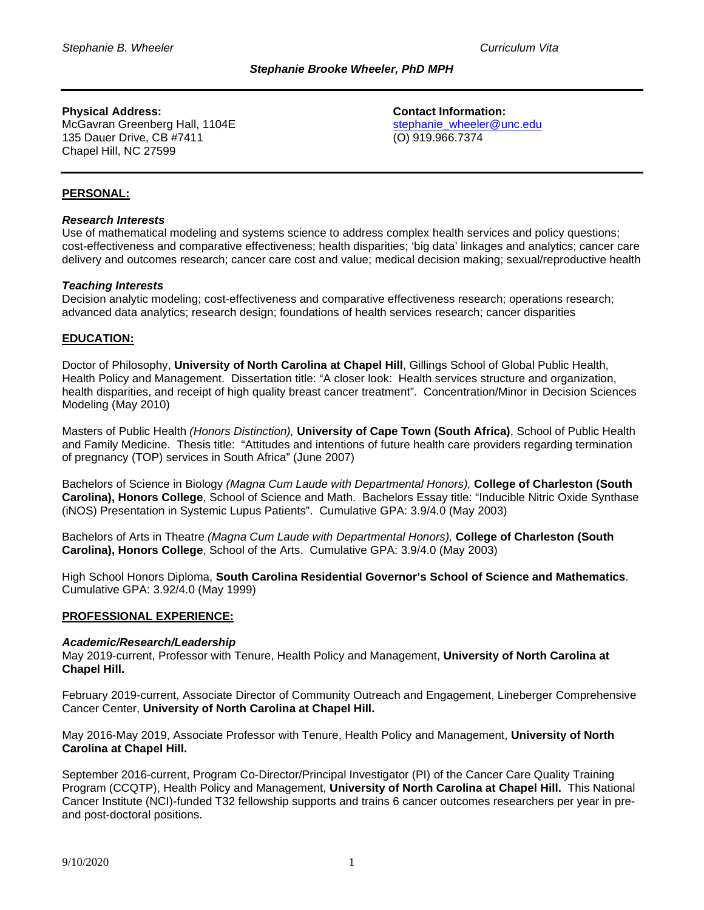# **Physical Address: Contact Information:**

McGavran Greenberg Hall, 1104E<br>135 Dauer Drive, CB #7411 (O) 919.966.7374 135 Dauer Drive, CB #7411 Chapel Hill, NC 27599

# **PERSONAL:**

### *Research Interests*

Use of mathematical modeling and systems science to address complex health services and policy questions; cost-effectiveness and comparative effectiveness; health disparities; 'big data' linkages and analytics; cancer care delivery and outcomes research; cancer care cost and value; medical decision making; sexual/reproductive health

### *Teaching Interests*

Decision analytic modeling; cost-effectiveness and comparative effectiveness research; operations research; advanced data analytics; research design; foundations of health services research; cancer disparities

### **EDUCATION:**

Doctor of Philosophy, **University of North Carolina at Chapel Hill**, Gillings School of Global Public Health, Health Policy and Management. Dissertation title: "A closer look: Health services structure and organization, health disparities, and receipt of high quality breast cancer treatment". Concentration/Minor in Decision Sciences Modeling (May 2010)

Masters of Public Health *(Honors Distinction),* **University of Cape Town (South Africa)**, School of Public Health and Family Medicine. Thesis title: "Attitudes and intentions of future health care providers regarding termination of pregnancy (TOP) services in South Africa" (June 2007)

Bachelors of Science in Biology *(Magna Cum Laude with Departmental Honors),* **College of Charleston (South Carolina), Honors College**, School of Science and Math. Bachelors Essay title: "Inducible Nitric Oxide Synthase (iNOS) Presentation in Systemic Lupus Patients". Cumulative GPA: 3.9/4.0 (May 2003)

Bachelors of Arts in Theatre *(Magna Cum Laude with Departmental Honors),* **College of Charleston (South Carolina), Honors College**, School of the Arts. Cumulative GPA: 3.9/4.0 (May 2003)

High School Honors Diploma, **South Carolina Residential Governor's School of Science and Mathematics**. Cumulative GPA: 3.92/4.0 (May 1999)

### **PROFESSIONAL EXPERIENCE:**

### *Academic/Research/Leadership*

May 2019-current, Professor with Tenure, Health Policy and Management, **University of North Carolina at Chapel Hill.** 

February 2019-current, Associate Director of Community Outreach and Engagement, Lineberger Comprehensive Cancer Center, **University of North Carolina at Chapel Hill.**

May 2016-May 2019, Associate Professor with Tenure, Health Policy and Management, **University of North Carolina at Chapel Hill.** 

September 2016-current, Program Co-Director/Principal Investigator (PI) of the Cancer Care Quality Training Program (CCQTP), Health Policy and Management, **University of North Carolina at Chapel Hill.** This National Cancer Institute (NCI)-funded T32 fellowship supports and trains 6 cancer outcomes researchers per year in preand post-doctoral positions.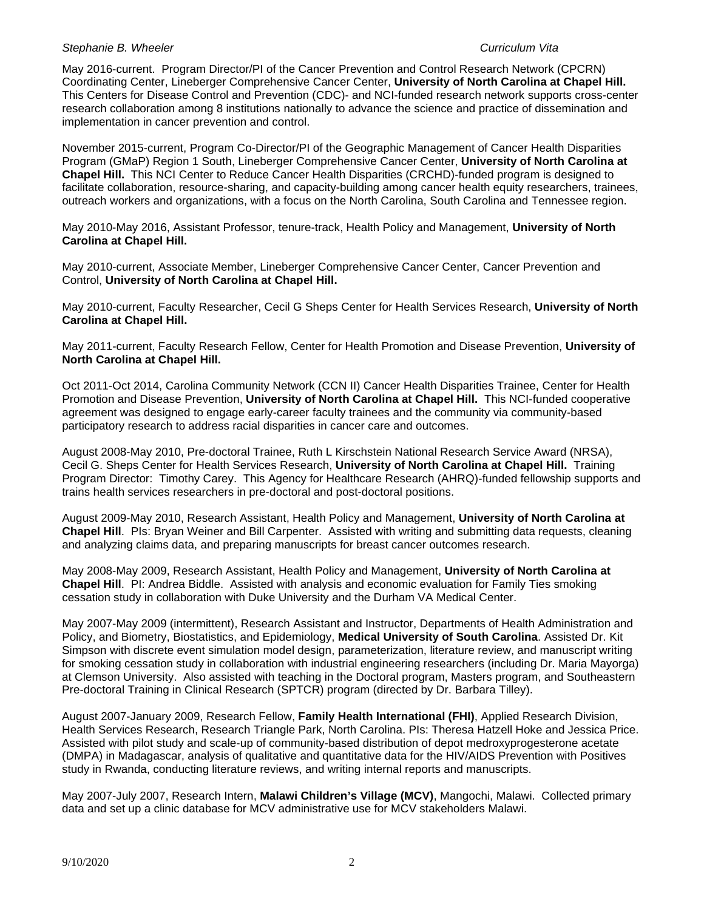May 2016-current. Program Director/PI of the Cancer Prevention and Control Research Network (CPCRN) Coordinating Center, Lineberger Comprehensive Cancer Center, **University of North Carolina at Chapel Hill.**  This Centers for Disease Control and Prevention (CDC)- and NCI-funded research network supports cross-center research collaboration among 8 institutions nationally to advance the science and practice of dissemination and implementation in cancer prevention and control.

November 2015-current, Program Co-Director/PI of the Geographic Management of Cancer Health Disparities Program (GMaP) Region 1 South, Lineberger Comprehensive Cancer Center, **University of North Carolina at Chapel Hill.** This NCI Center to Reduce Cancer Health Disparities (CRCHD)-funded program is designed to facilitate collaboration, resource-sharing, and capacity-building among cancer health equity researchers, trainees, outreach workers and organizations, with a focus on the North Carolina, South Carolina and Tennessee region.

May 2010-May 2016, Assistant Professor, tenure-track, Health Policy and Management, **University of North Carolina at Chapel Hill.** 

May 2010-current, Associate Member, Lineberger Comprehensive Cancer Center, Cancer Prevention and Control, **University of North Carolina at Chapel Hill.** 

May 2010-current, Faculty Researcher, Cecil G Sheps Center for Health Services Research, **University of North Carolina at Chapel Hill.** 

May 2011-current, Faculty Research Fellow, Center for Health Promotion and Disease Prevention, **University of North Carolina at Chapel Hill.** 

Oct 2011-Oct 2014, Carolina Community Network (CCN II) Cancer Health Disparities Trainee, Center for Health Promotion and Disease Prevention, **University of North Carolina at Chapel Hill.** This NCI-funded cooperative agreement was designed to engage early-career faculty trainees and the community via community-based participatory research to address racial disparities in cancer care and outcomes.

August 2008-May 2010, Pre-doctoral Trainee, Ruth L Kirschstein National Research Service Award (NRSA), Cecil G. Sheps Center for Health Services Research, **University of North Carolina at Chapel Hill.** Training Program Director: Timothy Carey. This Agency for Healthcare Research (AHRQ)-funded fellowship supports and trains health services researchers in pre-doctoral and post-doctoral positions.

August 2009-May 2010, Research Assistant, Health Policy and Management, **University of North Carolina at Chapel Hill**. PIs: Bryan Weiner and Bill Carpenter. Assisted with writing and submitting data requests, cleaning and analyzing claims data, and preparing manuscripts for breast cancer outcomes research.

May 2008-May 2009, Research Assistant, Health Policy and Management, **University of North Carolina at Chapel Hill**. PI: Andrea Biddle. Assisted with analysis and economic evaluation for Family Ties smoking cessation study in collaboration with Duke University and the Durham VA Medical Center.

May 2007-May 2009 (intermittent), Research Assistant and Instructor, Departments of Health Administration and Policy, and Biometry, Biostatistics, and Epidemiology, **Medical University of South Carolina**. Assisted Dr. Kit Simpson with discrete event simulation model design, parameterization, literature review, and manuscript writing for smoking cessation study in collaboration with industrial engineering researchers (including Dr. Maria Mayorga) at Clemson University. Also assisted with teaching in the Doctoral program, Masters program, and Southeastern Pre-doctoral Training in Clinical Research (SPTCR) program (directed by Dr. Barbara Tilley).

August 2007-January 2009, Research Fellow, **Family Health International (FHI)**, Applied Research Division, Health Services Research, Research Triangle Park, North Carolina. PIs: Theresa Hatzell Hoke and Jessica Price. Assisted with pilot study and scale-up of community-based distribution of depot medroxyprogesterone acetate (DMPA) in Madagascar, analysis of qualitative and quantitative data for the HIV/AIDS Prevention with Positives study in Rwanda, conducting literature reviews, and writing internal reports and manuscripts.

May 2007-July 2007, Research Intern, **Malawi Children's Village (MCV)**, Mangochi, Malawi. Collected primary data and set up a clinic database for MCV administrative use for MCV stakeholders Malawi.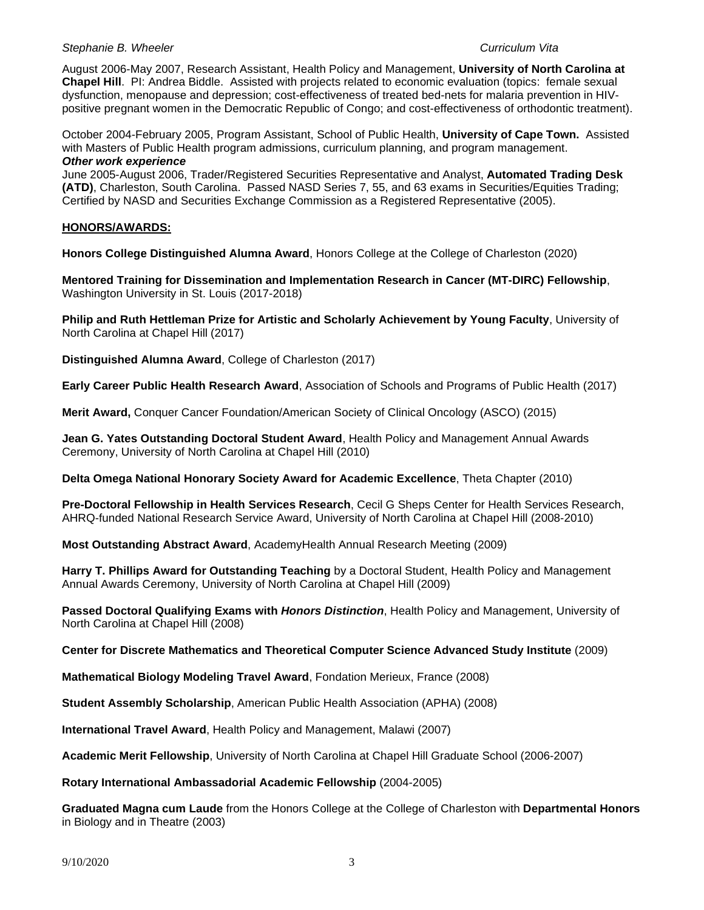August 2006-May 2007, Research Assistant, Health Policy and Management, **University of North Carolina at Chapel Hill**. PI: Andrea Biddle. Assisted with projects related to economic evaluation (topics: female sexual dysfunction, menopause and depression; cost-effectiveness of treated bed-nets for malaria prevention in HIVpositive pregnant women in the Democratic Republic of Congo; and cost-effectiveness of orthodontic treatment).

October 2004-February 2005, Program Assistant, School of Public Health, **University of Cape Town.** Assisted with Masters of Public Health program admissions, curriculum planning, and program management. *Other work experience*

June 2005-August 2006, Trader/Registered Securities Representative and Analyst, **Automated Trading Desk (ATD)**, Charleston, South Carolina. Passed NASD Series 7, 55, and 63 exams in Securities/Equities Trading; Certified by NASD and Securities Exchange Commission as a Registered Representative (2005).

### **HONORS/AWARDS:**

**Honors College Distinguished Alumna Award**, Honors College at the College of Charleston (2020)

**Mentored Training for Dissemination and Implementation Research in Cancer (MT-DIRC) Fellowship**, Washington University in St. Louis (2017-2018)

**Philip and Ruth Hettleman Prize for Artistic and Scholarly Achievement by Young Faculty**, University of North Carolina at Chapel Hill (2017)

**Distinguished Alumna Award**, College of Charleston (2017)

**Early Career Public Health Research Award**, Association of Schools and Programs of Public Health (2017)

**Merit Award,** Conquer Cancer Foundation/American Society of Clinical Oncology (ASCO) (2015)

**Jean G. Yates Outstanding Doctoral Student Award**, Health Policy and Management Annual Awards Ceremony, University of North Carolina at Chapel Hill (2010)

**Delta Omega National Honorary Society Award for Academic Excellence**, Theta Chapter (2010)

**Pre-Doctoral Fellowship in Health Services Research**, Cecil G Sheps Center for Health Services Research, AHRQ-funded National Research Service Award, University of North Carolina at Chapel Hill (2008-2010)

**Most Outstanding Abstract Award**, AcademyHealth Annual Research Meeting (2009)

**Harry T. Phillips Award for Outstanding Teaching** by a Doctoral Student, Health Policy and Management Annual Awards Ceremony, University of North Carolina at Chapel Hill (2009)

**Passed Doctoral Qualifying Exams with** *Honors Distinction*, Health Policy and Management, University of North Carolina at Chapel Hill (2008)

**Center for Discrete Mathematics and Theoretical Computer Science Advanced Study Institute** (2009)

**Mathematical Biology Modeling Travel Award**, Fondation Merieux, France (2008)

**Student Assembly Scholarship**, American Public Health Association (APHA) (2008)

**International Travel Award**, Health Policy and Management, Malawi (2007)

**Academic Merit Fellowship**, University of North Carolina at Chapel Hill Graduate School (2006-2007)

**Rotary International Ambassadorial Academic Fellowship** (2004-2005)

**Graduated Magna cum Laude** from the Honors College at the College of Charleston with **Departmental Honors** in Biology and in Theatre (2003)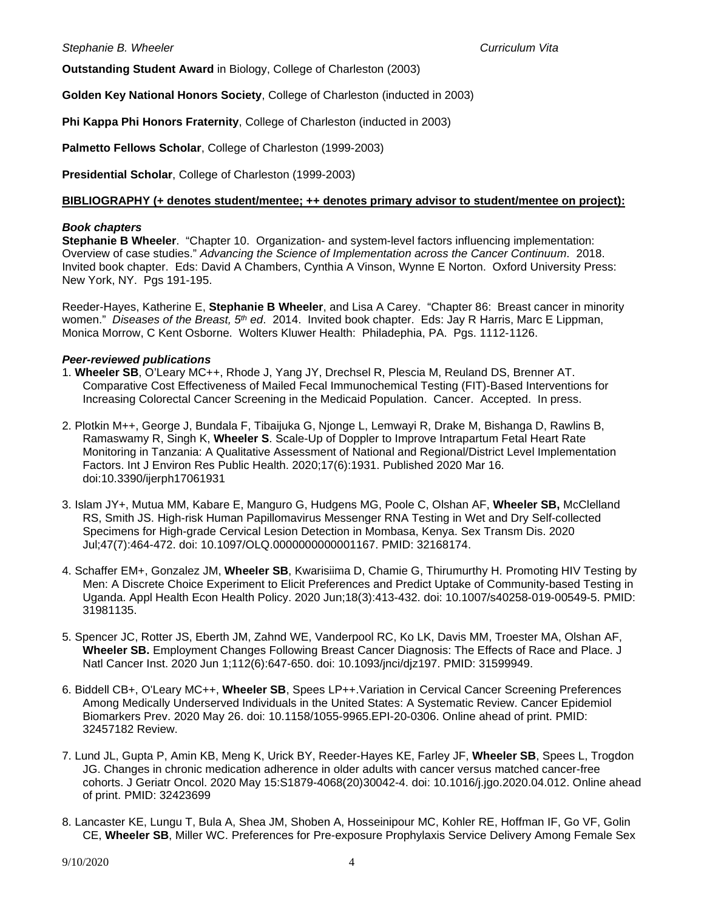**Outstanding Student Award** in Biology, College of Charleston (2003)

**Golden Key National Honors Society**, College of Charleston (inducted in 2003)

**Phi Kappa Phi Honors Fraternity**, College of Charleston (inducted in 2003)

**Palmetto Fellows Scholar**, College of Charleston (1999-2003)

**Presidential Scholar**, College of Charleston (1999-2003)

### **BIBLIOGRAPHY (+ denotes student/mentee; ++ denotes primary advisor to student/mentee on project):**

### *Book chapters*

**Stephanie B Wheeler**. "Chapter 10. Organization- and system-level factors influencing implementation: Overview of case studies." *Advancing the Science of Implementation across the Cancer Continuum*. 2018. Invited book chapter. Eds: David A Chambers, Cynthia A Vinson, Wynne E Norton. Oxford University Press: New York, NY. Pgs 191-195.

Reeder-Hayes, Katherine E, **Stephanie B Wheeler**, and Lisa A Carey. "Chapter 86: Breast cancer in minority women." *Diseases of the Breast, 5th ed*. 2014. Invited book chapter. Eds: Jay R Harris, Marc E Lippman, Monica Morrow, C Kent Osborne. Wolters Kluwer Health: Philadephia, PA. Pgs. 1112-1126.

### *Peer-reviewed publications*

- 1. **Wheeler SB**, O'Leary MC++, Rhode J, Yang JY, Drechsel R, Plescia M, Reuland DS, Brenner AT. Comparative Cost Effectiveness of Mailed Fecal Immunochemical Testing (FIT)-Based Interventions for Increasing Colorectal Cancer Screening in the Medicaid Population. Cancer. Accepted. In press.
- 2. Plotkin M++, George J, Bundala F, Tibaijuka G, Njonge L, Lemwayi R, Drake M, Bishanga D, Rawlins B, Ramaswamy R, Singh K, **Wheeler S**. Scale-Up of Doppler to Improve Intrapartum Fetal Heart Rate Monitoring in Tanzania: A Qualitative Assessment of National and Regional/District Level Implementation Factors. Int J Environ Res Public Health. 2020;17(6):1931. Published 2020 Mar 16. doi:10.3390/ijerph17061931
- 3. Islam JY+, Mutua MM, Kabare E, Manguro G, Hudgens MG, Poole C, Olshan AF, **Wheeler SB,** McClelland RS, Smith JS. High-risk Human Papillomavirus Messenger RNA Testing in Wet and Dry Self-collected Specimens for High-grade Cervical Lesion Detection in Mombasa, Kenya. Sex Transm Dis. 2020 Jul;47(7):464-472. doi: 10.1097/OLQ.0000000000001167. PMID: 32168174.
- 4. Schaffer EM+, Gonzalez JM, **Wheeler SB**, Kwarisiima D, Chamie G, Thirumurthy H. Promoting HIV Testing by Men: A Discrete Choice Experiment to Elicit Preferences and Predict Uptake of Community-based Testing in Uganda. Appl Health Econ Health Policy. 2020 Jun;18(3):413-432. doi: 10.1007/s40258-019-00549-5. PMID: 31981135.
- 5. Spencer JC, Rotter JS, Eberth JM, Zahnd WE, Vanderpool RC, Ko LK, Davis MM, Troester MA, Olshan AF, **Wheeler SB.** Employment Changes Following Breast Cancer Diagnosis: The Effects of Race and Place. J Natl Cancer Inst. 2020 Jun 1;112(6):647-650. doi: 10.1093/jnci/djz197. PMID: 31599949.
- 6. Biddell CB+, O'Leary MC++, **Wheeler SB**, Spees LP++.Variation in Cervical Cancer Screening Preferences Among Medically Underserved Individuals in the United States: A Systematic Review. Cancer Epidemiol Biomarkers Prev. 2020 May 26. doi: 10.1158/1055-9965.EPI-20-0306. Online ahead of print. PMID: 32457182 Review.
- 7. Lund JL, Gupta P, Amin KB, Meng K, Urick BY, Reeder-Hayes KE, Farley JF, **Wheeler SB**, Spees L, Trogdon JG. Changes in chronic medication adherence in older adults with cancer versus matched cancer-free cohorts. J Geriatr Oncol. 2020 May 15:S1879-4068(20)30042-4. doi: 10.1016/j.jgo.2020.04.012. Online ahead of print. PMID: 32423699
- 8. Lancaster KE, Lungu T, Bula A, Shea JM, Shoben A, Hosseinipour MC, Kohler RE, Hoffman IF, Go VF, Golin CE, **Wheeler SB**, Miller WC. Preferences for Pre-exposure Prophylaxis Service Delivery Among Female Sex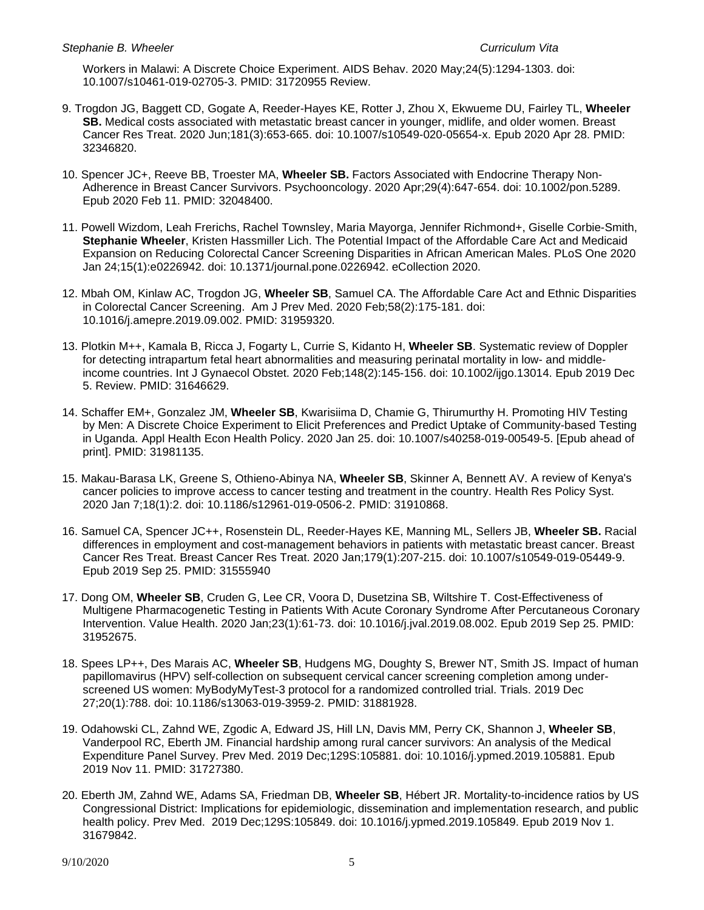Workers in Malawi: A Discrete Choice Experiment. AIDS Behav. 2020 May;24(5):1294-1303. doi: 10.1007/s10461-019-02705-3. PMID: 31720955 Review.

- 9. Trogdon JG, Baggett CD, Gogate A, Reeder-Hayes KE, Rotter J, Zhou X, Ekwueme DU, Fairley TL, **Wheeler SB.** Medical costs associated with metastatic breast cancer in younger, midlife, and older women. Breast Cancer Res Treat. 2020 Jun;181(3):653-665. doi: 10.1007/s10549-020-05654-x. Epub 2020 Apr 28. PMID: 32346820.
- 10. Spencer JC+, Reeve BB, Troester MA, **Wheeler SB.** Factors Associated with Endocrine Therapy Non-Adherence in Breast Cancer Survivors. Psychooncology. 2020 Apr;29(4):647-654. doi: 10.1002/pon.5289. Epub 2020 Feb 11. PMID: 32048400.
- 11. Powell Wizdom, Leah Frerichs, Rachel Townsley, Maria Mayorga, Jennifer Richmond+, Giselle Corbie-Smith, **Stephanie Wheeler**, Kristen Hassmiller Lich. The Potential Impact of the Affordable Care Act and Medicaid Expansion on Reducing Colorectal Cancer Screening Disparities in African American Males. PLoS One 2020 Jan 24;15(1):e0226942. doi: 10.1371/journal.pone.0226942. eCollection 2020.
- 12. Mbah OM, Kinlaw AC, Trogdon JG, **Wheeler SB**, Samuel CA. The Affordable Care Act and Ethnic Disparities in Colorectal Cancer Screening. Am J Prev Med. 2020 Feb;58(2):175-181. doi: 10.1016/j.amepre.2019.09.002. PMID: 31959320.
- 13. Plotkin M++, Kamala B, Ricca J, Fogarty L, Currie S, Kidanto H, **Wheeler SB**. Systematic review of Doppler for detecting intrapartum fetal heart abnormalities and measuring perinatal mortality in low- and middleincome countries. Int J Gynaecol Obstet. 2020 Feb;148(2):145-156. doi: 10.1002/ijgo.13014. Epub 2019 Dec 5. Review. PMID: 31646629.
- 14. Schaffer EM+, Gonzalez JM, **Wheeler SB**, Kwarisiima D, Chamie G, Thirumurthy H. Promoting HIV Testing by Men: A Discrete Choice Experiment to Elicit Preferences and Predict Uptake of Community-based Testing in Uganda. Appl Health Econ Health Policy. 2020 Jan 25. doi: 10.1007/s40258-019-00549-5. [Epub ahead of print]. PMID: 31981135.
- 15. Makau-Barasa LK, Greene S, Othieno-Abinya NA, **Wheeler SB**, Skinner A, Bennett AV. A review of Kenya's cancer policies to improve access to cancer testing and treatment in the country. Health Res Policy Syst. 2020 Jan 7;18(1):2. doi: 10.1186/s12961-019-0506-2. PMID: 31910868.
- 16. Samuel CA, Spencer JC++, Rosenstein DL, Reeder-Hayes KE, Manning ML, Sellers JB, **Wheeler SB.** Racial differences in employment and cost-management behaviors in patients with metastatic breast cancer. Breast Cancer Res Treat. Breast Cancer Res Treat. 2020 Jan;179(1):207-215. doi: 10.1007/s10549-019-05449-9. Epub 2019 Sep 25. PMID: 31555940
- 17. Dong OM, **Wheeler SB**, Cruden G, Lee CR, Voora D, Dusetzina SB, Wiltshire T. Cost-Effectiveness of Multigene Pharmacogenetic Testing in Patients With Acute Coronary Syndrome After Percutaneous Coronary Intervention. Value Health. 2020 Jan;23(1):61-73. doi: 10.1016/j.jval.2019.08.002. Epub 2019 Sep 25. PMID: 31952675.
- 18. Spees LP++, Des Marais AC, **Wheeler SB**, Hudgens MG, Doughty S, Brewer NT, Smith JS. Impact of human papillomavirus (HPV) self-collection on subsequent cervical cancer screening completion among underscreened US women: MyBodyMyTest-3 protocol for a randomized controlled trial. Trials. 2019 Dec 27;20(1):788. doi: 10.1186/s13063-019-3959-2. PMID: 31881928.
- 19. Odahowski CL, Zahnd WE, Zgodic A, Edward JS, Hill LN, Davis MM, Perry CK, Shannon J, **Wheeler SB**, Vanderpool RC, Eberth JM. Financial hardship among rural cancer survivors: An analysis of the Medical Expenditure Panel Survey. Prev Med. 2019 Dec;129S:105881. doi: 10.1016/j.ypmed.2019.105881. Epub 2019 Nov 11. PMID: 31727380.
- 20. Eberth JM, Zahnd WE, Adams SA, Friedman DB, **Wheeler SB**, Hébert JR. Mortality-to-incidence ratios by US Congressional District: Implications for epidemiologic, dissemination and implementation research, and public health policy. Prev Med. 2019 Dec;129S:105849. doi: 10.1016/j.ypmed.2019.105849. Epub 2019 Nov 1. 31679842.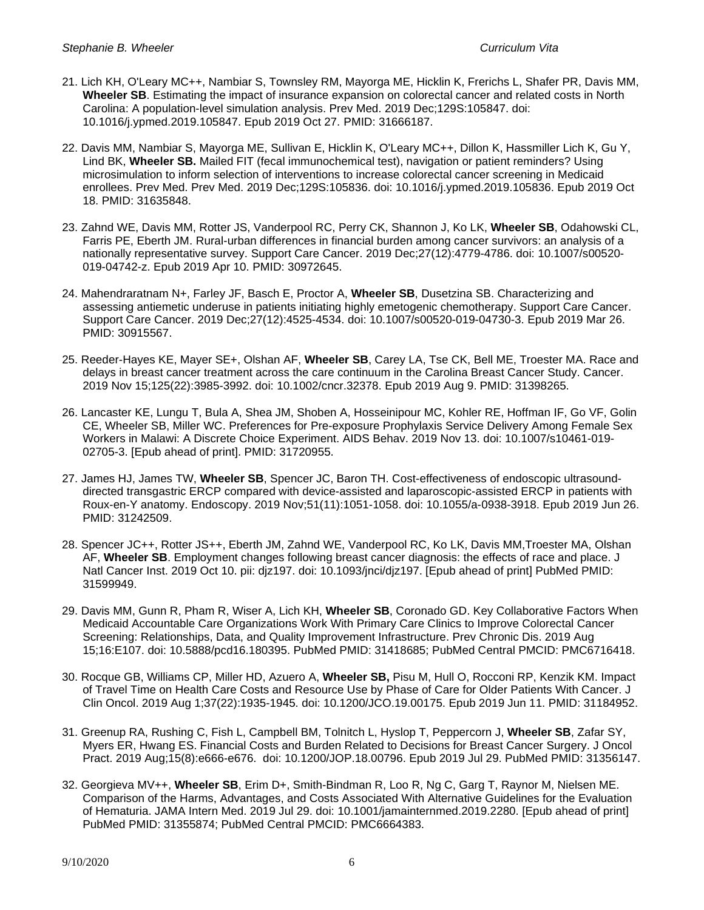- 21. Lich KH, O'Leary MC++, Nambiar S, Townsley RM, Mayorga ME, Hicklin K, Frerichs L, Shafer PR, Davis MM, **Wheeler SB**. Estimating the impact of insurance expansion on colorectal cancer and related costs in North Carolina: A population-level simulation analysis. Prev Med. 2019 Dec;129S:105847. doi: 10.1016/j.ypmed.2019.105847. Epub 2019 Oct 27. PMID: 31666187.
- 22. Davis MM, Nambiar S, Mayorga ME, Sullivan E, Hicklin K, O'Leary MC++, Dillon K, Hassmiller Lich K, Gu Y, Lind BK, **Wheeler SB.** Mailed FIT (fecal immunochemical test), navigation or patient reminders? Using microsimulation to inform selection of interventions to increase colorectal cancer screening in Medicaid enrollees. Prev Med. Prev Med. 2019 Dec;129S:105836. doi: 10.1016/j.ypmed.2019.105836. Epub 2019 Oct 18. PMID: 31635848.
- 23. Zahnd WE, Davis MM, Rotter JS, Vanderpool RC, Perry CK, Shannon J, Ko LK, **Wheeler SB**, Odahowski CL, Farris PE, Eberth JM. Rural-urban differences in financial burden among cancer survivors: an analysis of a nationally representative survey. Support Care Cancer. 2019 Dec;27(12):4779-4786. doi: 10.1007/s00520- 019-04742-z. Epub 2019 Apr 10. PMID: 30972645.
- 24. Mahendraratnam N+, Farley JF, Basch E, Proctor A, **Wheeler SB**, Dusetzina SB. Characterizing and assessing antiemetic underuse in patients initiating highly emetogenic chemotherapy. Support Care Cancer. Support Care Cancer. 2019 Dec;27(12):4525-4534. doi: 10.1007/s00520-019-04730-3. Epub 2019 Mar 26. PMID: 30915567.
- 25. Reeder-Hayes KE, Mayer SE+, Olshan AF, **Wheeler SB**, Carey LA, Tse CK, Bell ME, Troester MA. Race and delays in breast cancer treatment across the care continuum in the Carolina Breast Cancer Study. Cancer. 2019 Nov 15;125(22):3985-3992. doi: 10.1002/cncr.32378. Epub 2019 Aug 9. PMID: 31398265.
- 26. Lancaster KE, Lungu T, Bula A, Shea JM, Shoben A, Hosseinipour MC, Kohler RE, Hoffman IF, Go VF, Golin CE, Wheeler SB, Miller WC. Preferences for Pre-exposure Prophylaxis Service Delivery Among Female Sex Workers in Malawi: A Discrete Choice Experiment. AIDS Behav. 2019 Nov 13. doi: 10.1007/s10461-019- 02705-3. [Epub ahead of print]. PMID: 31720955.
- 27. James HJ, James TW, **Wheeler SB**, Spencer JC, Baron TH. Cost-effectiveness of endoscopic ultrasounddirected transgastric ERCP compared with device-assisted and laparoscopic-assisted ERCP in patients with Roux-en-Y anatomy. Endoscopy. 2019 Nov;51(11):1051-1058. doi: 10.1055/a-0938-3918. Epub 2019 Jun 26. PMID: 31242509.
- 28. Spencer JC++, Rotter JS++, Eberth JM, Zahnd WE, Vanderpool RC, Ko LK, Davis MM,Troester MA, Olshan AF, **Wheeler SB**. Employment changes following breast cancer diagnosis: the effects of race and place. J Natl Cancer Inst. 2019 Oct 10. pii: djz197. doi: 10.1093/jnci/djz197. [Epub ahead of print] PubMed PMID: 31599949.
- 29. Davis MM, Gunn R, Pham R, Wiser A, Lich KH, **Wheeler SB**, Coronado GD. Key Collaborative Factors When Medicaid Accountable Care Organizations Work With Primary Care Clinics to Improve Colorectal Cancer Screening: Relationships, Data, and Quality Improvement Infrastructure. Prev Chronic Dis. 2019 Aug 15;16:E107. doi: 10.5888/pcd16.180395. PubMed PMID: 31418685; PubMed Central PMCID: PMC6716418.
- 30. Rocque GB, Williams CP, Miller HD, Azuero A, **Wheeler SB,** Pisu M, Hull O, Rocconi RP, Kenzik KM. Impact of Travel Time on Health Care Costs and Resource Use by Phase of Care for Older Patients With Cancer. J Clin Oncol. 2019 Aug 1;37(22):1935-1945. doi: 10.1200/JCO.19.00175. Epub 2019 Jun 11. PMID: 31184952.
- 31. Greenup RA, Rushing C, Fish L, Campbell BM, Tolnitch L, Hyslop T, Peppercorn J, **Wheeler SB**, Zafar SY, Myers ER, Hwang ES. Financial Costs and Burden Related to Decisions for Breast Cancer Surgery. J Oncol Pract. 2019 Aug;15(8):e666-e676. doi: 10.1200/JOP.18.00796. Epub 2019 Jul 29. PubMed PMID: 31356147.
- 32. Georgieva MV++, **Wheeler SB**, Erim D+, Smith-Bindman R, Loo R, Ng C, Garg T, Raynor M, Nielsen ME. Comparison of the Harms, Advantages, and Costs Associated With Alternative Guidelines for the Evaluation of Hematuria. JAMA Intern Med. 2019 Jul 29. doi: 10.1001/jamainternmed.2019.2280. [Epub ahead of print] PubMed PMID: 31355874; PubMed Central PMCID: PMC6664383.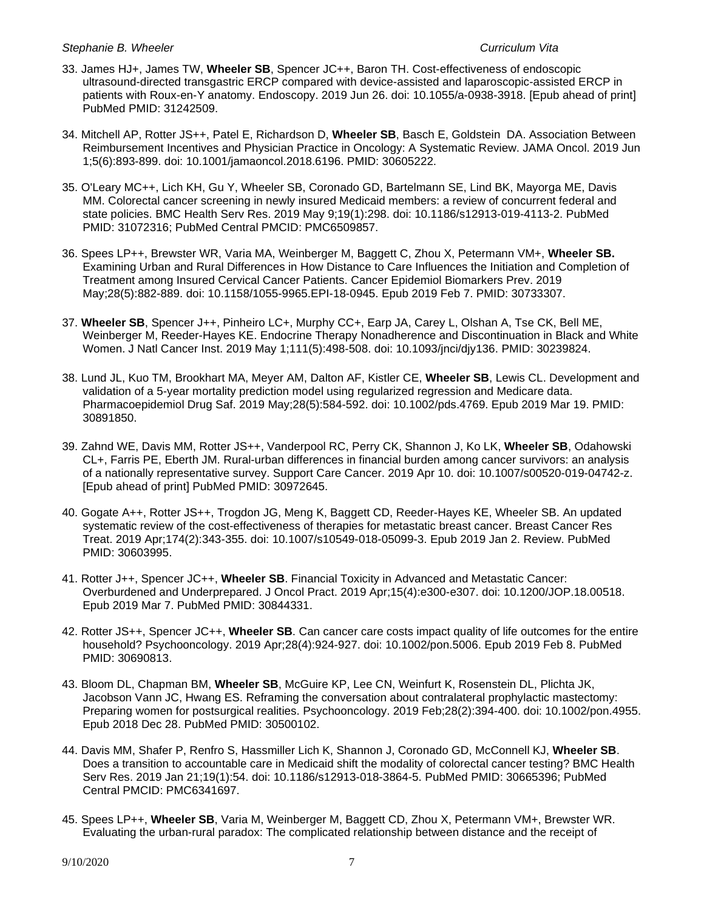- 33. James HJ+, James TW, **Wheeler SB**, Spencer JC++, Baron TH. Cost-effectiveness of endoscopic ultrasound-directed transgastric ERCP compared with device-assisted and laparoscopic-assisted ERCP in patients with Roux-en-Y anatomy. Endoscopy. 2019 Jun 26. doi: 10.1055/a-0938-3918. [Epub ahead of print] PubMed PMID: 31242509.
- 34. Mitchell AP, Rotter JS++, Patel E, Richardson D, **Wheeler SB**, Basch E, Goldstein DA. Association Between Reimbursement Incentives and Physician Practice in Oncology: A Systematic Review. JAMA Oncol. 2019 Jun 1;5(6):893-899. doi: 10.1001/jamaoncol.2018.6196. PMID: 30605222.
- 35. O'Leary MC++, Lich KH, Gu Y, Wheeler SB, Coronado GD, Bartelmann SE, Lind BK, Mayorga ME, Davis MM. Colorectal cancer screening in newly insured Medicaid members: a review of concurrent federal and state policies. BMC Health Serv Res. 2019 May 9;19(1):298. doi: 10.1186/s12913-019-4113-2. PubMed PMID: 31072316; PubMed Central PMCID: PMC6509857.
- 36. Spees LP++, Brewster WR, Varia MA, Weinberger M, Baggett C, Zhou X, Petermann VM+, **Wheeler SB.** Examining Urban and Rural Differences in How Distance to Care Influences the Initiation and Completion of Treatment among Insured Cervical Cancer Patients. Cancer Epidemiol Biomarkers Prev. 2019 May;28(5):882-889. doi: 10.1158/1055-9965.EPI-18-0945. Epub 2019 Feb 7. PMID: 30733307.
- 37. **Wheeler SB**, Spencer J++, Pinheiro LC+, Murphy CC+, Earp JA, Carey L, Olshan A, Tse CK, Bell ME, Weinberger M, Reeder-Hayes KE. Endocrine Therapy Nonadherence and Discontinuation in Black and White Women. J Natl Cancer Inst. 2019 May 1;111(5):498-508. doi: 10.1093/jnci/djy136. PMID: 30239824.
- 38. Lund JL, Kuo TM, Brookhart MA, Meyer AM, Dalton AF, Kistler CE, **Wheeler SB**, Lewis CL. Development and validation of a 5-year mortality prediction model using regularized regression and Medicare data. Pharmacoepidemiol Drug Saf. 2019 May;28(5):584-592. doi: 10.1002/pds.4769. Epub 2019 Mar 19. PMID: 30891850.
- 39. Zahnd WE, Davis MM, Rotter JS++, Vanderpool RC, Perry CK, Shannon J, Ko LK, **Wheeler SB**, Odahowski CL+, Farris PE, Eberth JM. Rural-urban differences in financial burden among cancer survivors: an analysis of a nationally representative survey. Support Care Cancer. 2019 Apr 10. doi: 10.1007/s00520-019-04742-z. [Epub ahead of print] PubMed PMID: 30972645.
- 40. Gogate A++, Rotter JS++, Trogdon JG, Meng K, Baggett CD, Reeder-Hayes KE, Wheeler SB. An updated systematic review of the cost-effectiveness of therapies for metastatic breast cancer. Breast Cancer Res Treat. 2019 Apr;174(2):343-355. doi: 10.1007/s10549-018-05099-3. Epub 2019 Jan 2. Review. PubMed PMID: 30603995.
- 41. Rotter J++, Spencer JC++, **Wheeler SB**. Financial Toxicity in Advanced and Metastatic Cancer: Overburdened and Underprepared. J Oncol Pract. 2019 Apr;15(4):e300-e307. doi: 10.1200/JOP.18.00518. Epub 2019 Mar 7. PubMed PMID: 30844331.
- 42. Rotter JS++, Spencer JC++, **Wheeler SB**. Can cancer care costs impact quality of life outcomes for the entire household? Psychooncology. 2019 Apr;28(4):924-927. doi: 10.1002/pon.5006. Epub 2019 Feb 8. PubMed PMID: 30690813.
- 43. Bloom DL, Chapman BM, **Wheeler SB**, McGuire KP, Lee CN, Weinfurt K, Rosenstein DL, Plichta JK, Jacobson Vann JC, Hwang ES. Reframing the conversation about contralateral prophylactic mastectomy: Preparing women for postsurgical realities. Psychooncology. 2019 Feb;28(2):394-400. doi: 10.1002/pon.4955. Epub 2018 Dec 28. PubMed PMID: 30500102.
- 44. Davis MM, Shafer P, Renfro S, Hassmiller Lich K, Shannon J, Coronado GD, McConnell KJ, **Wheeler SB**. Does a transition to accountable care in Medicaid shift the modality of colorectal cancer testing? BMC Health Serv Res. 2019 Jan 21;19(1):54. doi: 10.1186/s12913-018-3864-5. PubMed PMID: 30665396; PubMed Central PMCID: PMC6341697.
- 45. Spees LP++, **Wheeler SB**, Varia M, Weinberger M, Baggett CD, Zhou X, Petermann VM+, Brewster WR. Evaluating the urban-rural paradox: The complicated relationship between distance and the receipt of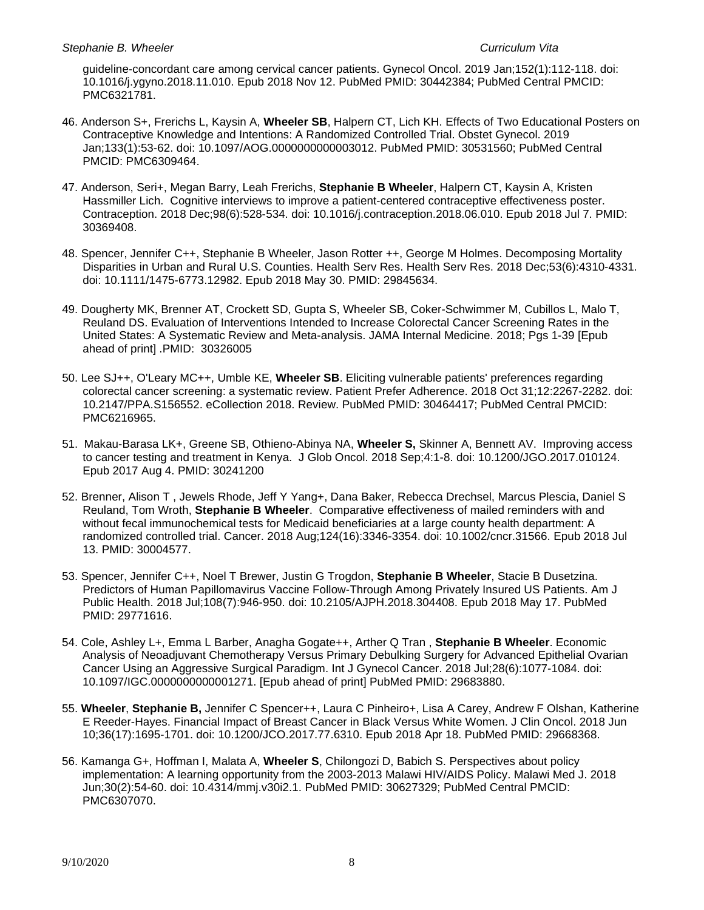guideline-concordant care among cervical cancer patients. Gynecol Oncol. 2019 Jan;152(1):112-118. doi: 10.1016/j.ygyno.2018.11.010. Epub 2018 Nov 12. PubMed PMID: 30442384; PubMed Central PMCID: PMC6321781.

- 46. Anderson S+, Frerichs L, Kaysin A, **Wheeler SB**, Halpern CT, Lich KH. Effects of Two Educational Posters on Contraceptive Knowledge and Intentions: A Randomized Controlled Trial. Obstet Gynecol. 2019 Jan;133(1):53-62. doi: 10.1097/AOG.0000000000003012. PubMed PMID: 30531560; PubMed Central PMCID: PMC6309464.
- 47. Anderson, Seri+, Megan Barry, Leah Frerichs, **Stephanie B Wheeler**, Halpern CT, Kaysin A, Kristen Hassmiller Lich. Cognitive interviews to improve a patient-centered contraceptive effectiveness poster. Contraception. 2018 Dec;98(6):528-534. doi: 10.1016/j.contraception.2018.06.010. Epub 2018 Jul 7. PMID: 30369408.
- 48. Spencer, Jennifer C++, Stephanie B Wheeler, Jason Rotter ++, George M Holmes. Decomposing Mortality Disparities in Urban and Rural U.S. Counties. Health Serv Res. Health Serv Res. 2018 Dec;53(6):4310-4331. doi: 10.1111/1475-6773.12982. Epub 2018 May 30. PMID: 29845634.
- 49. Dougherty MK, Brenner AT, Crockett SD, Gupta S, Wheeler SB, Coker-Schwimmer M, Cubillos L, Malo T, Reuland DS. Evaluation of Interventions Intended to Increase Colorectal Cancer Screening Rates in the United States: A Systematic Review and Meta-analysis. JAMA Internal Medicine. 2018; Pgs 1-39 [Epub ahead of print] .PMID: 30326005
- 50. Lee SJ++, O'Leary MC++, Umble KE, **Wheeler SB**. Eliciting vulnerable patients' preferences regarding colorectal cancer screening: a systematic review. Patient Prefer Adherence. 2018 Oct 31;12:2267-2282. doi: 10.2147/PPA.S156552. eCollection 2018. Review. PubMed PMID: 30464417; PubMed Central PMCID: PMC6216965.
- 51. Makau-Barasa LK+, Greene SB, Othieno-Abinya NA, **Wheeler S,** Skinner A, Bennett AV. Improving access to cancer testing and treatment in Kenya. J Glob Oncol. 2018 Sep;4:1-8. doi: 10.1200/JGO.2017.010124. Epub 2017 Aug 4. PMID: 30241200
- 52. Brenner, Alison T , Jewels Rhode, Jeff Y Yang+, Dana Baker, Rebecca Drechsel, Marcus Plescia, Daniel S Reuland, Tom Wroth, **Stephanie B Wheeler**. Comparative effectiveness of mailed reminders with and without fecal immunochemical tests for Medicaid beneficiaries at a large county health department: A randomized controlled trial. Cancer. 2018 Aug;124(16):3346-3354. doi: 10.1002/cncr.31566. Epub 2018 Jul 13. PMID: 30004577.
- 53. Spencer, Jennifer C++, Noel T Brewer, Justin G Trogdon, **Stephanie B Wheeler**, Stacie B Dusetzina. Predictors of Human Papillomavirus Vaccine Follow-Through Among Privately Insured US Patients. Am J Public Health. 2018 Jul;108(7):946-950. doi: 10.2105/AJPH.2018.304408. Epub 2018 May 17. PubMed PMID: 29771616.
- 54. Cole, Ashley L+, Emma L Barber, Anagha Gogate++, Arther Q Tran , **Stephanie B Wheeler**. Economic Analysis of Neoadjuvant Chemotherapy Versus Primary Debulking Surgery for Advanced Epithelial Ovarian Cancer Using an Aggressive Surgical Paradigm. Int J Gynecol Cancer. 2018 Jul;28(6):1077-1084. doi: 10.1097/IGC.0000000000001271. [Epub ahead of print] PubMed PMID: 29683880.
- 55. **Wheeler**, **Stephanie B,** Jennifer C Spencer++, Laura C Pinheiro+, Lisa A Carey, Andrew F Olshan, Katherine E Reeder-Hayes. Financial Impact of Breast Cancer in Black Versus White Women. J Clin Oncol. 2018 Jun 10;36(17):1695-1701. doi: 10.1200/JCO.2017.77.6310. Epub 2018 Apr 18. PubMed PMID: 29668368.
- 56. Kamanga G+, Hoffman I, Malata A, **Wheeler S**, Chilongozi D, Babich S. Perspectives about policy implementation: A learning opportunity from the 2003-2013 Malawi HIV/AIDS Policy. Malawi Med J. 2018 Jun;30(2):54-60. doi: 10.4314/mmj.v30i2.1. PubMed PMID: 30627329; PubMed Central PMCID: PMC6307070.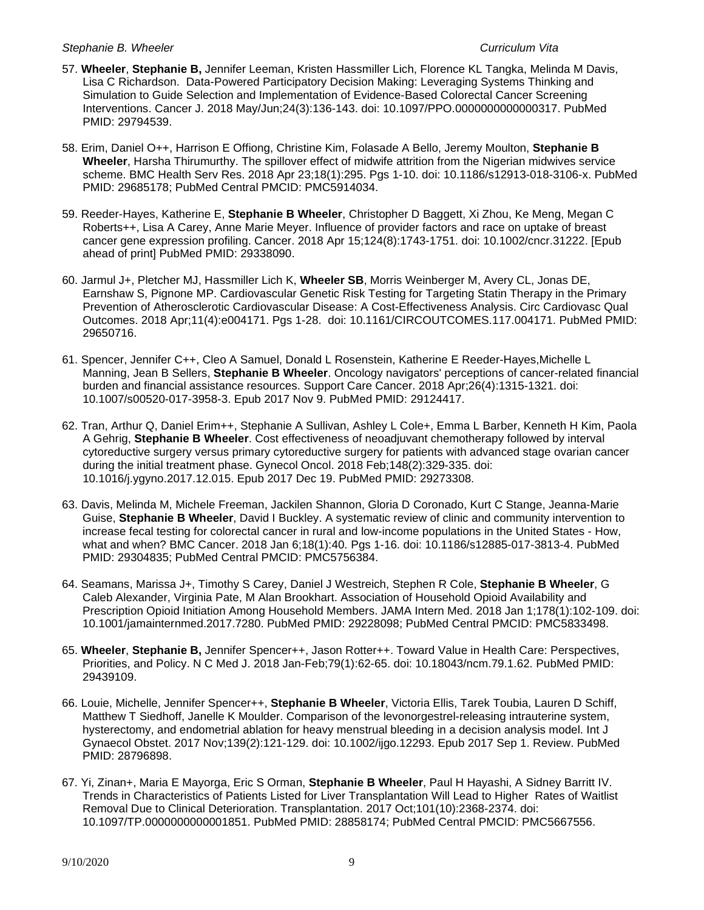- 57. **Wheeler**, **Stephanie B,** Jennifer Leeman, Kristen Hassmiller Lich, Florence KL Tangka, Melinda M Davis, Lisa C Richardson. Data-Powered Participatory Decision Making: Leveraging Systems Thinking and Simulation to Guide Selection and Implementation of Evidence-Based Colorectal Cancer Screening Interventions. Cancer J. 2018 May/Jun;24(3):136-143. doi: 10.1097/PPO.0000000000000317. PubMed PMID: 29794539.
- 58. Erim, Daniel O++, Harrison E Offiong, Christine Kim, Folasade A Bello, Jeremy Moulton, **Stephanie B Wheeler**, Harsha Thirumurthy. The spillover effect of midwife attrition from the Nigerian midwives service scheme. BMC Health Serv Res. 2018 Apr 23;18(1):295. Pgs 1-10. doi: 10.1186/s12913-018-3106-x. PubMed PMID: 29685178; PubMed Central PMCID: PMC5914034.
- 59. Reeder-Hayes, Katherine E, **Stephanie B Wheeler**, Christopher D Baggett, Xi Zhou, Ke Meng, Megan C Roberts++, Lisa A Carey, Anne Marie Meyer. Influence of provider factors and race on uptake of breast cancer gene expression profiling. Cancer. 2018 Apr 15;124(8):1743-1751. doi: 10.1002/cncr.31222. [Epub ahead of print] PubMed PMID: 29338090.
- 60. Jarmul J+, Pletcher MJ, Hassmiller Lich K, **Wheeler SB**, Morris Weinberger M, Avery CL, Jonas DE, Earnshaw S, Pignone MP. Cardiovascular Genetic Risk Testing for Targeting Statin Therapy in the Primary Prevention of Atherosclerotic Cardiovascular Disease: A Cost-Effectiveness Analysis. Circ Cardiovasc Qual Outcomes. 2018 Apr;11(4):e004171. Pgs 1-28. doi: 10.1161/CIRCOUTCOMES.117.004171. PubMed PMID: 29650716.
- 61. Spencer, Jennifer C++, Cleo A Samuel, Donald L Rosenstein, Katherine E Reeder-Hayes,Michelle L Manning, Jean B Sellers, **Stephanie B Wheeler**. Oncology navigators' perceptions of cancer-related financial burden and financial assistance resources. Support Care Cancer. 2018 Apr;26(4):1315-1321. doi: 10.1007/s00520-017-3958-3. Epub 2017 Nov 9. PubMed PMID: 29124417.
- 62. Tran, Arthur Q, Daniel Erim++, Stephanie A Sullivan, Ashley L Cole+, Emma L Barber, Kenneth H Kim, Paola A Gehrig, **Stephanie B Wheeler**. Cost effectiveness of neoadjuvant chemotherapy followed by interval cytoreductive surgery versus primary cytoreductive surgery for patients with advanced stage ovarian cancer during the initial treatment phase. Gynecol Oncol. 2018 Feb;148(2):329-335. doi: 10.1016/j.ygyno.2017.12.015. Epub 2017 Dec 19. PubMed PMID: 29273308.
- 63. Davis, Melinda M, Michele Freeman, Jackilen Shannon, Gloria D Coronado, Kurt C Stange, Jeanna-Marie Guise, **Stephanie B Wheeler**, David I Buckley. A systematic review of clinic and community intervention to increase fecal testing for colorectal cancer in rural and low-income populations in the United States - How, what and when? BMC Cancer. 2018 Jan 6;18(1):40. Pgs 1-16. doi: 10.1186/s12885-017-3813-4. PubMed PMID: 29304835; PubMed Central PMCID: PMC5756384.
- 64. Seamans, Marissa J+, Timothy S Carey, Daniel J Westreich, Stephen R Cole, **Stephanie B Wheeler**, G Caleb Alexander, Virginia Pate, M Alan Brookhart. Association of Household Opioid Availability and Prescription Opioid Initiation Among Household Members. JAMA Intern Med. 2018 Jan 1;178(1):102-109. doi: 10.1001/jamainternmed.2017.7280. PubMed PMID: 29228098; PubMed Central PMCID: PMC5833498.
- 65. **Wheeler**, **Stephanie B,** Jennifer Spencer++, Jason Rotter++. Toward Value in Health Care: Perspectives, Priorities, and Policy. N C Med J. 2018 Jan-Feb;79(1):62-65. doi: 10.18043/ncm.79.1.62. PubMed PMID: 29439109.
- 66. Louie, Michelle, Jennifer Spencer++, **Stephanie B Wheeler**, Victoria Ellis, Tarek Toubia, Lauren D Schiff, Matthew T Siedhoff, Janelle K Moulder. Comparison of the levonorgestrel-releasing intrauterine system, hysterectomy, and endometrial ablation for heavy menstrual bleeding in a decision analysis model. Int J Gynaecol Obstet. 2017 Nov;139(2):121-129. doi: 10.1002/ijgo.12293. Epub 2017 Sep 1. Review. PubMed PMID: 28796898.
- 67. Yi, Zinan+, Maria E Mayorga, Eric S Orman, **Stephanie B Wheeler**, Paul H Hayashi, A Sidney Barritt IV. Trends in Characteristics of Patients Listed for Liver Transplantation Will Lead to Higher Rates of Waitlist Removal Due to Clinical Deterioration. Transplantation. 2017 Oct;101(10):2368-2374. doi: 10.1097/TP.0000000000001851. PubMed PMID: 28858174; PubMed Central PMCID: PMC5667556.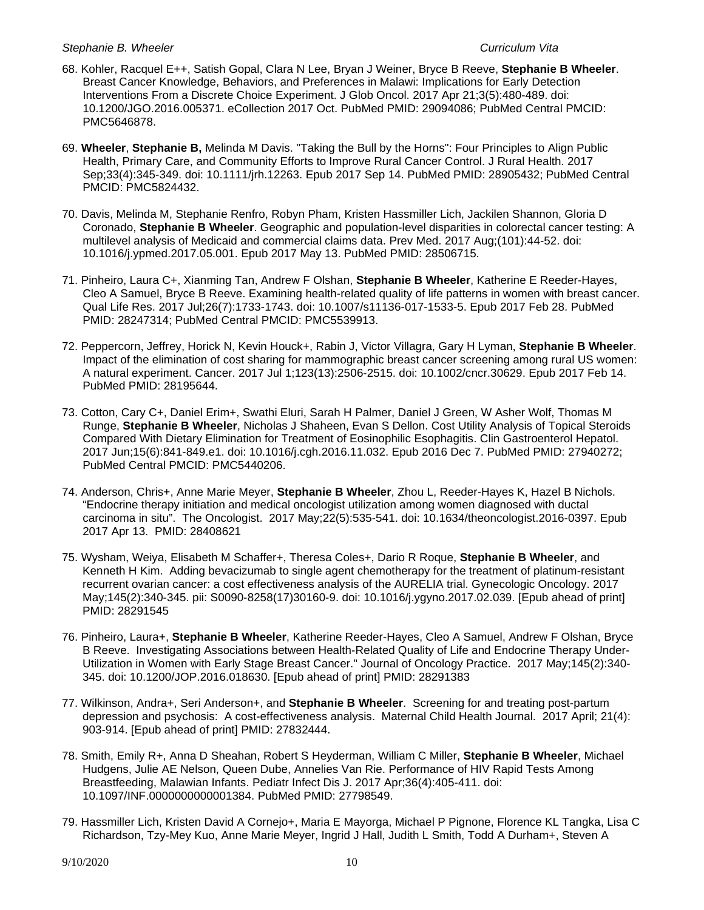- 68. Kohler, Racquel E++, Satish Gopal, Clara N Lee, Bryan J Weiner, Bryce B Reeve, **Stephanie B Wheeler**. Breast Cancer Knowledge, Behaviors, and Preferences in Malawi: Implications for Early Detection Interventions From a Discrete Choice Experiment. J Glob Oncol. 2017 Apr 21;3(5):480-489. doi: 10.1200/JGO.2016.005371. eCollection 2017 Oct. PubMed PMID: 29094086; PubMed Central PMCID: PMC5646878.
- 69. **Wheeler**, **Stephanie B,** Melinda M Davis. "Taking the Bull by the Horns": Four Principles to Align Public Health, Primary Care, and Community Efforts to Improve Rural Cancer Control. J Rural Health. 2017 Sep;33(4):345-349. doi: 10.1111/jrh.12263. Epub 2017 Sep 14. PubMed PMID: 28905432; PubMed Central PMCID: PMC5824432.
- 70. Davis, Melinda M, Stephanie Renfro, Robyn Pham, Kristen Hassmiller Lich, Jackilen Shannon, Gloria D Coronado, **Stephanie B Wheeler**. Geographic and population-level disparities in colorectal cancer testing: A multilevel analysis of Medicaid and commercial claims data. Prev Med. 2017 Aug;(101):44-52. doi: 10.1016/j.ypmed.2017.05.001. Epub 2017 May 13. PubMed PMID: 28506715.
- 71. Pinheiro, Laura C+, Xianming Tan, Andrew F Olshan, **Stephanie B Wheeler**, Katherine E Reeder-Hayes, Cleo A Samuel, Bryce B Reeve. Examining health-related quality of life patterns in women with breast cancer. Qual Life Res. 2017 Jul;26(7):1733-1743. doi: 10.1007/s11136-017-1533-5. Epub 2017 Feb 28. PubMed PMID: 28247314; PubMed Central PMCID: PMC5539913.
- 72. Peppercorn, Jeffrey, Horick N, Kevin Houck+, Rabin J, Victor Villagra, Gary H Lyman, **Stephanie B Wheeler**. Impact of the elimination of cost sharing for mammographic breast cancer screening among rural US women: A natural experiment. Cancer. 2017 Jul 1;123(13):2506-2515. doi: 10.1002/cncr.30629. Epub 2017 Feb 14. PubMed PMID: 28195644.
- 73. Cotton, Cary C+, Daniel Erim+, Swathi Eluri, Sarah H Palmer, Daniel J Green, W Asher Wolf, Thomas M Runge, **Stephanie B Wheeler**, Nicholas J Shaheen, Evan S Dellon. Cost Utility Analysis of Topical Steroids Compared With Dietary Elimination for Treatment of Eosinophilic Esophagitis. Clin Gastroenterol Hepatol. 2017 Jun;15(6):841-849.e1. doi: 10.1016/j.cgh.2016.11.032. Epub 2016 Dec 7. PubMed PMID: 27940272; PubMed Central PMCID: PMC5440206.
- 74. Anderson, Chris+, Anne Marie Meyer, **Stephanie B Wheeler**, Zhou L, Reeder-Hayes K, Hazel B Nichols. "Endocrine therapy initiation and medical oncologist utilization among women diagnosed with ductal carcinoma in situ". The Oncologist. 2017 May;22(5):535-541. doi: 10.1634/theoncologist.2016-0397. Epub 2017 Apr 13. PMID: 28408621
- 75. Wysham, Weiya, Elisabeth M Schaffer+, Theresa Coles+, Dario R Roque, **Stephanie B Wheeler**, and Kenneth H Kim. Adding bevacizumab to single agent chemotherapy for the treatment of platinum-resistant recurrent ovarian cancer: a cost effectiveness analysis of the AURELIA trial. Gynecologic Oncology. 2017 May;145(2):340-345. pii: S0090-8258(17)30160-9. doi: 10.1016/j.ygyno.2017.02.039. [Epub ahead of print] PMID: 28291545
- 76. Pinheiro, Laura+, **Stephanie B Wheeler**, Katherine Reeder-Hayes, Cleo A Samuel, Andrew F Olshan, Bryce B Reeve. Investigating Associations between Health-Related Quality of Life and Endocrine Therapy Under-Utilization in Women with Early Stage Breast Cancer." Journal of Oncology Practice. 2017 May;145(2):340- 345. doi: 10.1200/JOP.2016.018630. [Epub ahead of print] PMID: 28291383
- 77. Wilkinson, Andra+, Seri Anderson+, and **Stephanie B Wheeler**. Screening for and treating post-partum depression and psychosis: A cost-effectiveness analysis. Maternal Child Health Journal. 2017 April; 21(4): 903-914. [Epub ahead of print] PMID: 27832444.
- 78. Smith, Emily R+, Anna D Sheahan, Robert S Heyderman, William C Miller, **Stephanie B Wheeler**, Michael Hudgens, Julie AE Nelson, Queen Dube, Annelies Van Rie. Performance of HIV Rapid Tests Among Breastfeeding, Malawian Infants. Pediatr Infect Dis J. 2017 Apr;36(4):405-411. doi: 10.1097/INF.0000000000001384. PubMed PMID: 27798549.
- 79. Hassmiller Lich, Kristen David A Cornejo+, Maria E Mayorga, Michael P Pignone, Florence KL Tangka, Lisa C Richardson, Tzy-Mey Kuo, Anne Marie Meyer, Ingrid J Hall, Judith L Smith, Todd A Durham+, Steven A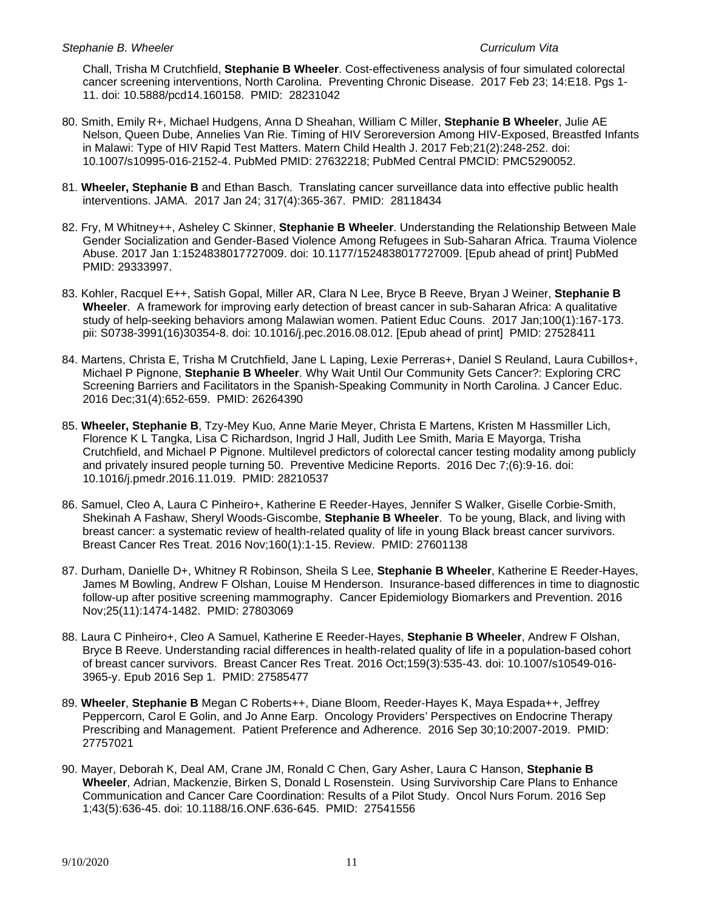Chall, Trisha M Crutchfield, **Stephanie B Wheeler**. Cost-effectiveness analysis of four simulated colorectal cancer screening interventions, North Carolina. Preventing Chronic Disease. 2017 Feb 23; 14:E18. Pgs 1- 11. doi: 10.5888/pcd14.160158. PMID: 28231042

- 80. Smith, Emily R+, Michael Hudgens, Anna D Sheahan, William C Miller, **Stephanie B Wheeler**, Julie AE Nelson, Queen Dube, Annelies Van Rie. Timing of HIV Seroreversion Among HIV-Exposed, Breastfed Infants in Malawi: Type of HIV Rapid Test Matters. Matern Child Health J. 2017 Feb;21(2):248-252. doi: 10.1007/s10995-016-2152-4. PubMed PMID: 27632218; PubMed Central PMCID: PMC5290052.
- 81. **Wheeler, Stephanie B** and Ethan Basch. Translating cancer surveillance data into effective public health interventions. JAMA. 2017 Jan 24; 317(4):365-367. PMID: 28118434
- 82. Fry, M Whitney++, Asheley C Skinner, **Stephanie B Wheeler**. Understanding the Relationship Between Male Gender Socialization and Gender-Based Violence Among Refugees in Sub-Saharan Africa. Trauma Violence Abuse. 2017 Jan 1:1524838017727009. doi: 10.1177/1524838017727009. [Epub ahead of print] PubMed PMID: 29333997.
- 83. Kohler, Racquel E++, Satish Gopal, Miller AR, Clara N Lee, Bryce B Reeve, Bryan J Weiner, **Stephanie B Wheeler**. A framework for improving early detection of breast cancer in sub-Saharan Africa: A qualitative study of help-seeking behaviors among Malawian women. Patient Educ Couns. 2017 Jan;100(1):167-173. pii: S0738-3991(16)30354-8. doi: 10.1016/j.pec.2016.08.012. [Epub ahead of print] PMID: 27528411
- 84. Martens, Christa E, Trisha M Crutchfield, Jane L Laping, Lexie Perreras+, Daniel S Reuland, Laura Cubillos+, Michael P Pignone, **Stephanie B Wheeler**. Why Wait Until Our Community Gets Cancer?: Exploring CRC Screening Barriers and Facilitators in the Spanish-Speaking Community in North Carolina. J Cancer Educ. 2016 Dec;31(4):652-659. PMID: 26264390
- 85. **Wheeler, Stephanie B**, Tzy-Mey Kuo, Anne Marie Meyer, Christa E Martens, Kristen M Hassmiller Lich, Florence K L Tangka, Lisa C Richardson, Ingrid J Hall, Judith Lee Smith, Maria E Mayorga, Trisha Crutchfield, and Michael P Pignone. Multilevel predictors of colorectal cancer testing modality among publicly and privately insured people turning 50. Preventive Medicine Reports. 2016 Dec 7;(6):9-16. doi: 10.1016/j.pmedr.2016.11.019. PMID: 28210537
- 86. Samuel, Cleo A, Laura C Pinheiro+, Katherine E Reeder-Hayes, Jennifer S Walker, Giselle Corbie-Smith, Shekinah A Fashaw, Sheryl Woods-Giscombe, **Stephanie B Wheeler**. To be young, Black, and living with breast cancer: a systematic review of health-related quality of life in young Black breast cancer survivors. Breast Cancer Res Treat. 2016 Nov;160(1):1-15. Review. PMID: 27601138
- 87. Durham, Danielle D+, Whitney R Robinson, Sheila S Lee, **Stephanie B Wheeler**, Katherine E Reeder-Hayes, James M Bowling, Andrew F Olshan, Louise M Henderson. Insurance-based differences in time to diagnostic follow-up after positive screening mammography. Cancer Epidemiology Biomarkers and Prevention. 2016 Nov;25(11):1474-1482. PMID: 27803069
- 88. Laura C Pinheiro+, Cleo A Samuel, Katherine E Reeder-Hayes, **Stephanie B Wheeler**, Andrew F Olshan, Bryce B Reeve. Understanding racial differences in health-related quality of life in a population-based cohort of breast cancer survivors. Breast Cancer Res Treat. 2016 Oct;159(3):535-43. doi: 10.1007/s10549-016- 3965-y. Epub 2016 Sep 1. PMID: 27585477
- 89. **Wheeler**, **Stephanie B** Megan C Roberts++, Diane Bloom, Reeder-Hayes K, Maya Espada++, Jeffrey Peppercorn, Carol E Golin, and Jo Anne Earp. Oncology Providers' Perspectives on Endocrine Therapy Prescribing and Management. Patient Preference and Adherence. 2016 Sep 30;10:2007-2019. PMID: 27757021
- 90. Mayer, Deborah K, Deal AM, Crane JM, Ronald C Chen, Gary Asher, Laura C Hanson, **Stephanie B Wheeler**, Adrian, Mackenzie, Birken S, Donald L Rosenstein. Using Survivorship Care Plans to Enhance Communication and Cancer Care Coordination: Results of a Pilot Study. Oncol Nurs Forum. 2016 Sep 1;43(5):636-45. doi: 10.1188/16.ONF.636-645. PMID: 27541556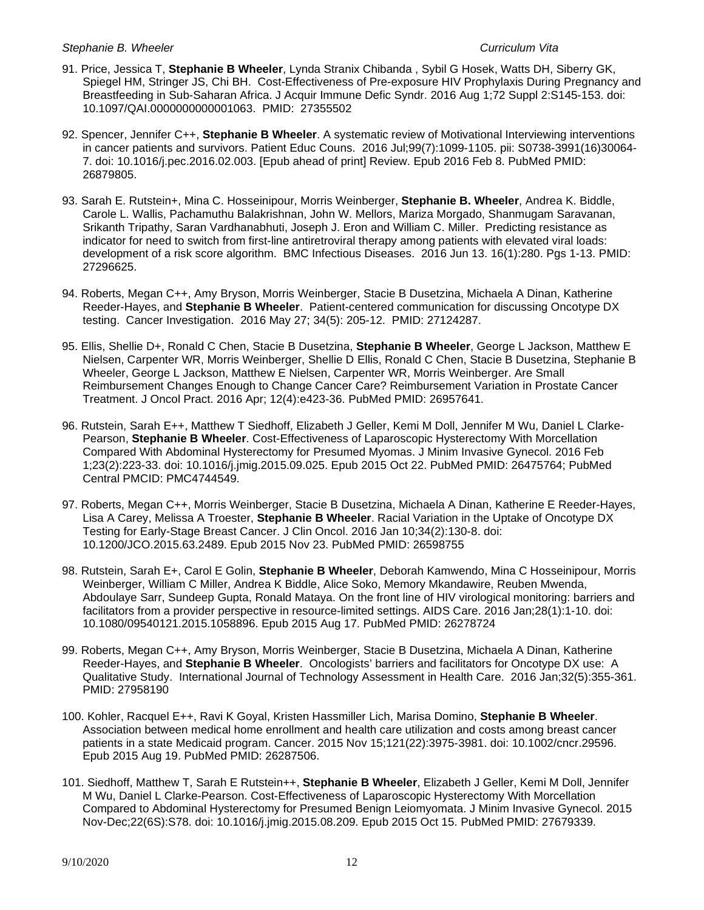- 91. Price, Jessica T, **Stephanie B Wheeler**, Lynda Stranix Chibanda , Sybil G Hosek, Watts DH, Siberry GK, Spiegel HM, Stringer JS, Chi BH. Cost-Effectiveness of Pre-exposure HIV Prophylaxis During Pregnancy and Breastfeeding in Sub-Saharan Africa. J Acquir Immune Defic Syndr. 2016 Aug 1;72 Suppl 2:S145-153. doi: 10.1097/QAI.0000000000001063. PMID: 27355502
- 92. Spencer, Jennifer C++, **Stephanie B Wheeler**. A systematic review of Motivational Interviewing interventions in cancer patients and survivors. Patient Educ Couns. 2016 Jul;99(7):1099-1105. pii: S0738-3991(16)30064- 7. doi: 10.1016/j.pec.2016.02.003. [Epub ahead of print] Review. Epub 2016 Feb 8. PubMed PMID: 26879805.
- 93. Sarah E. Rutstein+, Mina C. Hosseinipour, Morris Weinberger, **Stephanie B. Wheeler**, Andrea K. Biddle, Carole L. Wallis, Pachamuthu Balakrishnan, John W. Mellors, Mariza Morgado, Shanmugam Saravanan, Srikanth Tripathy, Saran Vardhanabhuti, Joseph J. Eron and William C. Miller. Predicting resistance as indicator for need to switch from first-line antiretroviral therapy among patients with elevated viral loads: development of a risk score algorithm. BMC Infectious Diseases. 2016 Jun 13. 16(1):280. Pgs 1-13. PMID: 27296625.
- 94. Roberts, Megan C++, Amy Bryson, Morris Weinberger, Stacie B Dusetzina, Michaela A Dinan, Katherine Reeder-Hayes, and **Stephanie B Wheeler**. Patient-centered communication for discussing Oncotype DX testing. Cancer Investigation. 2016 May 27; 34(5): 205-12. PMID: 27124287.
- 95. Ellis, Shellie D+, Ronald C Chen, Stacie B Dusetzina, **Stephanie B Wheeler**, George L Jackson, Matthew E Nielsen, Carpenter WR, Morris Weinberger, Shellie D Ellis, Ronald C Chen, Stacie B Dusetzina, Stephanie B Wheeler, George L Jackson, Matthew E Nielsen, Carpenter WR, Morris Weinberger. Are Small Reimbursement Changes Enough to Change Cancer Care? Reimbursement Variation in Prostate Cancer Treatment. J Oncol Pract. 2016 Apr; 12(4):e423-36. PubMed PMID: 26957641.
- 96. Rutstein, Sarah E++, Matthew T Siedhoff, Elizabeth J Geller, Kemi M Doll, Jennifer M Wu, Daniel L Clarke-Pearson, **Stephanie B Wheeler**. Cost-Effectiveness of Laparoscopic Hysterectomy With Morcellation Compared With Abdominal Hysterectomy for Presumed Myomas. J Minim Invasive Gynecol. 2016 Feb 1;23(2):223-33. doi: 10.1016/j.jmig.2015.09.025. Epub 2015 Oct 22. PubMed PMID: 26475764; PubMed Central PMCID: PMC4744549.
- 97. Roberts, Megan C++, Morris Weinberger, Stacie B Dusetzina, Michaela A Dinan, Katherine E Reeder-Hayes, Lisa A Carey, Melissa A Troester, **Stephanie B Wheeler**. Racial Variation in the Uptake of Oncotype DX Testing for Early-Stage Breast Cancer. J Clin Oncol. 2016 Jan 10;34(2):130-8. doi: 10.1200/JCO.2015.63.2489. Epub 2015 Nov 23. PubMed PMID: 26598755
- 98. Rutstein, Sarah E+, Carol E Golin, **Stephanie B Wheeler**, Deborah Kamwendo, Mina C Hosseinipour, Morris Weinberger, William C Miller, Andrea K Biddle, Alice Soko, Memory Mkandawire, Reuben Mwenda, Abdoulaye Sarr, Sundeep Gupta, Ronald Mataya. On the front line of HIV virological monitoring: barriers and facilitators from a provider perspective in resource-limited settings. AIDS Care. 2016 Jan;28(1):1-10. doi: 10.1080/09540121.2015.1058896. Epub 2015 Aug 17. PubMed PMID: 26278724
- 99. Roberts, Megan C++, Amy Bryson, Morris Weinberger, Stacie B Dusetzina, Michaela A Dinan, Katherine Reeder-Hayes, and **Stephanie B Wheeler**. Oncologists' barriers and facilitators for Oncotype DX use: A Qualitative Study. International Journal of Technology Assessment in Health Care. 2016 Jan;32(5):355-361. PMID: 27958190
- 100. Kohler, Racquel E++, Ravi K Goyal, Kristen Hassmiller Lich, Marisa Domino, **Stephanie B Wheeler**. Association between medical home enrollment and health care utilization and costs among breast cancer patients in a state Medicaid program. Cancer. 2015 Nov 15;121(22):3975-3981. doi: 10.1002/cncr.29596. Epub 2015 Aug 19. PubMed PMID: 26287506.
- 101. Siedhoff, Matthew T, Sarah E Rutstein++, **Stephanie B Wheeler**, Elizabeth J Geller, Kemi M Doll, Jennifer M Wu, Daniel L Clarke-Pearson. Cost-Effectiveness of Laparoscopic Hysterectomy With Morcellation Compared to Abdominal Hysterectomy for Presumed Benign Leiomyomata. J Minim Invasive Gynecol. 2015 Nov-Dec;22(6S):S78. doi: 10.1016/j.jmig.2015.08.209. Epub 2015 Oct 15. PubMed PMID: 27679339.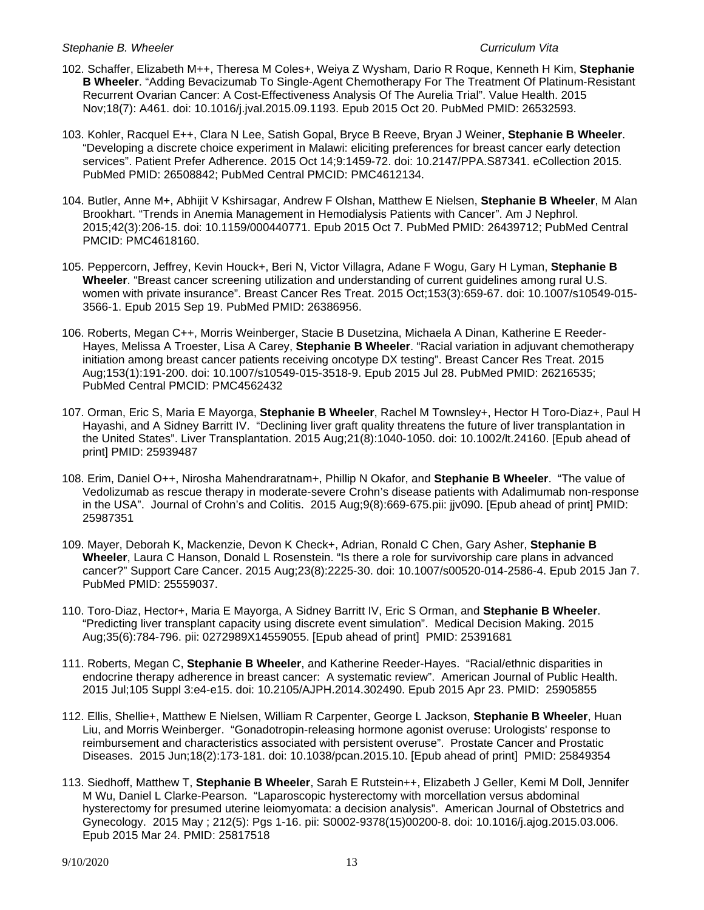- 102. Schaffer, Elizabeth M++, Theresa M Coles+, Weiya Z Wysham, Dario R Roque, Kenneth H Kim, **Stephanie B Wheeler**. "Adding Bevacizumab To Single-Agent Chemotherapy For The Treatment Of Platinum-Resistant Recurrent Ovarian Cancer: A Cost-Effectiveness Analysis Of The Aurelia Trial". Value Health. 2015 Nov;18(7): A461. doi: 10.1016/j.jval.2015.09.1193. Epub 2015 Oct 20. PubMed PMID: 26532593.
- 103. Kohler, Racquel E++, Clara N Lee, Satish Gopal, Bryce B Reeve, Bryan J Weiner, **Stephanie B Wheeler**. "Developing a discrete choice experiment in Malawi: eliciting preferences for breast cancer early detection services". Patient Prefer Adherence. 2015 Oct 14;9:1459-72. doi: 10.2147/PPA.S87341. eCollection 2015. PubMed PMID: 26508842; PubMed Central PMCID: PMC4612134.
- 104. Butler, Anne M+, Abhijit V Kshirsagar, Andrew F Olshan, Matthew E Nielsen, **Stephanie B Wheeler**, M Alan Brookhart. "Trends in Anemia Management in Hemodialysis Patients with Cancer". Am J Nephrol. 2015;42(3):206-15. doi: 10.1159/000440771. Epub 2015 Oct 7. PubMed PMID: 26439712; PubMed Central PMCID: PMC4618160.
- 105. Peppercorn, Jeffrey, Kevin Houck+, Beri N, Victor Villagra, Adane F Wogu, Gary H Lyman, **Stephanie B Wheeler**. "Breast cancer screening utilization and understanding of current guidelines among rural U.S. women with private insurance". Breast Cancer Res Treat. 2015 Oct;153(3):659-67. doi: 10.1007/s10549-015- 3566-1. Epub 2015 Sep 19. PubMed PMID: 26386956.
- 106. Roberts, Megan C++, Morris Weinberger, Stacie B Dusetzina, Michaela A Dinan, Katherine E Reeder-Hayes, Melissa A Troester, Lisa A Carey, **Stephanie B Wheeler**. "Racial variation in adjuvant chemotherapy initiation among breast cancer patients receiving oncotype DX testing". Breast Cancer Res Treat. 2015 Aug;153(1):191-200. doi: 10.1007/s10549-015-3518-9. Epub 2015 Jul 28. PubMed PMID: 26216535; PubMed Central PMCID: PMC4562432
- 107. Orman, Eric S, Maria E Mayorga, **Stephanie B Wheeler**, Rachel M Townsley+, Hector H Toro-Diaz+, Paul H Hayashi, and A Sidney Barritt IV. "Declining liver graft quality threatens the future of liver transplantation in the United States". Liver Transplantation. 2015 Aug;21(8):1040-1050. doi: 10.1002/lt.24160. [Epub ahead of print] PMID: 25939487
- 108. Erim, Daniel O++, Nirosha Mahendraratnam+, Phillip N Okafor, and **Stephanie B Wheeler**. "The value of Vedolizumab as rescue therapy in moderate-severe Crohn's disease patients with Adalimumab non-response in the USA". Journal of Crohn's and Colitis. 2015 Aug;9(8):669-675.pii: jjv090. [Epub ahead of print] PMID: 25987351
- 109. Mayer, Deborah K, Mackenzie, Devon K Check+, Adrian, Ronald C Chen, Gary Asher, **Stephanie B Wheeler**, Laura C Hanson, Donald L Rosenstein. "Is there a role for survivorship care plans in advanced cancer?" Support Care Cancer. 2015 Aug;23(8):2225-30. doi: 10.1007/s00520-014-2586-4. Epub 2015 Jan 7. PubMed PMID: 25559037.
- 110. Toro-Diaz, Hector+, Maria E Mayorga, A Sidney Barritt IV, Eric S Orman, and **Stephanie B Wheeler**. "Predicting liver transplant capacity using discrete event simulation". Medical Decision Making. 2015 Aug;35(6):784-796. pii: 0272989X14559055. [Epub ahead of print] PMID: 25391681
- 111. Roberts, Megan C, **Stephanie B Wheeler**, and Katherine Reeder-Hayes. "Racial/ethnic disparities in endocrine therapy adherence in breast cancer: A systematic review". American Journal of Public Health. 2015 Jul;105 Suppl 3:e4-e15. doi: 10.2105/AJPH.2014.302490. Epub 2015 Apr 23. PMID: 25905855
- 112. Ellis, Shellie+, Matthew E Nielsen, William R Carpenter, George L Jackson, **Stephanie B Wheeler**, Huan Liu, and Morris Weinberger. "Gonadotropin-releasing hormone agonist overuse: Urologists' response to reimbursement and characteristics associated with persistent overuse". Prostate Cancer and Prostatic Diseases. 2015 Jun;18(2):173-181. doi: 10.1038/pcan.2015.10. [Epub ahead of print] PMID: 25849354
- 113. Siedhoff, Matthew T, **Stephanie B Wheeler**, Sarah E Rutstein++, Elizabeth J Geller, Kemi M Doll, Jennifer M Wu, Daniel L Clarke-Pearson. "Laparoscopic hysterectomy with morcellation versus abdominal hysterectomy for presumed uterine leiomyomata: a decision analysis". American Journal of Obstetrics and Gynecology. 2015 May ; 212(5): Pgs 1-16. pii: S0002-9378(15)00200-8. doi: 10.1016/j.ajog.2015.03.006. Epub 2015 Mar 24. PMID: 25817518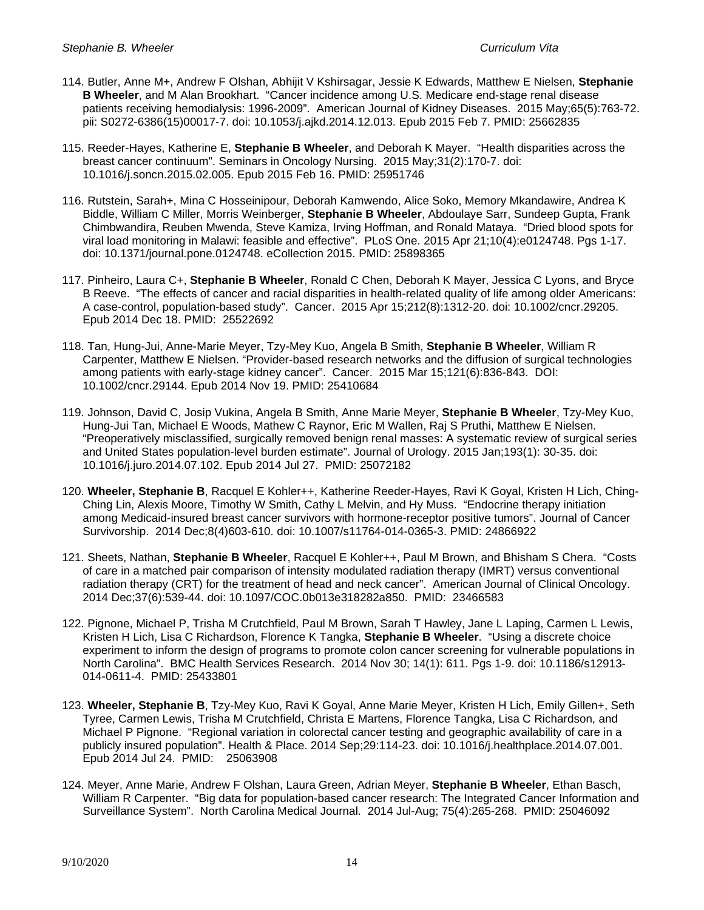- 114. Butler, Anne M+, Andrew F Olshan, Abhijit V Kshirsagar, Jessie K Edwards, Matthew E Nielsen, **Stephanie B Wheeler**, and M Alan Brookhart. "Cancer incidence among U.S. Medicare end-stage renal disease patients receiving hemodialysis: 1996-2009". American Journal of Kidney Diseases. 2015 May;65(5):763-72. pii: S0272-6386(15)00017-7. doi: 10.1053/j.ajkd.2014.12.013. Epub 2015 Feb 7. PMID: 25662835
- 115. Reeder-Hayes, Katherine E, **Stephanie B Wheeler**, and Deborah K Mayer. "Health disparities across the breast cancer continuum". Seminars in Oncology Nursing. 2015 May;31(2):170-7. doi: 10.1016/j.soncn.2015.02.005. Epub 2015 Feb 16. PMID: 25951746
- 116. Rutstein, Sarah+, Mina C Hosseinipour, Deborah Kamwendo, Alice Soko, Memory Mkandawire, Andrea K Biddle, William C Miller, Morris Weinberger, **Stephanie B Wheeler**, Abdoulaye Sarr, Sundeep Gupta, Frank Chimbwandira, Reuben Mwenda, Steve Kamiza, Irving Hoffman, and Ronald Mataya. "Dried blood spots for viral load monitoring in Malawi: feasible and effective". PLoS One. 2015 Apr 21;10(4):e0124748. Pgs 1-17. doi: 10.1371/journal.pone.0124748. eCollection 2015. PMID: 25898365
- 117. Pinheiro, Laura C+, **Stephanie B Wheeler**, Ronald C Chen, Deborah K Mayer, Jessica C Lyons, and Bryce B Reeve. "The effects of cancer and racial disparities in health-related quality of life among older Americans: A case-control, population-based study". Cancer. 2015 Apr 15;212(8):1312-20. doi: 10.1002/cncr.29205. Epub 2014 Dec 18. PMID: 25522692
- 118. Tan, Hung-Jui, Anne-Marie Meyer, Tzy-Mey Kuo, Angela B Smith, **Stephanie B Wheeler**, William R Carpenter, Matthew E Nielsen. "Provider-based research networks and the diffusion of surgical technologies among patients with early-stage kidney cancer". Cancer. 2015 Mar 15;121(6):836-843. DOI: 10.1002/cncr.29144. Epub 2014 Nov 19. PMID: 25410684
- 119. Johnson, David C, Josip Vukina, Angela B Smith, Anne Marie Meyer, **Stephanie B Wheeler**, Tzy-Mey Kuo, Hung-Jui Tan, Michael E Woods, Mathew C Raynor, Eric M Wallen, Raj S Pruthi, Matthew E Nielsen. "Preoperatively misclassified, surgically removed benign renal masses: A systematic review of surgical series and United States population-level burden estimate". Journal of Urology. 2015 Jan;193(1): 30-35. doi: 10.1016/j.juro.2014.07.102. Epub 2014 Jul 27. PMID: 25072182
- 120. **Wheeler, Stephanie B**, Racquel E Kohler++, Katherine Reeder-Hayes, Ravi K Goyal, Kristen H Lich, Ching-Ching Lin, Alexis Moore, Timothy W Smith, Cathy L Melvin, and Hy Muss. "Endocrine therapy initiation among Medicaid-insured breast cancer survivors with hormone-receptor positive tumors". Journal of Cancer Survivorship. 2014 Dec;8(4)603-610. doi: 10.1007/s11764-014-0365-3. PMID: 24866922
- 121. Sheets, Nathan, **Stephanie B Wheeler**, Racquel E Kohler++, Paul M Brown, and Bhisham S Chera. "Costs of care in a matched pair comparison of intensity modulated radiation therapy (IMRT) versus conventional radiation therapy (CRT) for the treatment of head and neck cancer". American Journal of Clinical Oncology. 2014 Dec;37(6):539-44. doi: 10.1097/COC.0b013e318282a850. PMID: 23466583
- 122. Pignone, Michael P, Trisha M Crutchfield, Paul M Brown, Sarah T Hawley, Jane L Laping, Carmen L Lewis, Kristen H Lich, Lisa C Richardson, Florence K Tangka, **Stephanie B Wheeler**. "Using a discrete choice experiment to inform the design of programs to promote colon cancer screening for vulnerable populations in North Carolina". BMC Health Services Research. 2014 Nov 30; 14(1): 611. Pgs 1-9. doi: 10.1186/s12913- 014-0611-4. PMID: 25433801
- 123. **Wheeler, Stephanie B**, Tzy-Mey Kuo, Ravi K Goyal, Anne Marie Meyer, Kristen H Lich, Emily Gillen+, Seth Tyree, Carmen Lewis, Trisha M Crutchfield, Christa E Martens, Florence Tangka, Lisa C Richardson, and Michael P Pignone. "Regional variation in colorectal cancer testing and geographic availability of care in a publicly insured population". Health & Place. 2014 Sep;29:114-23. doi: 10.1016/j.healthplace.2014.07.001. Epub 2014 Jul 24. PMID: 25063908
- 124. Meyer, Anne Marie, Andrew F Olshan, Laura Green, Adrian Meyer, **Stephanie B Wheeler**, Ethan Basch, William R Carpenter. "Big data for population-based cancer research: The Integrated Cancer Information and Surveillance System". North Carolina Medical Journal. 2014 Jul-Aug; 75(4):265-268. PMID: 25046092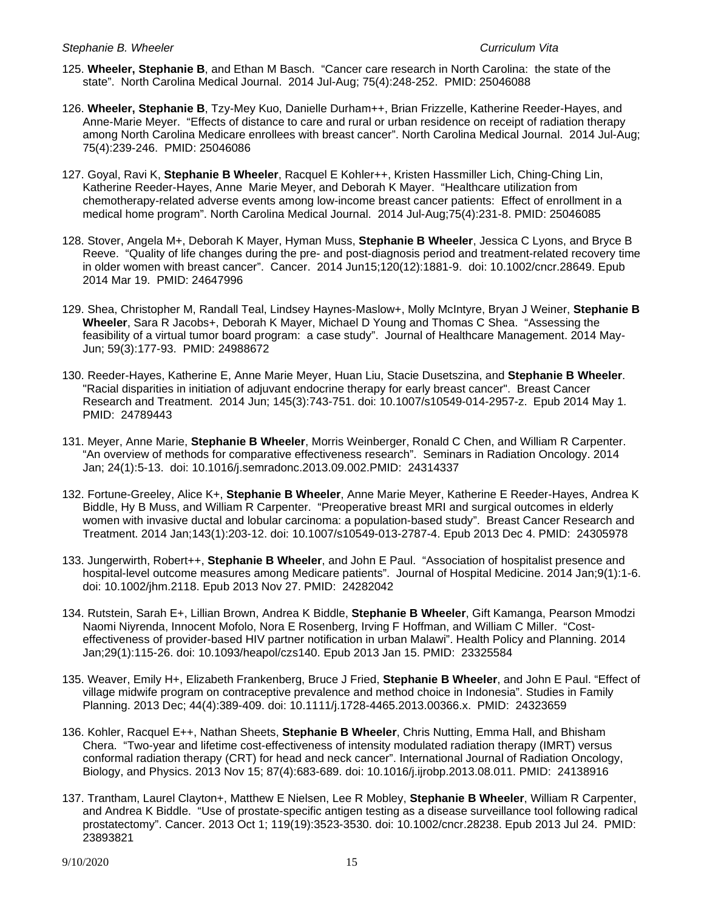- 125. **Wheeler, Stephanie B**, and Ethan M Basch. "Cancer care research in North Carolina: the state of the state". North Carolina Medical Journal. 2014 Jul-Aug; 75(4):248-252. PMID: 25046088
- 126. **Wheeler, Stephanie B**, Tzy-Mey Kuo, Danielle Durham++, Brian Frizzelle, Katherine Reeder-Hayes, and Anne-Marie Meyer. "Effects of distance to care and rural or urban residence on receipt of radiation therapy among North Carolina Medicare enrollees with breast cancer". North Carolina Medical Journal. 2014 Jul-Aug; 75(4):239-246. PMID: 25046086
- 127. Goyal, Ravi K, **Stephanie B Wheeler**, Racquel E Kohler++, Kristen Hassmiller Lich, Ching-Ching Lin, Katherine Reeder-Hayes, Anne Marie Meyer, and Deborah K Mayer. "Healthcare utilization from chemotherapy-related adverse events among low-income breast cancer patients: Effect of enrollment in a medical home program". North Carolina Medical Journal. 2014 Jul-Aug;75(4):231-8. PMID: 25046085
- 128. Stover, Angela M+, Deborah K Mayer, Hyman Muss, **Stephanie B Wheeler**, Jessica C Lyons, and Bryce B Reeve. "Quality of life changes during the pre- and post-diagnosis period and treatment-related recovery time in older women with breast cancer". Cancer. 2014 Jun15;120(12):1881-9. doi: 10.1002/cncr.28649. Epub 2014 Mar 19. PMID: 24647996
- 129. Shea, Christopher M, Randall Teal, Lindsey Haynes-Maslow+, Molly McIntyre, Bryan J Weiner, **Stephanie B Wheeler**, Sara R Jacobs+, Deborah K Mayer, Michael D Young and Thomas C Shea. "Assessing the feasibility of a virtual tumor board program: a case study". Journal of Healthcare Management. 2014 May-Jun; 59(3):177-93. PMID: 24988672
- 130. Reeder-Hayes, Katherine E, Anne Marie Meyer, Huan Liu, Stacie Dusetszina, and **Stephanie B Wheeler**. "Racial disparities in initiation of adjuvant endocrine therapy for early breast cancer". Breast Cancer Research and Treatment. 2014 Jun; 145(3):743-751. doi: 10.1007/s10549-014-2957-z. Epub 2014 May 1. PMID: 24789443
- 131. Meyer, Anne Marie, **Stephanie B Wheeler**, Morris Weinberger, Ronald C Chen, and William R Carpenter. "An overview of methods for comparative effectiveness research". Seminars in Radiation Oncology. 2014 Jan; 24(1):5-13. doi: 10.1016/j.semradonc.2013.09.002.PMID: 24314337
- 132. Fortune-Greeley, Alice K+, **Stephanie B Wheeler**, Anne Marie Meyer, Katherine E Reeder-Hayes, Andrea K Biddle, Hy B Muss, and William R Carpenter. "Preoperative breast MRI and surgical outcomes in elderly women with invasive ductal and lobular carcinoma: a population-based study". Breast Cancer Research and Treatment. 2014 Jan;143(1):203-12. doi: 10.1007/s10549-013-2787-4. Epub 2013 Dec 4. PMID: 24305978
- 133. Jungerwirth, Robert++, **Stephanie B Wheeler**, and John E Paul. "Association of hospitalist presence and hospital-level outcome measures among Medicare patients". Journal of Hospital Medicine. 2014 Jan;9(1):1-6. doi: 10.1002/jhm.2118. Epub 2013 Nov 27. PMID: 24282042
- 134. Rutstein, Sarah E+, Lillian Brown, Andrea K Biddle, **Stephanie B Wheeler**, Gift Kamanga, Pearson Mmodzi Naomi Niyrenda, Innocent Mofolo, Nora E Rosenberg, Irving F Hoffman, and William C Miller. "Costeffectiveness of provider-based HIV partner notification in urban Malawi". Health Policy and Planning. 2014 Jan;29(1):115-26. doi: 10.1093/heapol/czs140. Epub 2013 Jan 15. PMID: 23325584
- 135. Weaver, Emily H+, Elizabeth Frankenberg, Bruce J Fried, **Stephanie B Wheeler**, and John E Paul. "Effect of village midwife program on contraceptive prevalence and method choice in Indonesia". Studies in Family Planning. 2013 Dec; 44(4):389-409. doi: 10.1111/j.1728-4465.2013.00366.x. PMID: 24323659
- 136. Kohler, Racquel E++, Nathan Sheets, **Stephanie B Wheeler**, Chris Nutting, Emma Hall, and Bhisham Chera. "Two-year and lifetime cost-effectiveness of intensity modulated radiation therapy (IMRT) versus conformal radiation therapy (CRT) for head and neck cancer". International Journal of Radiation Oncology, Biology, and Physics. 2013 Nov 15; 87(4):683-689. doi: 10.1016/j.ijrobp.2013.08.011. PMID: 24138916
- 137. Trantham, Laurel Clayton+, Matthew E Nielsen, Lee R Mobley, **Stephanie B Wheeler**, William R Carpenter, and Andrea K Biddle. "Use of prostate-specific antigen testing as a disease surveillance tool following radical prostatectomy". Cancer. 2013 Oct 1; 119(19):3523-3530. doi: 10.1002/cncr.28238. Epub 2013 Jul 24. PMID: 23893821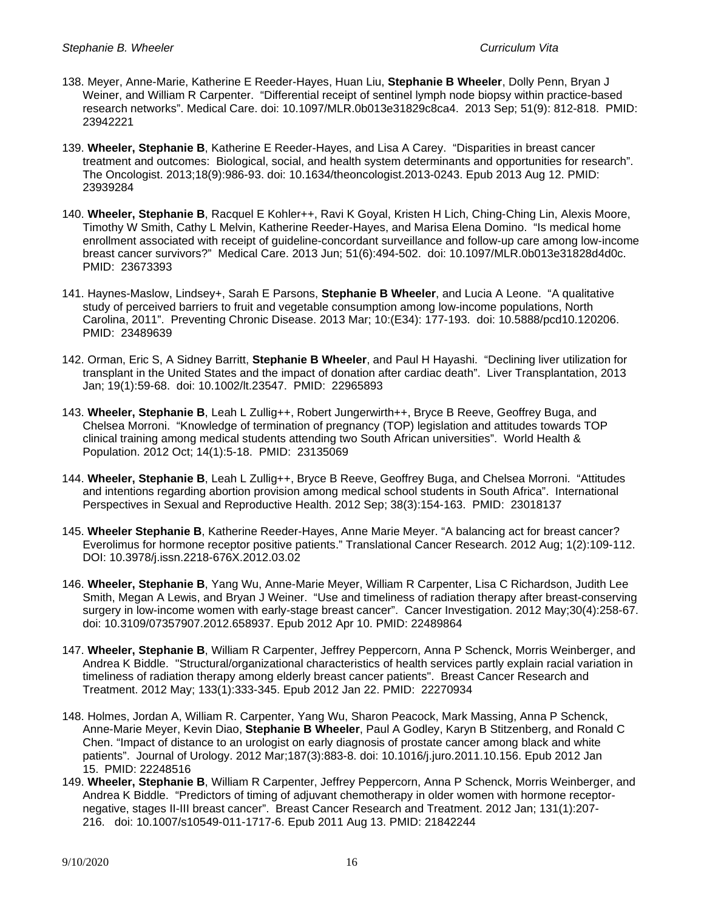- 138. Meyer, Anne-Marie, Katherine E Reeder-Hayes, Huan Liu, **Stephanie B Wheeler**, Dolly Penn, Bryan J Weiner, and William R Carpenter. "Differential receipt of sentinel lymph node biopsy within practice-based research networks". Medical Care. doi: 10.1097/MLR.0b013e31829c8ca4. 2013 Sep; 51(9): 812-818. PMID: 23942221
- 139. **Wheeler, Stephanie B**, Katherine E Reeder-Hayes, and Lisa A Carey. "Disparities in breast cancer treatment and outcomes: Biological, social, and health system determinants and opportunities for research". The Oncologist. 2013;18(9):986-93. doi: 10.1634/theoncologist.2013-0243. Epub 2013 Aug 12. PMID: 23939284
- 140. **Wheeler, Stephanie B**, Racquel E Kohler++, Ravi K Goyal, Kristen H Lich, Ching-Ching Lin, Alexis Moore, Timothy W Smith, Cathy L Melvin, Katherine Reeder-Hayes, and Marisa Elena Domino. "Is medical home enrollment associated with receipt of guideline-concordant surveillance and follow-up care among low-income breast cancer survivors?" Medical Care. 2013 Jun; 51(6):494-502. doi: 10.1097/MLR.0b013e31828d4d0c. PMID: 23673393
- 141. Haynes-Maslow, Lindsey+, Sarah E Parsons, **Stephanie B Wheeler**, and Lucia A Leone. "A qualitative study of perceived barriers to fruit and vegetable consumption among low-income populations, North Carolina, 2011". Preventing Chronic Disease. 2013 Mar; 10:(E34): 177-193. doi: 10.5888/pcd10.120206. PMID: 23489639
- 142. Orman, Eric S, A Sidney Barritt, **Stephanie B Wheeler**, and Paul H Hayashi. "Declining liver utilization for transplant in the United States and the impact of donation after cardiac death". Liver Transplantation, 2013 Jan; 19(1):59-68. doi: 10.1002/lt.23547. PMID: 22965893
- 143. Wheeler, Stephanie B, Leah L Zullig++, Robert Jungerwirth++, Bryce B Reeve, Geoffrey Buga, and Chelsea Morroni. "Knowledge of termination of pregnancy (TOP) legislation and attitudes towards TOP clinical training among medical students attending two South African universities". World Health & Population. 2012 Oct; 14(1):5-18. PMID: 23135069
- 144. **Wheeler, Stephanie B**, Leah L Zullig++, Bryce B Reeve, Geoffrey Buga, and Chelsea Morroni. "Attitudes and intentions regarding abortion provision among medical school students in South Africa". International Perspectives in Sexual and Reproductive Health. 2012 Sep; 38(3):154-163. PMID: 23018137
- 145. **Wheeler Stephanie B**, Katherine Reeder-Hayes, Anne Marie Meyer. "A balancing act for breast cancer? Everolimus for hormone receptor positive patients." Translational Cancer Research. 2012 Aug; 1(2):109-112. DOI: 10.3978/j.issn.2218-676X.2012.03.02
- 146. **Wheeler, Stephanie B**, Yang Wu, Anne-Marie Meyer, William R Carpenter, Lisa C Richardson, Judith Lee Smith, Megan A Lewis, and Bryan J Weiner. "Use and timeliness of radiation therapy after breast-conserving surgery in low-income women with early-stage breast cancer". Cancer Investigation. 2012 May;30(4):258-67. doi: 10.3109/07357907.2012.658937. Epub 2012 Apr 10. PMID: 22489864
- 147. **Wheeler, Stephanie B**, William R Carpenter, Jeffrey Peppercorn, Anna P Schenck, Morris Weinberger, and Andrea K Biddle. "Structural/organizational characteristics of health services partly explain racial variation in timeliness of radiation therapy among elderly breast cancer patients". Breast Cancer Research and Treatment. 2012 May; 133(1):333-345. Epub 2012 Jan 22. PMID: 22270934
- 148. Holmes, Jordan A, William R. Carpenter, Yang Wu, Sharon Peacock, Mark Massing, Anna P Schenck, Anne-Marie Meyer, Kevin Diao, **Stephanie B Wheeler**, Paul A Godley, Karyn B Stitzenberg, and Ronald C Chen. "Impact of distance to an urologist on early diagnosis of prostate cancer among black and white patients". Journal of Urology. 2012 Mar;187(3):883-8. doi: 10.1016/j.juro.2011.10.156. Epub 2012 Jan 15. PMID: 22248516
- 149. **Wheeler, Stephanie B**, William R Carpenter, Jeffrey Peppercorn, Anna P Schenck, Morris Weinberger, and Andrea K Biddle. "Predictors of timing of adjuvant chemotherapy in older women with hormone receptornegative, stages II-III breast cancer". Breast Cancer Research and Treatment. 2012 Jan; 131(1):207- 216. doi: 10.1007/s10549-011-1717-6. Epub 2011 Aug 13. PMID: 21842244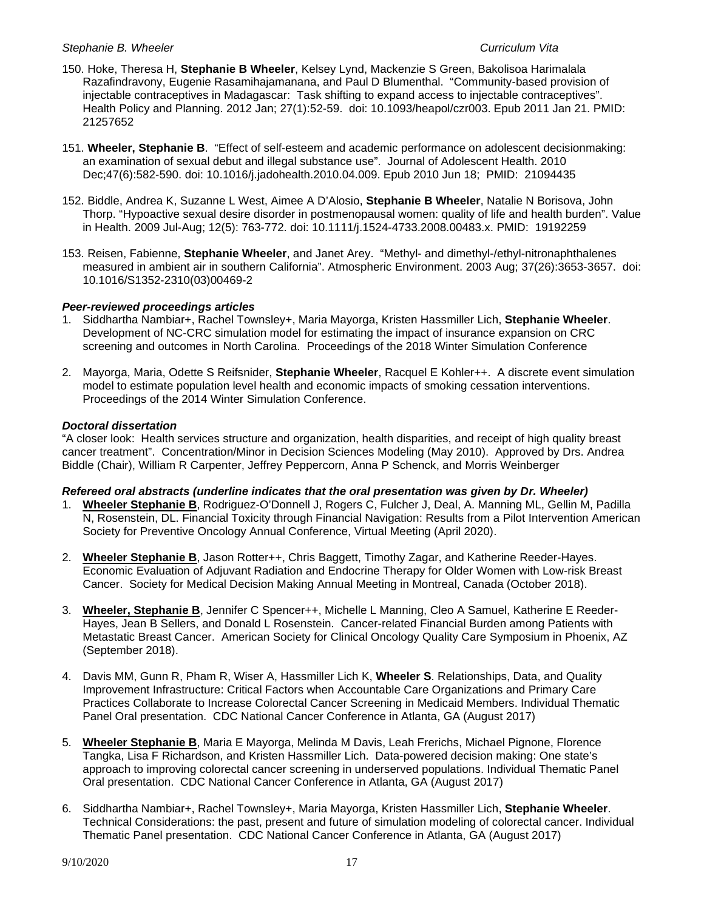- 150. Hoke, Theresa H, **Stephanie B Wheeler**, Kelsey Lynd, Mackenzie S Green, Bakolisoa Harimalala Razafindravony, Eugenie Rasamihajamanana, and Paul D Blumenthal. "Community-based provision of injectable contraceptives in Madagascar: Task shifting to expand access to injectable contraceptives". Health Policy and Planning. 2012 Jan; 27(1):52-59. doi: 10.1093/heapol/czr003. Epub 2011 Jan 21. PMID: 21257652
- 151. **Wheeler, Stephanie B**. "Effect of self-esteem and academic performance on adolescent decisionmaking: an examination of sexual debut and illegal substance use". Journal of Adolescent Health. 2010 Dec;47(6):582-590. doi: 10.1016/j.jadohealth.2010.04.009. Epub 2010 Jun 18; PMID: 21094435
- 152. Biddle, Andrea K, Suzanne L West, Aimee A D'Alosio, **Stephanie B Wheeler**, Natalie N Borisova, John Thorp. "Hypoactive sexual desire disorder in postmenopausal women: quality of life and health burden". Value in Health. 2009 Jul-Aug; 12(5): 763-772. doi: 10.1111/j.1524-4733.2008.00483.x. PMID: 19192259
- 153. Reisen, Fabienne, **Stephanie Wheeler**, and Janet Arey. "Methyl- and dimethyl-/ethyl-nitronaphthalenes measured in ambient air in southern California". Atmospheric Environment. 2003 Aug; 37(26):3653-3657. doi: 10.1016/S1352-2310(03)00469-2

# *Peer-reviewed proceedings articles*

- 1. Siddhartha Nambiar+, Rachel Townsley+, Maria Mayorga, Kristen Hassmiller Lich, **Stephanie Wheeler**. Development of NC-CRC simulation model for estimating the impact of insurance expansion on CRC screening and outcomes in North Carolina. Proceedings of the 2018 Winter Simulation Conference
- 2. Mayorga, Maria, Odette S Reifsnider, **Stephanie Wheeler**, Racquel E Kohler++. A discrete event simulation model to estimate population level health and economic impacts of smoking cessation interventions. Proceedings of the 2014 Winter Simulation Conference.

# *Doctoral dissertation*

"A closer look: Health services structure and organization, health disparities, and receipt of high quality breast cancer treatment". Concentration/Minor in Decision Sciences Modeling (May 2010). Approved by Drs. Andrea Biddle (Chair), William R Carpenter, Jeffrey Peppercorn, Anna P Schenck, and Morris Weinberger

### *Refereed oral abstracts (underline indicates that the oral presentation was given by Dr. Wheeler)*

- 1. **Wheeler Stephanie B**, Rodriguez-O'Donnell J, Rogers C, Fulcher J, Deal, A. Manning ML, Gellin M, Padilla N, Rosenstein, DL. Financial Toxicity through Financial Navigation: Results from a Pilot Intervention American Society for Preventive Oncology Annual Conference, Virtual Meeting (April 2020).
- 2. **Wheeler Stephanie B**, Jason Rotter++, Chris Baggett, Timothy Zagar, and Katherine Reeder-Hayes. Economic Evaluation of Adjuvant Radiation and Endocrine Therapy for Older Women with Low-risk Breast Cancer. Society for Medical Decision Making Annual Meeting in Montreal, Canada (October 2018).
- 3. **Wheeler, Stephanie B**, Jennifer C Spencer++, Michelle L Manning, Cleo A Samuel, Katherine E Reeder-Hayes, Jean B Sellers, and Donald L Rosenstein. Cancer-related Financial Burden among Patients with Metastatic Breast Cancer. American Society for Clinical Oncology Quality Care Symposium in Phoenix, AZ (September 2018).
- 4. Davis MM, Gunn R, Pham R, Wiser A, Hassmiller Lich K, **Wheeler S**. Relationships, Data, and Quality Improvement Infrastructure: Critical Factors when Accountable Care Organizations and Primary Care Practices Collaborate to Increase Colorectal Cancer Screening in Medicaid Members. Individual Thematic Panel Oral presentation. CDC National Cancer Conference in Atlanta, GA (August 2017)
- 5. **Wheeler Stephanie B**, Maria E Mayorga, Melinda M Davis, Leah Frerichs, Michael Pignone, Florence Tangka, Lisa F Richardson, and Kristen Hassmiller Lich. Data-powered decision making: One state's approach to improving colorectal cancer screening in underserved populations. Individual Thematic Panel Oral presentation. CDC National Cancer Conference in Atlanta, GA (August 2017)
- 6. Siddhartha Nambiar+, Rachel Townsley+, Maria Mayorga, Kristen Hassmiller Lich, **Stephanie Wheeler**. Technical Considerations: the past, present and future of simulation modeling of colorectal cancer. Individual Thematic Panel presentation. CDC National Cancer Conference in Atlanta, GA (August 2017)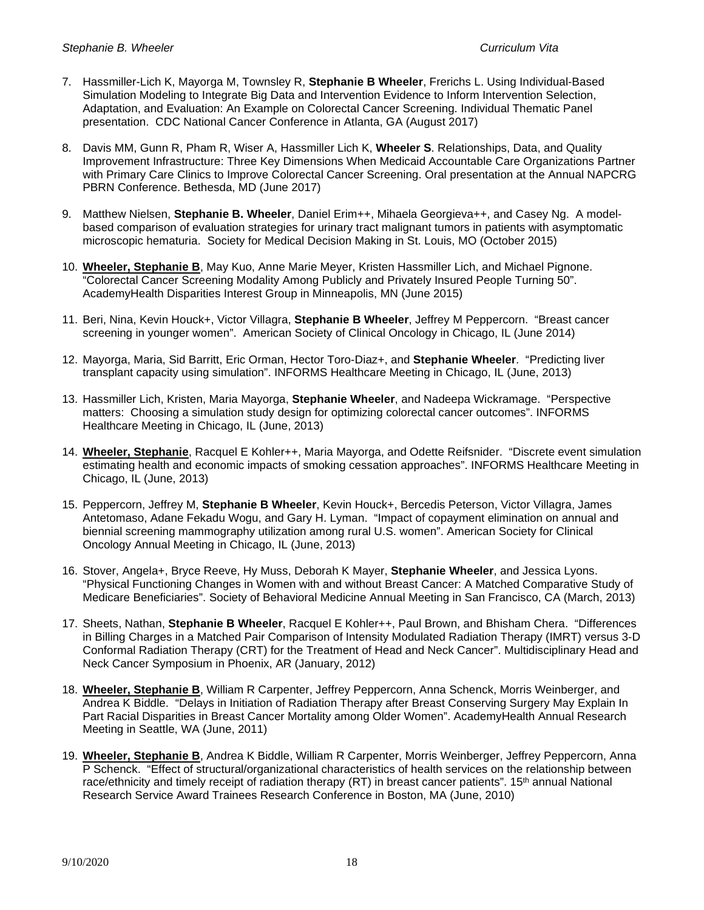- 7. Hassmiller-Lich K, Mayorga M, Townsley R, **Stephanie B Wheeler**, Frerichs L. Using Individual-Based Simulation Modeling to Integrate Big Data and Intervention Evidence to Inform Intervention Selection, Adaptation, and Evaluation: An Example on Colorectal Cancer Screening. Individual Thematic Panel presentation. CDC National Cancer Conference in Atlanta, GA (August 2017)
- 8. Davis MM, Gunn R, Pham R, Wiser A, Hassmiller Lich K, **Wheeler S**. Relationships, Data, and Quality Improvement Infrastructure: Three Key Dimensions When Medicaid Accountable Care Organizations Partner with Primary Care Clinics to Improve Colorectal Cancer Screening. Oral presentation at the Annual NAPCRG PBRN Conference. Bethesda, MD (June 2017)
- 9. Matthew Nielsen, **Stephanie B. Wheeler**, Daniel Erim++, Mihaela Georgieva++, and Casey Ng. A modelbased comparison of evaluation strategies for urinary tract malignant tumors in patients with asymptomatic microscopic hematuria. Society for Medical Decision Making in St. Louis, MO (October 2015)
- 10. **Wheeler, Stephanie B**, May Kuo, Anne Marie Meyer, Kristen Hassmiller Lich, and Michael Pignone. "Colorectal Cancer Screening Modality Among Publicly and Privately Insured People Turning 50". AcademyHealth Disparities Interest Group in Minneapolis, MN (June 2015)
- 11. Beri, Nina, Kevin Houck+, Victor Villagra, **Stephanie B Wheeler**, Jeffrey M Peppercorn. "Breast cancer screening in younger women". American Society of Clinical Oncology in Chicago, IL (June 2014)
- 12. Mayorga, Maria, Sid Barritt, Eric Orman, Hector Toro-Diaz+, and **Stephanie Wheeler**. "Predicting liver transplant capacity using simulation". INFORMS Healthcare Meeting in Chicago, IL (June, 2013)
- 13. Hassmiller Lich, Kristen, Maria Mayorga, **Stephanie Wheeler**, and Nadeepa Wickramage. "Perspective matters: Choosing a simulation study design for optimizing colorectal cancer outcomes". INFORMS Healthcare Meeting in Chicago, IL (June, 2013)
- 14. **Wheeler, Stephanie**, Racquel E Kohler++, Maria Mayorga, and Odette Reifsnider. "Discrete event simulation estimating health and economic impacts of smoking cessation approaches". INFORMS Healthcare Meeting in Chicago, IL (June, 2013)
- 15. Peppercorn, Jeffrey M, **Stephanie B Wheeler**, Kevin Houck+, Bercedis Peterson, Victor Villagra, James Antetomaso, Adane Fekadu Wogu, and Gary H. Lyman. "Impact of copayment elimination on annual and biennial screening mammography utilization among rural U.S. women". American Society for Clinical Oncology Annual Meeting in Chicago, IL (June, 2013)
- 16. Stover, Angela+, Bryce Reeve, Hy Muss, Deborah K Mayer, **Stephanie Wheeler**, and Jessica Lyons. "Physical Functioning Changes in Women with and without Breast Cancer: A Matched Comparative Study of Medicare Beneficiaries". Society of Behavioral Medicine Annual Meeting in San Francisco, CA (March, 2013)
- 17. Sheets, Nathan, **Stephanie B Wheeler**, Racquel E Kohler++, Paul Brown, and Bhisham Chera. "Differences in Billing Charges in a Matched Pair Comparison of Intensity Modulated Radiation Therapy (IMRT) versus 3-D Conformal Radiation Therapy (CRT) for the Treatment of Head and Neck Cancer". Multidisciplinary Head and Neck Cancer Symposium in Phoenix, AR (January, 2012)
- 18. **Wheeler, Stephanie B**, William R Carpenter, Jeffrey Peppercorn, Anna Schenck, Morris Weinberger, and Andrea K Biddle. "Delays in Initiation of Radiation Therapy after Breast Conserving Surgery May Explain In Part Racial Disparities in Breast Cancer Mortality among Older Women". AcademyHealth Annual Research Meeting in Seattle, WA (June, 2011)
- 19. **Wheeler, Stephanie B**, Andrea K Biddle, William R Carpenter, Morris Weinberger, Jeffrey Peppercorn, Anna P Schenck. "Effect of structural/organizational characteristics of health services on the relationship between race/ethnicity and timely receipt of radiation therapy (RT) in breast cancer patients". 15<sup>th</sup> annual National Research Service Award Trainees Research Conference in Boston, MA (June, 2010)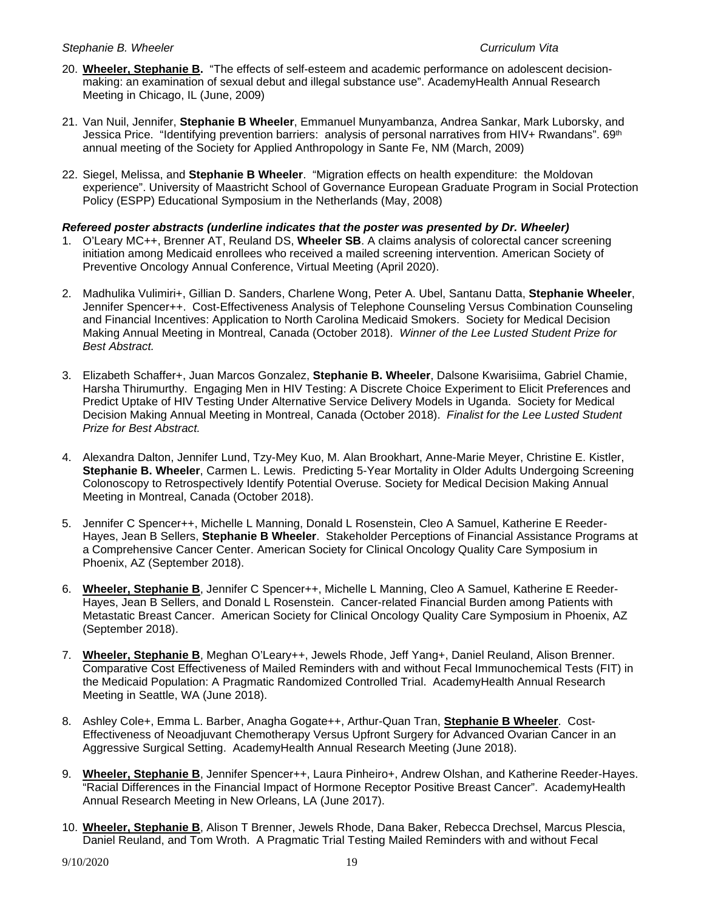- 20. **Wheeler, Stephanie B.** "The effects of self-esteem and academic performance on adolescent decisionmaking: an examination of sexual debut and illegal substance use". AcademyHealth Annual Research Meeting in Chicago, IL (June, 2009)
- 21. Van Nuil, Jennifer, **Stephanie B Wheeler**, Emmanuel Munyambanza, Andrea Sankar, Mark Luborsky, and Jessica Price. "Identifying prevention barriers: analysis of personal narratives from HIV+ Rwandans". 69<sup>th</sup> annual meeting of the Society for Applied Anthropology in Sante Fe, NM (March, 2009)
- 22. Siegel, Melissa, and **Stephanie B Wheeler**. "Migration effects on health expenditure: the Moldovan experience". University of Maastricht School of Governance European Graduate Program in Social Protection Policy (ESPP) Educational Symposium in the Netherlands (May, 2008)
- *Refereed poster abstracts (underline indicates that the poster was presented by Dr. Wheeler)*
- 1. O'Leary MC++, Brenner AT, Reuland DS, **Wheeler SB**. A claims analysis of colorectal cancer screening initiation among Medicaid enrollees who received a mailed screening intervention. American Society of Preventive Oncology Annual Conference, Virtual Meeting (April 2020).
- 2. Madhulika Vulimiri+, Gillian D. Sanders, Charlene Wong, Peter A. Ubel, Santanu Datta, **Stephanie Wheeler**, Jennifer Spencer++. Cost-Effectiveness Analysis of Telephone Counseling Versus Combination Counseling and Financial Incentives: Application to North Carolina Medicaid Smokers. Society for Medical Decision Making Annual Meeting in Montreal, Canada (October 2018). *Winner of the Lee Lusted Student Prize for Best Abstract.*
- 3. Elizabeth Schaffer+, Juan Marcos Gonzalez, **Stephanie B. Wheeler**, Dalsone Kwarisiima, Gabriel Chamie, Harsha Thirumurthy. Engaging Men in HIV Testing: A Discrete Choice Experiment to Elicit Preferences and Predict Uptake of HIV Testing Under Alternative Service Delivery Models in Uganda. Society for Medical Decision Making Annual Meeting in Montreal, Canada (October 2018). *Finalist for the Lee Lusted Student Prize for Best Abstract.*
- 4. Alexandra Dalton, Jennifer Lund, Tzy-Mey Kuo, M. Alan Brookhart, Anne-Marie Meyer, Christine E. Kistler, **Stephanie B. Wheeler**, Carmen L. Lewis. Predicting 5-Year Mortality in Older Adults Undergoing Screening Colonoscopy to Retrospectively Identify Potential Overuse. Society for Medical Decision Making Annual Meeting in Montreal, Canada (October 2018).
- 5. Jennifer C Spencer++, Michelle L Manning, Donald L Rosenstein, Cleo A Samuel, Katherine E Reeder-Hayes, Jean B Sellers, **Stephanie B Wheeler**. Stakeholder Perceptions of Financial Assistance Programs at a Comprehensive Cancer Center. American Society for Clinical Oncology Quality Care Symposium in Phoenix, AZ (September 2018).
- 6. **Wheeler, Stephanie B**, Jennifer C Spencer++, Michelle L Manning, Cleo A Samuel, Katherine E Reeder-Hayes, Jean B Sellers, and Donald L Rosenstein. Cancer-related Financial Burden among Patients with Metastatic Breast Cancer. American Society for Clinical Oncology Quality Care Symposium in Phoenix, AZ (September 2018).
- 7. **Wheeler, Stephanie B**, Meghan O'Leary++, Jewels Rhode, Jeff Yang+, Daniel Reuland, Alison Brenner. Comparative Cost Effectiveness of Mailed Reminders with and without Fecal Immunochemical Tests (FIT) in the Medicaid Population: A Pragmatic Randomized Controlled Trial. AcademyHealth Annual Research Meeting in Seattle, WA (June 2018).
- 8. Ashley Cole+, Emma L. Barber, Anagha Gogate++, Arthur-Quan Tran, **Stephanie B Wheeler**. Cost-Effectiveness of Neoadjuvant Chemotherapy Versus Upfront Surgery for Advanced Ovarian Cancer in an Aggressive Surgical Setting. AcademyHealth Annual Research Meeting (June 2018).
- 9. **Wheeler, Stephanie B**, Jennifer Spencer++, Laura Pinheiro+, Andrew Olshan, and Katherine Reeder-Hayes. "Racial Differences in the Financial Impact of Hormone Receptor Positive Breast Cancer". AcademyHealth Annual Research Meeting in New Orleans, LA (June 2017).
- 10. **Wheeler, Stephanie B**, Alison T Brenner, Jewels Rhode, Dana Baker, Rebecca Drechsel, Marcus Plescia, Daniel Reuland, and Tom Wroth. A Pragmatic Trial Testing Mailed Reminders with and without Fecal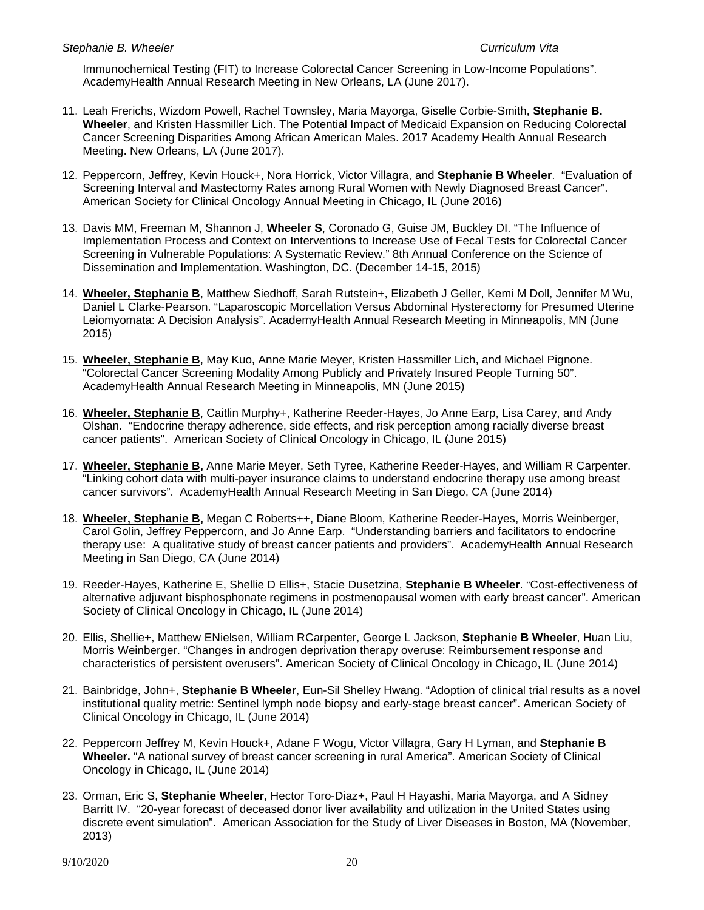Immunochemical Testing (FIT) to Increase Colorectal Cancer Screening in Low-Income Populations". AcademyHealth Annual Research Meeting in New Orleans, LA (June 2017).

- 11. Leah Frerichs, Wizdom Powell, Rachel Townsley, Maria Mayorga, Giselle Corbie-Smith, **Stephanie B. Wheeler**, and Kristen Hassmiller Lich. The Potential Impact of Medicaid Expansion on Reducing Colorectal Cancer Screening Disparities Among African American Males. 2017 Academy Health Annual Research Meeting. New Orleans, LA (June 2017).
- 12. Peppercorn, Jeffrey, Kevin Houck+, Nora Horrick, Victor Villagra, and **Stephanie B Wheeler**. "Evaluation of Screening Interval and Mastectomy Rates among Rural Women with Newly Diagnosed Breast Cancer". American Society for Clinical Oncology Annual Meeting in Chicago, IL (June 2016)
- 13. Davis MM, Freeman M, Shannon J, **Wheeler S**, Coronado G, Guise JM, Buckley DI. "The Influence of Implementation Process and Context on Interventions to Increase Use of Fecal Tests for Colorectal Cancer Screening in Vulnerable Populations: A Systematic Review." 8th Annual Conference on the Science of Dissemination and Implementation. Washington, DC. (December 14-15, 2015)
- 14. **Wheeler, Stephanie B**, Matthew Siedhoff, Sarah Rutstein+, Elizabeth J Geller, Kemi M Doll, Jennifer M Wu, Daniel L Clarke-Pearson. "Laparoscopic Morcellation Versus Abdominal Hysterectomy for Presumed Uterine Leiomyomata: A Decision Analysis". AcademyHealth Annual Research Meeting in Minneapolis, MN (June 2015)
- 15. **Wheeler, Stephanie B**, May Kuo, Anne Marie Meyer, Kristen Hassmiller Lich, and Michael Pignone. "Colorectal Cancer Screening Modality Among Publicly and Privately Insured People Turning 50". AcademyHealth Annual Research Meeting in Minneapolis, MN (June 2015)
- 16. **Wheeler, Stephanie B**, Caitlin Murphy+, Katherine Reeder-Hayes, Jo Anne Earp, Lisa Carey, and Andy Olshan. "Endocrine therapy adherence, side effects, and risk perception among racially diverse breast cancer patients". American Society of Clinical Oncology in Chicago, IL (June 2015)
- 17. **Wheeler, Stephanie B,** Anne Marie Meyer, Seth Tyree, Katherine Reeder-Hayes, and William R Carpenter. "Linking cohort data with multi-payer insurance claims to understand endocrine therapy use among breast cancer survivors". AcademyHealth Annual Research Meeting in San Diego, CA (June 2014)
- 18. **Wheeler, Stephanie B,** Megan C Roberts++, Diane Bloom, Katherine Reeder-Hayes, Morris Weinberger, Carol Golin, Jeffrey Peppercorn, and Jo Anne Earp. "Understanding barriers and facilitators to endocrine therapy use: A qualitative study of breast cancer patients and providers". AcademyHealth Annual Research Meeting in San Diego, CA (June 2014)
- 19. Reeder-Hayes, Katherine E, Shellie D Ellis+, Stacie Dusetzina, **Stephanie B Wheeler**. "Cost-effectiveness of alternative adjuvant bisphosphonate regimens in postmenopausal women with early breast cancer". American Society of Clinical Oncology in Chicago, IL (June 2014)
- 20. Ellis, Shellie+, Matthew ENielsen, William RCarpenter, George L Jackson, **Stephanie B Wheeler**, Huan Liu, Morris Weinberger. "Changes in androgen deprivation therapy overuse: Reimbursement response and characteristics of persistent overusers". American Society of Clinical Oncology in Chicago, IL (June 2014)
- 21. Bainbridge, John+, **Stephanie B Wheeler**, Eun-Sil Shelley Hwang. "Adoption of clinical trial results as a novel institutional quality metric: Sentinel lymph node biopsy and early-stage breast cancer". American Society of Clinical Oncology in Chicago, IL (June 2014)
- 22. Peppercorn Jeffrey M, Kevin Houck+, Adane F Wogu, Victor Villagra, Gary H Lyman, and **Stephanie B Wheeler.** "A national survey of breast cancer screening in rural America". American Society of Clinical Oncology in Chicago, IL (June 2014)
- 23. Orman, Eric S, **Stephanie Wheeler**, Hector Toro-Diaz+, Paul H Hayashi, Maria Mayorga, and A Sidney Barritt IV. "20-year forecast of deceased donor liver availability and utilization in the United States using discrete event simulation". American Association for the Study of Liver Diseases in Boston, MA (November, 2013)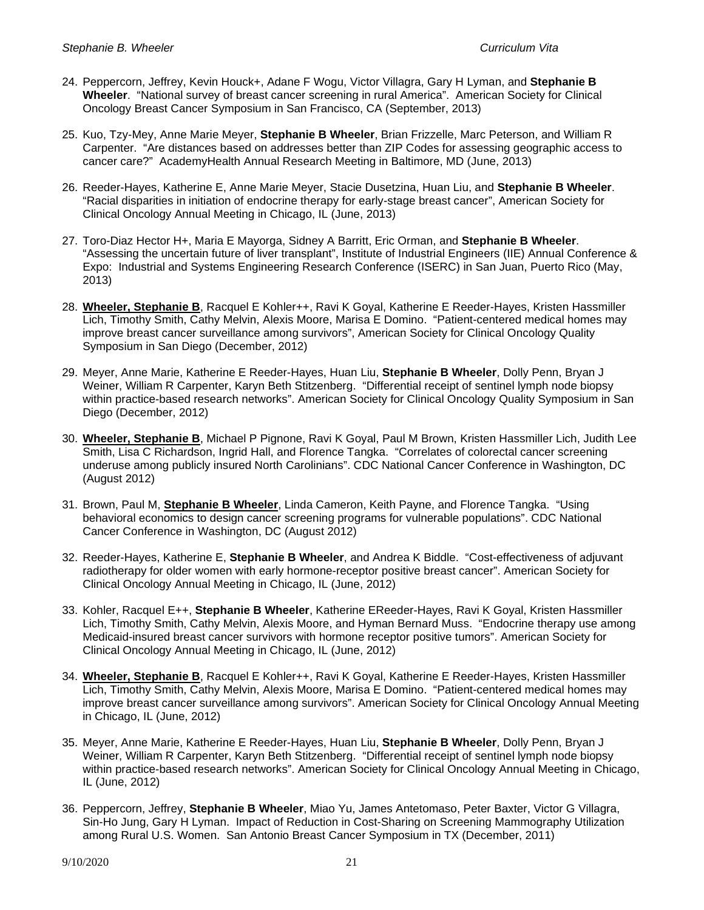- 24. Peppercorn, Jeffrey, Kevin Houck+, Adane F Wogu, Victor Villagra, Gary H Lyman, and **Stephanie B Wheeler**. "National survey of breast cancer screening in rural America". American Society for Clinical Oncology Breast Cancer Symposium in San Francisco, CA (September, 2013)
- 25. Kuo, Tzy-Mey, Anne Marie Meyer, **Stephanie B Wheeler**, Brian Frizzelle, Marc Peterson, and William R Carpenter. "Are distances based on addresses better than ZIP Codes for assessing geographic access to cancer care?" AcademyHealth Annual Research Meeting in Baltimore, MD (June, 2013)
- 26. Reeder-Hayes, Katherine E, Anne Marie Meyer, Stacie Dusetzina, Huan Liu, and **Stephanie B Wheeler**. "Racial disparities in initiation of endocrine therapy for early-stage breast cancer", American Society for Clinical Oncology Annual Meeting in Chicago, IL (June, 2013)
- 27. Toro-Diaz Hector H+, Maria E Mayorga, Sidney A Barritt, Eric Orman, and **Stephanie B Wheeler**. "Assessing the uncertain future of liver transplant", Institute of Industrial Engineers (IIE) Annual Conference & Expo: Industrial and Systems Engineering Research Conference (ISERC) in San Juan, Puerto Rico (May, 2013)
- 28. **Wheeler, Stephanie B**, Racquel E Kohler++, Ravi K Goyal, Katherine E Reeder-Hayes, Kristen Hassmiller Lich, Timothy Smith, Cathy Melvin, Alexis Moore, Marisa E Domino. "Patient-centered medical homes may improve breast cancer surveillance among survivors", American Society for Clinical Oncology Quality Symposium in San Diego (December, 2012)
- 29. Meyer, Anne Marie, Katherine E Reeder-Hayes, Huan Liu, **Stephanie B Wheeler**, Dolly Penn, Bryan J Weiner, William R Carpenter, Karyn Beth Stitzenberg. "Differential receipt of sentinel lymph node biopsy within practice-based research networks". American Society for Clinical Oncology Quality Symposium in San Diego (December, 2012)
- 30. **Wheeler, Stephanie B**, Michael P Pignone, Ravi K Goyal, Paul M Brown, Kristen Hassmiller Lich, Judith Lee Smith, Lisa C Richardson, Ingrid Hall, and Florence Tangka. "Correlates of colorectal cancer screening underuse among publicly insured North Carolinians". CDC National Cancer Conference in Washington, DC (August 2012)
- 31. Brown, Paul M, **Stephanie B Wheeler**, Linda Cameron, Keith Payne, and Florence Tangka. "Using behavioral economics to design cancer screening programs for vulnerable populations". CDC National Cancer Conference in Washington, DC (August 2012)
- 32. Reeder-Hayes, Katherine E, **Stephanie B Wheeler**, and Andrea K Biddle. "Cost-effectiveness of adjuvant radiotherapy for older women with early hormone-receptor positive breast cancer". American Society for Clinical Oncology Annual Meeting in Chicago, IL (June, 2012)
- 33. Kohler, Racquel E++, **Stephanie B Wheeler**, Katherine EReeder-Hayes, Ravi K Goyal, Kristen Hassmiller Lich, Timothy Smith, Cathy Melvin, Alexis Moore, and Hyman Bernard Muss. "Endocrine therapy use among Medicaid-insured breast cancer survivors with hormone receptor positive tumors". American Society for Clinical Oncology Annual Meeting in Chicago, IL (June, 2012)
- 34. **Wheeler, Stephanie B**, Racquel E Kohler++, Ravi K Goyal, Katherine E Reeder-Hayes, Kristen Hassmiller Lich, Timothy Smith, Cathy Melvin, Alexis Moore, Marisa E Domino. "Patient-centered medical homes may improve breast cancer surveillance among survivors". American Society for Clinical Oncology Annual Meeting in Chicago, IL (June, 2012)
- 35. Meyer, Anne Marie, Katherine E Reeder-Hayes, Huan Liu, **Stephanie B Wheeler**, Dolly Penn, Bryan J Weiner, William R Carpenter, Karyn Beth Stitzenberg. "Differential receipt of sentinel lymph node biopsy within practice-based research networks". American Society for Clinical Oncology Annual Meeting in Chicago, IL (June, 2012)
- 36. Peppercorn, Jeffrey, **Stephanie B Wheeler**, Miao Yu, James Antetomaso, Peter Baxter, Victor G Villagra, Sin-Ho Jung, Gary H Lyman. Impact of Reduction in Cost-Sharing on Screening Mammography Utilization among Rural U.S. Women. San Antonio Breast Cancer Symposium in TX (December, 2011)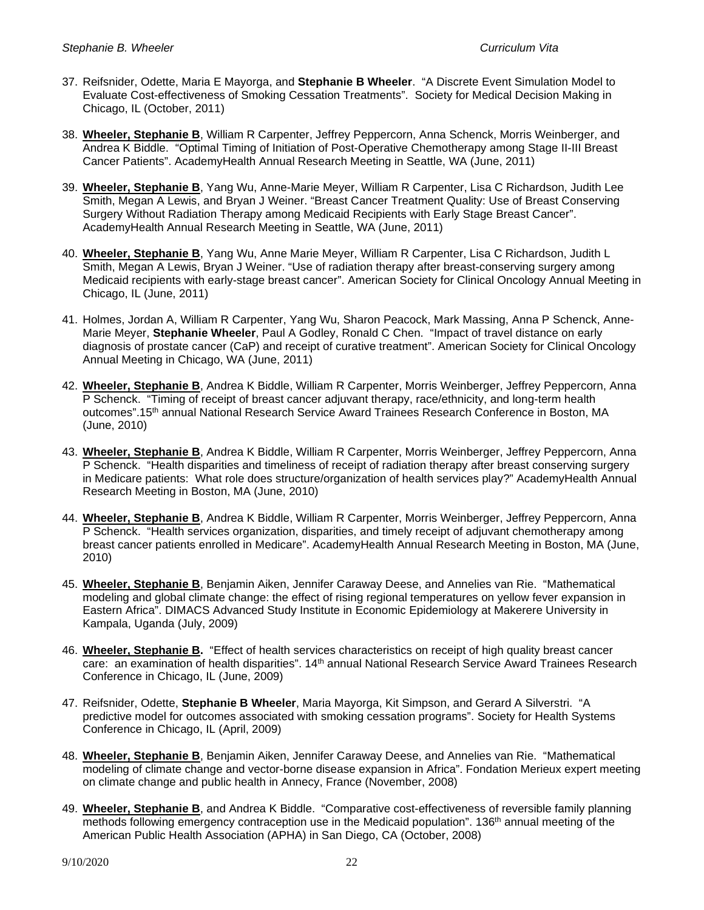- 37. Reifsnider, Odette, Maria E Mayorga, and **Stephanie B Wheeler**. "A Discrete Event Simulation Model to Evaluate Cost-effectiveness of Smoking Cessation Treatments". Society for Medical Decision Making in Chicago, IL (October, 2011)
- 38. **Wheeler, Stephanie B**, William R Carpenter, Jeffrey Peppercorn, Anna Schenck, Morris Weinberger, and Andrea K Biddle. "Optimal Timing of Initiation of Post-Operative Chemotherapy among Stage II-III Breast Cancer Patients". AcademyHealth Annual Research Meeting in Seattle, WA (June, 2011)
- 39. **Wheeler, Stephanie B**, Yang Wu, Anne-Marie Meyer, William R Carpenter, Lisa C Richardson, Judith Lee Smith, Megan A Lewis, and Bryan J Weiner. "Breast Cancer Treatment Quality: Use of Breast Conserving Surgery Without Radiation Therapy among Medicaid Recipients with Early Stage Breast Cancer". AcademyHealth Annual Research Meeting in Seattle, WA (June, 2011)
- 40. **Wheeler, Stephanie B**, Yang Wu, Anne Marie Meyer, William R Carpenter, Lisa C Richardson, Judith L Smith, Megan A Lewis, Bryan J Weiner. "Use of radiation therapy after breast-conserving surgery among Medicaid recipients with early-stage breast cancer". American Society for Clinical Oncology Annual Meeting in Chicago, IL (June, 2011)
- 41. Holmes, Jordan A, William R Carpenter, Yang Wu, Sharon Peacock, Mark Massing, Anna P Schenck, Anne-Marie Meyer, **Stephanie Wheeler**, Paul A Godley, Ronald C Chen. "Impact of travel distance on early diagnosis of prostate cancer (CaP) and receipt of curative treatment". American Society for Clinical Oncology Annual Meeting in Chicago, WA (June, 2011)
- 42. **Wheeler, Stephanie B**, Andrea K Biddle, William R Carpenter, Morris Weinberger, Jeffrey Peppercorn, Anna P Schenck. "Timing of receipt of breast cancer adjuvant therapy, race/ethnicity, and long-term health outcomes".15th annual National Research Service Award Trainees Research Conference in Boston, MA (June, 2010)
- 43. **Wheeler, Stephanie B**, Andrea K Biddle, William R Carpenter, Morris Weinberger, Jeffrey Peppercorn, Anna P Schenck. "Health disparities and timeliness of receipt of radiation therapy after breast conserving surgery in Medicare patients: What role does structure/organization of health services play?" AcademyHealth Annual Research Meeting in Boston, MA (June, 2010)
- 44. **Wheeler, Stephanie B**, Andrea K Biddle, William R Carpenter, Morris Weinberger, Jeffrey Peppercorn, Anna P Schenck. "Health services organization, disparities, and timely receipt of adjuvant chemotherapy among breast cancer patients enrolled in Medicare". AcademyHealth Annual Research Meeting in Boston, MA (June, 2010)
- 45. **Wheeler, Stephanie B**, Benjamin Aiken, Jennifer Caraway Deese, and Annelies van Rie. "Mathematical modeling and global climate change: the effect of rising regional temperatures on yellow fever expansion in Eastern Africa". DIMACS Advanced Study Institute in Economic Epidemiology at Makerere University in Kampala, Uganda (July, 2009)
- 46. **Wheeler, Stephanie B.** "Effect of health services characteristics on receipt of high quality breast cancer care: an examination of health disparities". 14th annual National Research Service Award Trainees Research Conference in Chicago, IL (June, 2009)
- 47. Reifsnider, Odette, **Stephanie B Wheeler**, Maria Mayorga, Kit Simpson, and Gerard A Silverstri. "A predictive model for outcomes associated with smoking cessation programs". Society for Health Systems Conference in Chicago, IL (April, 2009)
- 48. **Wheeler, Stephanie B**, Benjamin Aiken, Jennifer Caraway Deese, and Annelies van Rie. "Mathematical modeling of climate change and vector-borne disease expansion in Africa". Fondation Merieux expert meeting on climate change and public health in Annecy, France (November, 2008)
- 49. **Wheeler, Stephanie B**, and Andrea K Biddle. "Comparative cost-effectiveness of reversible family planning methods following emergency contraception use in the Medicaid population". 136<sup>th</sup> annual meeting of the American Public Health Association (APHA) in San Diego, CA (October, 2008)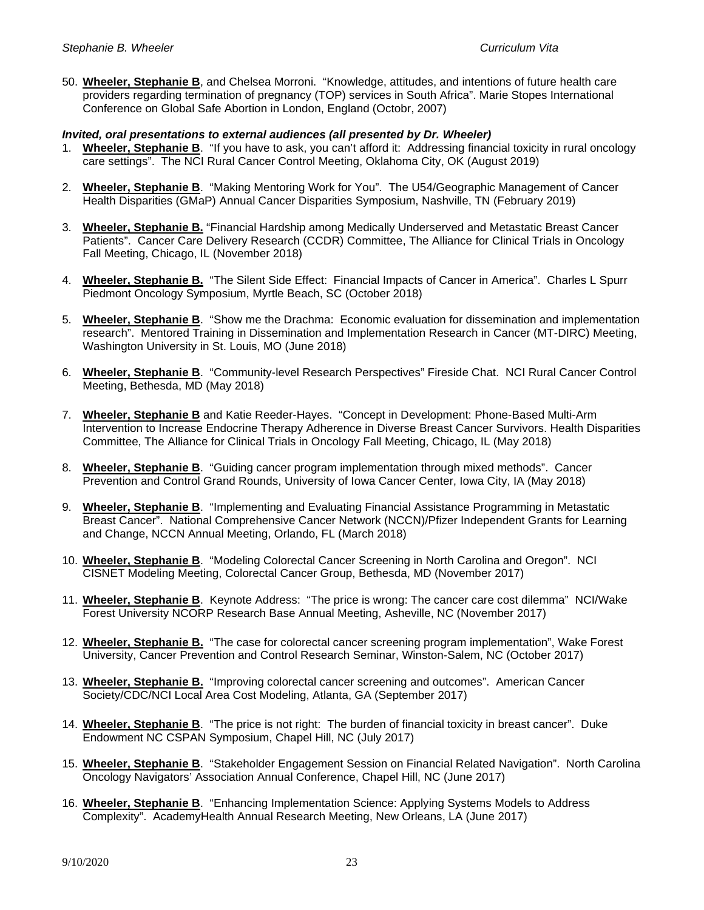50. **Wheeler, Stephanie B**, and Chelsea Morroni. "Knowledge, attitudes, and intentions of future health care providers regarding termination of pregnancy (TOP) services in South Africa". Marie Stopes International Conference on Global Safe Abortion in London, England (Octobr, 2007)

### *Invited, oral presentations to external audiences (all presented by Dr. Wheeler)*

- 1. **Wheeler, Stephanie B**. "If you have to ask, you can't afford it: Addressing financial toxicity in rural oncology care settings". The NCI Rural Cancer Control Meeting, Oklahoma City, OK (August 2019)
- 2. **Wheeler, Stephanie B**. "Making Mentoring Work for You". The U54/Geographic Management of Cancer Health Disparities (GMaP) Annual Cancer Disparities Symposium, Nashville, TN (February 2019)
- 3. **Wheeler, Stephanie B.** "Financial Hardship among Medically Underserved and Metastatic Breast Cancer Patients". Cancer Care Delivery Research (CCDR) Committee, The Alliance for Clinical Trials in Oncology Fall Meeting, Chicago, IL (November 2018)
- 4. **Wheeler, Stephanie B.** "The Silent Side Effect: Financial Impacts of Cancer in America". Charles L Spurr Piedmont Oncology Symposium, Myrtle Beach, SC (October 2018)
- 5. **Wheeler, Stephanie B**. "Show me the Drachma: Economic evaluation for dissemination and implementation research". Mentored Training in Dissemination and Implementation Research in Cancer (MT-DIRC) Meeting, Washington University in St. Louis, MO (June 2018)
- 6. **Wheeler, Stephanie B**. "Community-level Research Perspectives" Fireside Chat. NCI Rural Cancer Control Meeting, Bethesda, MD (May 2018)
- 7. **Wheeler, Stephanie B** and Katie Reeder-Hayes. "Concept in Development: Phone-Based Multi-Arm Intervention to Increase Endocrine Therapy Adherence in Diverse Breast Cancer Survivors. Health Disparities Committee, The Alliance for Clinical Trials in Oncology Fall Meeting, Chicago, IL (May 2018)
- 8. **Wheeler, Stephanie B**. "Guiding cancer program implementation through mixed methods". Cancer Prevention and Control Grand Rounds, University of Iowa Cancer Center, Iowa City, IA (May 2018)
- 9. **Wheeler, Stephanie B**. "Implementing and Evaluating Financial Assistance Programming in Metastatic Breast Cancer". National Comprehensive Cancer Network (NCCN)/Pfizer Independent Grants for Learning and Change, NCCN Annual Meeting, Orlando, FL (March 2018)
- 10. **Wheeler, Stephanie B**. "Modeling Colorectal Cancer Screening in North Carolina and Oregon". NCI CISNET Modeling Meeting, Colorectal Cancer Group, Bethesda, MD (November 2017)
- 11. **Wheeler, Stephanie B**. Keynote Address: "The price is wrong: The cancer care cost dilemma" NCI/Wake Forest University NCORP Research Base Annual Meeting, Asheville, NC (November 2017)
- 12. **Wheeler, Stephanie B.** "The case for colorectal cancer screening program implementation", Wake Forest University, Cancer Prevention and Control Research Seminar, Winston-Salem, NC (October 2017)
- 13. **Wheeler, Stephanie B.** "Improving colorectal cancer screening and outcomes". American Cancer Society/CDC/NCI Local Area Cost Modeling, Atlanta, GA (September 2017)
- 14. **Wheeler, Stephanie B**. "The price is not right: The burden of financial toxicity in breast cancer". Duke Endowment NC CSPAN Symposium, Chapel Hill, NC (July 2017)
- 15. **Wheeler, Stephanie B**. "Stakeholder Engagement Session on Financial Related Navigation". North Carolina Oncology Navigators' Association Annual Conference, Chapel Hill, NC (June 2017)
- 16. **Wheeler, Stephanie B**. "Enhancing Implementation Science: Applying Systems Models to Address Complexity". AcademyHealth Annual Research Meeting, New Orleans, LA (June 2017)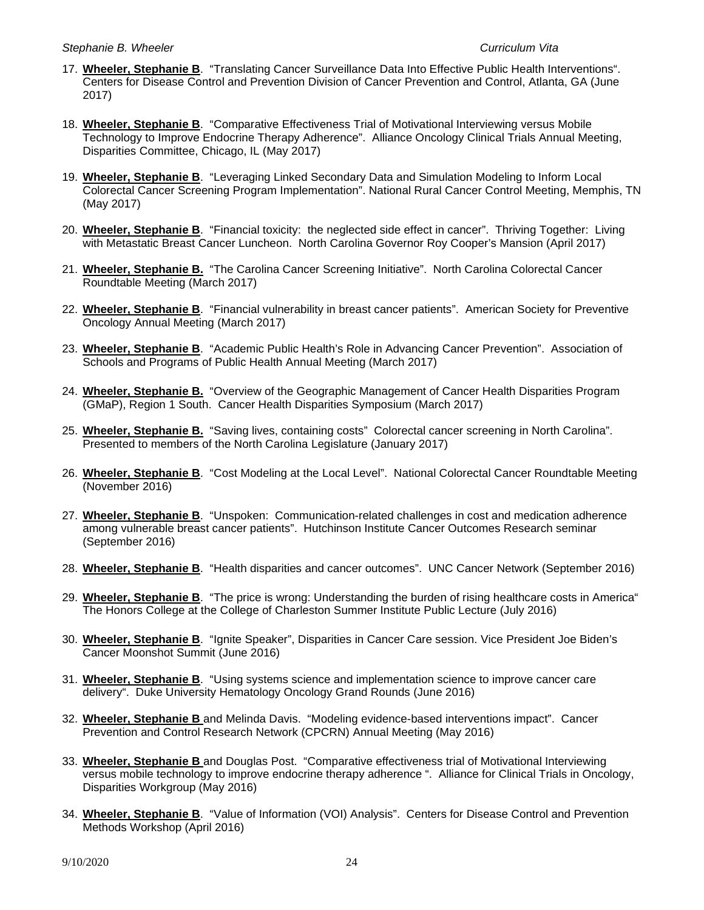- 17. **Wheeler, Stephanie B**. "Translating Cancer Surveillance Data Into Effective Public Health Interventions". Centers for Disease Control and Prevention Division of Cancer Prevention and Control, Atlanta, GA (June 2017)
- 18. **Wheeler, Stephanie B**. "Comparative Effectiveness Trial of Motivational Interviewing versus Mobile Technology to Improve Endocrine Therapy Adherence". Alliance Oncology Clinical Trials Annual Meeting, Disparities Committee, Chicago, IL (May 2017)
- 19. **Wheeler, Stephanie B**. "Leveraging Linked Secondary Data and Simulation Modeling to Inform Local Colorectal Cancer Screening Program Implementation". National Rural Cancer Control Meeting, Memphis, TN (May 2017)
- 20. **Wheeler, Stephanie B**. "Financial toxicity: the neglected side effect in cancer". Thriving Together: Living with Metastatic Breast Cancer Luncheon. North Carolina Governor Roy Cooper's Mansion (April 2017)
- 21. **Wheeler, Stephanie B.** "The Carolina Cancer Screening Initiative". North Carolina Colorectal Cancer Roundtable Meeting (March 2017)
- 22. **Wheeler, Stephanie B**. "Financial vulnerability in breast cancer patients". American Society for Preventive Oncology Annual Meeting (March 2017)
- 23. **Wheeler, Stephanie B**. "Academic Public Health's Role in Advancing Cancer Prevention". Association of Schools and Programs of Public Health Annual Meeting (March 2017)
- 24. **Wheeler, Stephanie B.** "Overview of the Geographic Management of Cancer Health Disparities Program (GMaP), Region 1 South. Cancer Health Disparities Symposium (March 2017)
- 25. **Wheeler, Stephanie B.** "Saving lives, containing costs" Colorectal cancer screening in North Carolina". Presented to members of the North Carolina Legislature (January 2017)
- 26. **Wheeler, Stephanie B**. "Cost Modeling at the Local Level". National Colorectal Cancer Roundtable Meeting (November 2016)
- 27. **Wheeler, Stephanie B**. "Unspoken: Communication-related challenges in cost and medication adherence among vulnerable breast cancer patients". Hutchinson Institute Cancer Outcomes Research seminar (September 2016)
- 28. **Wheeler, Stephanie B**. "Health disparities and cancer outcomes". UNC Cancer Network (September 2016)
- 29. **Wheeler, Stephanie B**. "The price is wrong: Understanding the burden of rising healthcare costs in America" The Honors College at the College of Charleston Summer Institute Public Lecture (July 2016)
- 30. **Wheeler, Stephanie B**. "Ignite Speaker", Disparities in Cancer Care session. Vice President Joe Biden's Cancer Moonshot Summit (June 2016)
- 31. **Wheeler, Stephanie B**. "Using systems science and implementation science to improve cancer care delivery". Duke University Hematology Oncology Grand Rounds (June 2016)
- 32. **Wheeler, Stephanie B** and Melinda Davis. "Modeling evidence-based interventions impact". Cancer Prevention and Control Research Network (CPCRN) Annual Meeting (May 2016)
- 33. **Wheeler, Stephanie B** and Douglas Post. "Comparative effectiveness trial of Motivational Interviewing versus mobile technology to improve endocrine therapy adherence ". Alliance for Clinical Trials in Oncology, Disparities Workgroup (May 2016)
- 34. **Wheeler, Stephanie B**. "Value of Information (VOI) Analysis". Centers for Disease Control and Prevention Methods Workshop (April 2016)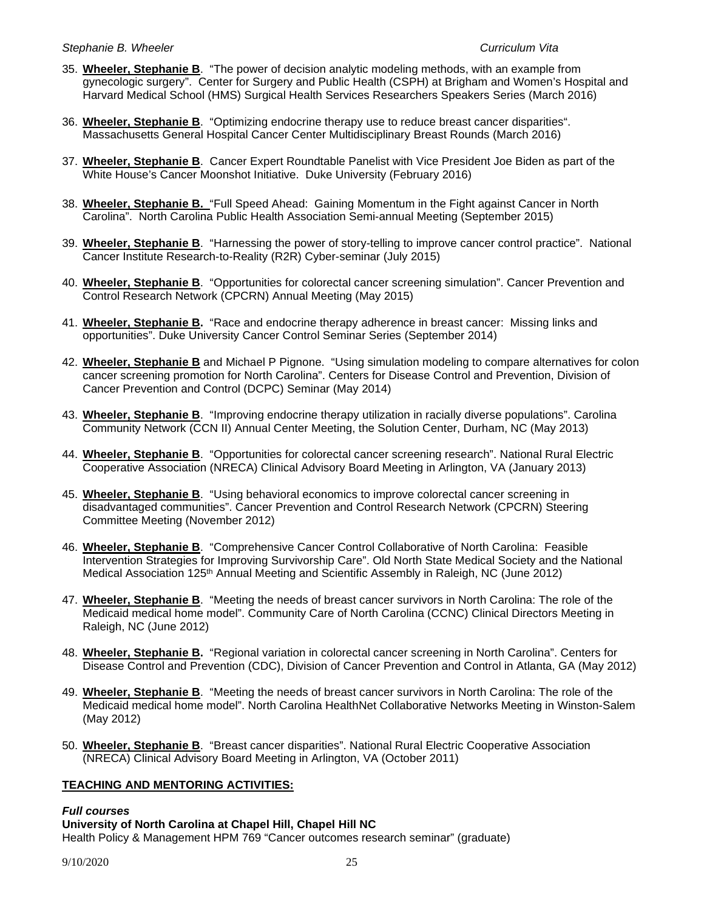- 35. **Wheeler, Stephanie B**. "The power of decision analytic modeling methods, with an example from gynecologic surgery". Center for Surgery and Public Health (CSPH) at Brigham and Women's Hospital and Harvard Medical School (HMS) Surgical Health Services Researchers Speakers Series (March 2016)
- 36. **Wheeler, Stephanie B**. "Optimizing endocrine therapy use to reduce breast cancer disparities". Massachusetts General Hospital Cancer Center Multidisciplinary Breast Rounds (March 2016)
- 37. **Wheeler, Stephanie B**. Cancer Expert Roundtable Panelist with Vice President Joe Biden as part of the White House's Cancer Moonshot Initiative. Duke University (February 2016)
- 38. **Wheeler, Stephanie B.** "Full Speed Ahead: Gaining Momentum in the Fight against Cancer in North Carolina". North Carolina Public Health Association Semi-annual Meeting (September 2015)
- 39. **Wheeler, Stephanie B**. "Harnessing the power of story-telling to improve cancer control practice". National Cancer Institute Research-to-Reality (R2R) Cyber-seminar (July 2015)
- 40. **Wheeler, Stephanie B**. "Opportunities for colorectal cancer screening simulation". Cancer Prevention and Control Research Network (CPCRN) Annual Meeting (May 2015)
- 41. **Wheeler, Stephanie B.** "Race and endocrine therapy adherence in breast cancer: Missing links and opportunities". Duke University Cancer Control Seminar Series (September 2014)
- 42. **Wheeler, Stephanie B** and Michael P Pignone. "Using simulation modeling to compare alternatives for colon cancer screening promotion for North Carolina". Centers for Disease Control and Prevention, Division of Cancer Prevention and Control (DCPC) Seminar (May 2014)
- 43. **Wheeler, Stephanie B**. "Improving endocrine therapy utilization in racially diverse populations". Carolina Community Network (CCN II) Annual Center Meeting, the Solution Center, Durham, NC (May 2013)
- 44. **Wheeler, Stephanie B**. "Opportunities for colorectal cancer screening research". National Rural Electric Cooperative Association (NRECA) Clinical Advisory Board Meeting in Arlington, VA (January 2013)
- 45. **Wheeler, Stephanie B**. "Using behavioral economics to improve colorectal cancer screening in disadvantaged communities". Cancer Prevention and Control Research Network (CPCRN) Steering Committee Meeting (November 2012)
- 46. **Wheeler, Stephanie B**. "Comprehensive Cancer Control Collaborative of North Carolina: Feasible Intervention Strategies for Improving Survivorship Care". Old North State Medical Society and the National Medical Association 125th Annual Meeting and Scientific Assembly in Raleigh, NC (June 2012)
- 47. **Wheeler, Stephanie B**. "Meeting the needs of breast cancer survivors in North Carolina: The role of the Medicaid medical home model". Community Care of North Carolina (CCNC) Clinical Directors Meeting in Raleigh, NC (June 2012)
- 48. **Wheeler, Stephanie B.** "Regional variation in colorectal cancer screening in North Carolina". Centers for Disease Control and Prevention (CDC), Division of Cancer Prevention and Control in Atlanta, GA (May 2012)
- 49. **Wheeler, Stephanie B**. "Meeting the needs of breast cancer survivors in North Carolina: The role of the Medicaid medical home model". North Carolina HealthNet Collaborative Networks Meeting in Winston-Salem (May 2012)
- 50. **Wheeler, Stephanie B**. "Breast cancer disparities". National Rural Electric Cooperative Association (NRECA) Clinical Advisory Board Meeting in Arlington, VA (October 2011)

# **TEACHING AND MENTORING ACTIVITIES:**

### *Full courses*

**University of North Carolina at Chapel Hill, Chapel Hill NC**

Health Policy & Management HPM 769 "Cancer outcomes research seminar" (graduate)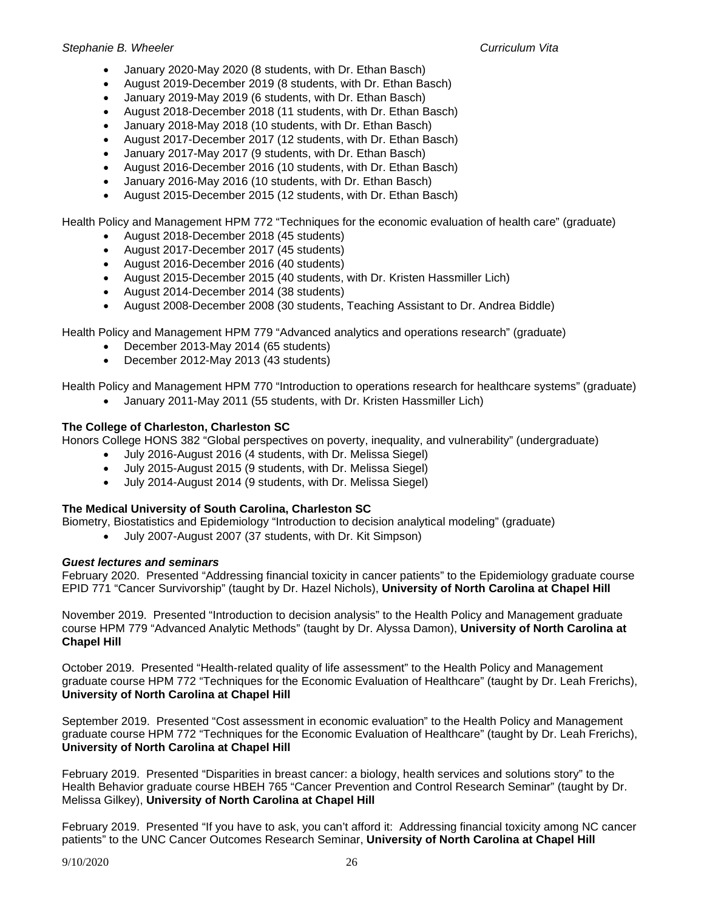- January 2020-May 2020 (8 students, with Dr. Ethan Basch)
- August 2019-December 2019 (8 students, with Dr. Ethan Basch)
- January 2019-May 2019 (6 students, with Dr. Ethan Basch)
- August 2018-December 2018 (11 students, with Dr. Ethan Basch)
- January 2018-May 2018 (10 students, with Dr. Ethan Basch)
- August 2017-December 2017 (12 students, with Dr. Ethan Basch)
- January 2017-May 2017 (9 students, with Dr. Ethan Basch)
- August 2016-December 2016 (10 students, with Dr. Ethan Basch)
- January 2016-May 2016 (10 students, with Dr. Ethan Basch)
- August 2015-December 2015 (12 students, with Dr. Ethan Basch)

Health Policy and Management HPM 772 "Techniques for the economic evaluation of health care" (graduate)

- August 2018-December 2018 (45 students)
- August 2017-December 2017 (45 students)
- August 2016-December 2016 (40 students)
- August 2015-December 2015 (40 students, with Dr. Kristen Hassmiller Lich)
- August 2014-December 2014 (38 students)
- August 2008-December 2008 (30 students, Teaching Assistant to Dr. Andrea Biddle)

Health Policy and Management HPM 779 "Advanced analytics and operations research" (graduate)

- December 2013-May 2014 (65 students)
- December 2012-May 2013 (43 students)

Health Policy and Management HPM 770 "Introduction to operations research for healthcare systems" (graduate)

• January 2011-May 2011 (55 students, with Dr. Kristen Hassmiller Lich)

# **The College of Charleston, Charleston SC**

Honors College HONS 382 "Global perspectives on poverty, inequality, and vulnerability" (undergraduate)

- July 2016-August 2016 (4 students, with Dr. Melissa Siegel)
- July 2015-August 2015 (9 students, with Dr. Melissa Siegel)
- July 2014-August 2014 (9 students, with Dr. Melissa Siegel)

# **The Medical University of South Carolina, Charleston SC**

Biometry, Biostatistics and Epidemiology "Introduction to decision analytical modeling" (graduate)

• July 2007-August 2007 (37 students, with Dr. Kit Simpson)

# *Guest lectures and seminars*

February 2020. Presented "Addressing financial toxicity in cancer patients" to the Epidemiology graduate course EPID 771 "Cancer Survivorship" (taught by Dr. Hazel Nichols), **University of North Carolina at Chapel Hill**

November 2019. Presented "Introduction to decision analysis" to the Health Policy and Management graduate course HPM 779 "Advanced Analytic Methods" (taught by Dr. Alyssa Damon), **University of North Carolina at Chapel Hill**

October 2019. Presented "Health-related quality of life assessment" to the Health Policy and Management graduate course HPM 772 "Techniques for the Economic Evaluation of Healthcare" (taught by Dr. Leah Frerichs), **University of North Carolina at Chapel Hill**

September 2019. Presented "Cost assessment in economic evaluation" to the Health Policy and Management graduate course HPM 772 "Techniques for the Economic Evaluation of Healthcare" (taught by Dr. Leah Frerichs), **University of North Carolina at Chapel Hill**

February 2019. Presented "Disparities in breast cancer: a biology, health services and solutions story" to the Health Behavior graduate course HBEH 765 "Cancer Prevention and Control Research Seminar" (taught by Dr. Melissa Gilkey), **University of North Carolina at Chapel Hill**

February 2019. Presented "If you have to ask, you can't afford it: Addressing financial toxicity among NC cancer patients" to the UNC Cancer Outcomes Research Seminar, **University of North Carolina at Chapel Hill**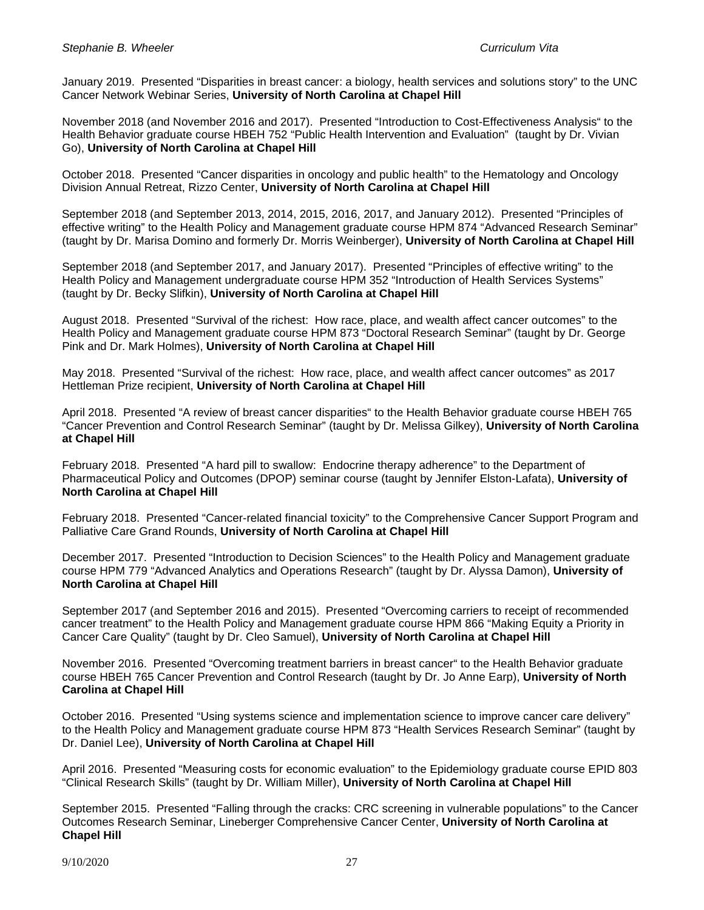January 2019. Presented "Disparities in breast cancer: a biology, health services and solutions story" to the UNC Cancer Network Webinar Series, **University of North Carolina at Chapel Hill**

November 2018 (and November 2016 and 2017). Presented "Introduction to Cost-Effectiveness Analysis" to the Health Behavior graduate course HBEH 752 "Public Health Intervention and Evaluation" (taught by Dr. Vivian Go), **University of North Carolina at Chapel Hill**

October 2018. Presented "Cancer disparities in oncology and public health" to the Hematology and Oncology Division Annual Retreat, Rizzo Center, **University of North Carolina at Chapel Hill**

September 2018 (and September 2013, 2014, 2015, 2016, 2017, and January 2012). Presented "Principles of effective writing" to the Health Policy and Management graduate course HPM 874 "Advanced Research Seminar" (taught by Dr. Marisa Domino and formerly Dr. Morris Weinberger), **University of North Carolina at Chapel Hill**

September 2018 (and September 2017, and January 2017). Presented "Principles of effective writing" to the Health Policy and Management undergraduate course HPM 352 "Introduction of Health Services Systems" (taught by Dr. Becky Slifkin), **University of North Carolina at Chapel Hill**

August 2018. Presented "Survival of the richest: How race, place, and wealth affect cancer outcomes" to the Health Policy and Management graduate course HPM 873 "Doctoral Research Seminar" (taught by Dr. George Pink and Dr. Mark Holmes), **University of North Carolina at Chapel Hill**

May 2018. Presented "Survival of the richest: How race, place, and wealth affect cancer outcomes" as 2017 Hettleman Prize recipient, **University of North Carolina at Chapel Hill**

April 2018. Presented "A review of breast cancer disparities" to the Health Behavior graduate course HBEH 765 "Cancer Prevention and Control Research Seminar" (taught by Dr. Melissa Gilkey), **University of North Carolina at Chapel Hill**

February 2018. Presented "A hard pill to swallow: Endocrine therapy adherence" to the Department of Pharmaceutical Policy and Outcomes (DPOP) seminar course (taught by Jennifer Elston-Lafata), **University of North Carolina at Chapel Hill**

February 2018. Presented "Cancer-related financial toxicity" to the Comprehensive Cancer Support Program and Palliative Care Grand Rounds, **University of North Carolina at Chapel Hill**

December 2017. Presented "Introduction to Decision Sciences" to the Health Policy and Management graduate course HPM 779 "Advanced Analytics and Operations Research" (taught by Dr. Alyssa Damon), **University of North Carolina at Chapel Hill**

September 2017 (and September 2016 and 2015). Presented "Overcoming carriers to receipt of recommended cancer treatment" to the Health Policy and Management graduate course HPM 866 "Making Equity a Priority in Cancer Care Quality" (taught by Dr. Cleo Samuel), **University of North Carolina at Chapel Hill**

November 2016. Presented "Overcoming treatment barriers in breast cancer" to the Health Behavior graduate course HBEH 765 Cancer Prevention and Control Research (taught by Dr. Jo Anne Earp), **University of North Carolina at Chapel Hill**

October 2016. Presented "Using systems science and implementation science to improve cancer care delivery" to the Health Policy and Management graduate course HPM 873 "Health Services Research Seminar" (taught by Dr. Daniel Lee), **University of North Carolina at Chapel Hill**

April 2016. Presented "Measuring costs for economic evaluation" to the Epidemiology graduate course EPID 803 "Clinical Research Skills" (taught by Dr. William Miller), **University of North Carolina at Chapel Hill**

September 2015. Presented "Falling through the cracks: CRC screening in vulnerable populations" to the Cancer Outcomes Research Seminar, Lineberger Comprehensive Cancer Center, **University of North Carolina at Chapel Hill**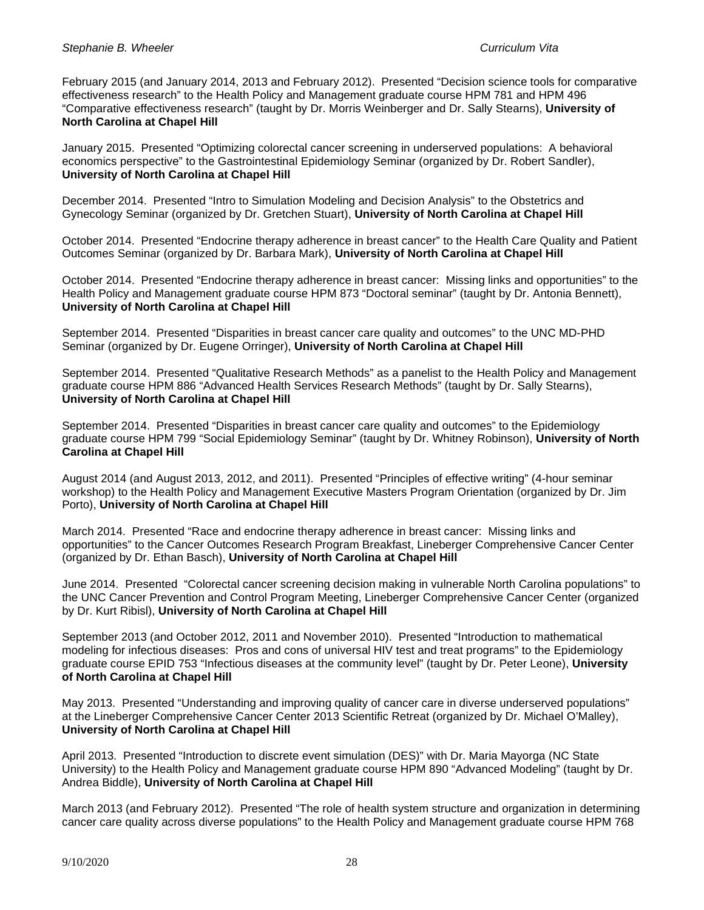February 2015 (and January 2014, 2013 and February 2012). Presented "Decision science tools for comparative effectiveness research" to the Health Policy and Management graduate course HPM 781 and HPM 496 "Comparative effectiveness research" (taught by Dr. Morris Weinberger and Dr. Sally Stearns), **University of North Carolina at Chapel Hill**

January 2015. Presented "Optimizing colorectal cancer screening in underserved populations: A behavioral economics perspective" to the Gastrointestinal Epidemiology Seminar (organized by Dr. Robert Sandler), **University of North Carolina at Chapel Hill**

December 2014. Presented "Intro to Simulation Modeling and Decision Analysis" to the Obstetrics and Gynecology Seminar (organized by Dr. Gretchen Stuart), **University of North Carolina at Chapel Hill**

October 2014. Presented "Endocrine therapy adherence in breast cancer" to the Health Care Quality and Patient Outcomes Seminar (organized by Dr. Barbara Mark), **University of North Carolina at Chapel Hill**

October 2014. Presented "Endocrine therapy adherence in breast cancer: Missing links and opportunities" to the Health Policy and Management graduate course HPM 873 "Doctoral seminar" (taught by Dr. Antonia Bennett), **University of North Carolina at Chapel Hill**

September 2014. Presented "Disparities in breast cancer care quality and outcomes" to the UNC MD-PHD Seminar (organized by Dr. Eugene Orringer), **University of North Carolina at Chapel Hill**

September 2014. Presented "Qualitative Research Methods" as a panelist to the Health Policy and Management graduate course HPM 886 "Advanced Health Services Research Methods" (taught by Dr. Sally Stearns), **University of North Carolina at Chapel Hill**

September 2014. Presented "Disparities in breast cancer care quality and outcomes" to the Epidemiology graduate course HPM 799 "Social Epidemiology Seminar" (taught by Dr. Whitney Robinson), **University of North Carolina at Chapel Hill**

August 2014 (and August 2013, 2012, and 2011). Presented "Principles of effective writing" (4-hour seminar workshop) to the Health Policy and Management Executive Masters Program Orientation (organized by Dr. Jim Porto), **University of North Carolina at Chapel Hill**

March 2014. Presented "Race and endocrine therapy adherence in breast cancer: Missing links and opportunities" to the Cancer Outcomes Research Program Breakfast, Lineberger Comprehensive Cancer Center (organized by Dr. Ethan Basch), **University of North Carolina at Chapel Hill**

June 2014. Presented "Colorectal cancer screening decision making in vulnerable North Carolina populations" to the UNC Cancer Prevention and Control Program Meeting, Lineberger Comprehensive Cancer Center (organized by Dr. Kurt Ribisl), **University of North Carolina at Chapel Hill**

September 2013 (and October 2012, 2011 and November 2010). Presented "Introduction to mathematical modeling for infectious diseases: Pros and cons of universal HIV test and treat programs" to the Epidemiology graduate course EPID 753 "Infectious diseases at the community level" (taught by Dr. Peter Leone), **University of North Carolina at Chapel Hill**

May 2013. Presented "Understanding and improving quality of cancer care in diverse underserved populations" at the Lineberger Comprehensive Cancer Center 2013 Scientific Retreat (organized by Dr. Michael O'Malley), **University of North Carolina at Chapel Hill**

April 2013. Presented "Introduction to discrete event simulation (DES)" with Dr. Maria Mayorga (NC State University) to the Health Policy and Management graduate course HPM 890 "Advanced Modeling" (taught by Dr. Andrea Biddle), **University of North Carolina at Chapel Hill**

March 2013 (and February 2012). Presented "The role of health system structure and organization in determining cancer care quality across diverse populations" to the Health Policy and Management graduate course HPM 768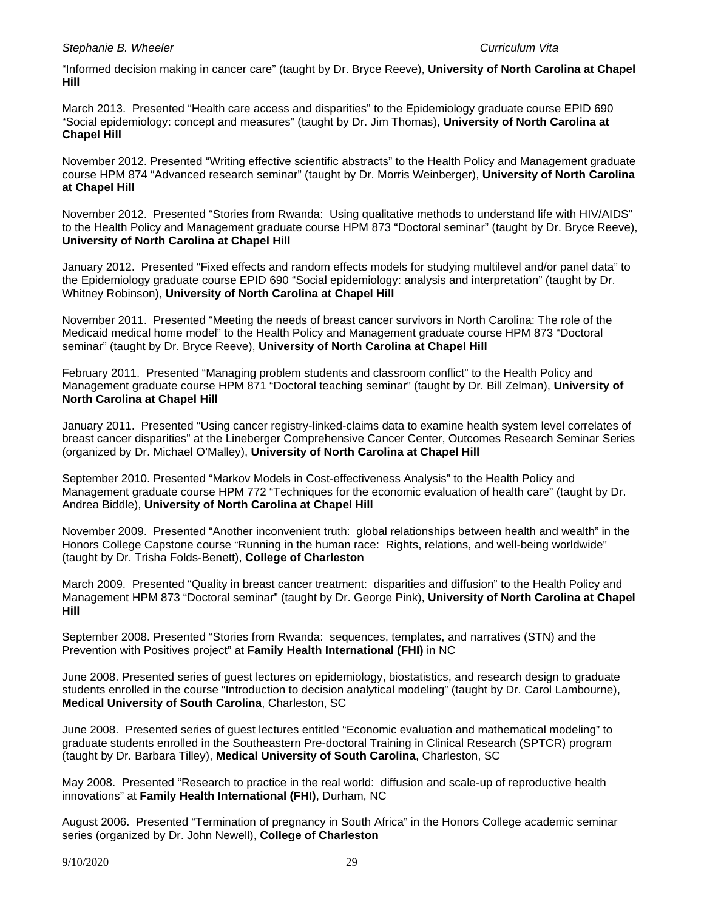"Informed decision making in cancer care" (taught by Dr. Bryce Reeve), **University of North Carolina at Chapel Hill**

March 2013. Presented "Health care access and disparities" to the Epidemiology graduate course EPID 690 "Social epidemiology: concept and measures" (taught by Dr. Jim Thomas), **University of North Carolina at Chapel Hill**

November 2012. Presented "Writing effective scientific abstracts" to the Health Policy and Management graduate course HPM 874 "Advanced research seminar" (taught by Dr. Morris Weinberger), **University of North Carolina at Chapel Hill**

November 2012. Presented "Stories from Rwanda: Using qualitative methods to understand life with HIV/AIDS" to the Health Policy and Management graduate course HPM 873 "Doctoral seminar" (taught by Dr. Bryce Reeve), **University of North Carolina at Chapel Hill**

January 2012. Presented "Fixed effects and random effects models for studying multilevel and/or panel data" to the Epidemiology graduate course EPID 690 "Social epidemiology: analysis and interpretation" (taught by Dr. Whitney Robinson), **University of North Carolina at Chapel Hill**

November 2011. Presented "Meeting the needs of breast cancer survivors in North Carolina: The role of the Medicaid medical home model" to the Health Policy and Management graduate course HPM 873 "Doctoral seminar" (taught by Dr. Bryce Reeve), **University of North Carolina at Chapel Hill**

February 2011. Presented "Managing problem students and classroom conflict" to the Health Policy and Management graduate course HPM 871 "Doctoral teaching seminar" (taught by Dr. Bill Zelman), **University of North Carolina at Chapel Hill**

January 2011. Presented "Using cancer registry-linked-claims data to examine health system level correlates of breast cancer disparities" at the Lineberger Comprehensive Cancer Center, Outcomes Research Seminar Series (organized by Dr. Michael O'Malley), **University of North Carolina at Chapel Hill**

September 2010. Presented "Markov Models in Cost-effectiveness Analysis" to the Health Policy and Management graduate course HPM 772 "Techniques for the economic evaluation of health care" (taught by Dr. Andrea Biddle), **University of North Carolina at Chapel Hill**

November 2009. Presented "Another inconvenient truth: global relationships between health and wealth" in the Honors College Capstone course "Running in the human race: Rights, relations, and well-being worldwide" (taught by Dr. Trisha Folds-Benett), **College of Charleston**

March 2009. Presented "Quality in breast cancer treatment: disparities and diffusion" to the Health Policy and Management HPM 873 "Doctoral seminar" (taught by Dr. George Pink), **University of North Carolina at Chapel Hill**

September 2008. Presented "Stories from Rwanda: sequences, templates, and narratives (STN) and the Prevention with Positives project" at **Family Health International (FHI)** in NC

June 2008. Presented series of guest lectures on epidemiology, biostatistics, and research design to graduate students enrolled in the course "Introduction to decision analytical modeling" (taught by Dr. Carol Lambourne), **Medical University of South Carolina**, Charleston, SC

June 2008. Presented series of guest lectures entitled "Economic evaluation and mathematical modeling" to graduate students enrolled in the Southeastern Pre-doctoral Training in Clinical Research (SPTCR) program (taught by Dr. Barbara Tilley), **Medical University of South Carolina**, Charleston, SC

May 2008. Presented "Research to practice in the real world: diffusion and scale-up of reproductive health innovations" at **Family Health International (FHI)**, Durham, NC

August 2006. Presented "Termination of pregnancy in South Africa" in the Honors College academic seminar series (organized by Dr. John Newell), **College of Charleston**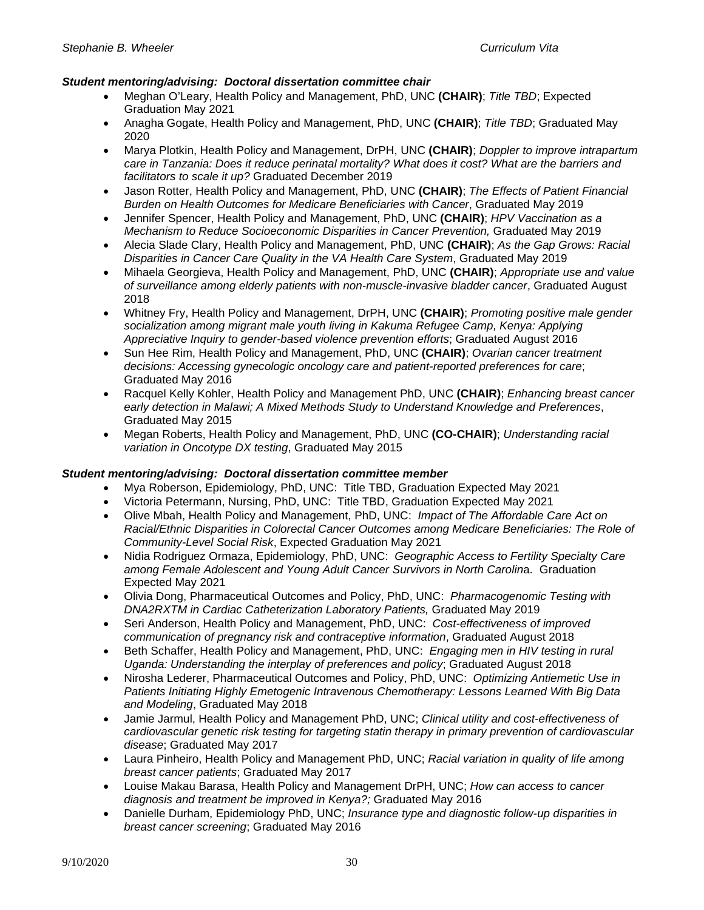# *Student mentoring/advising:**Doctoral dissertation committee chair*

- Meghan O'Leary, Health Policy and Management, PhD, UNC **(CHAIR)**; *Title TBD*; Expected Graduation May 2021
- Anagha Gogate, Health Policy and Management, PhD, UNC **(CHAIR)**; *Title TBD*; Graduated May 2020
- Marya Plotkin, Health Policy and Management, DrPH, UNC **(CHAIR)**; *Doppler to improve intrapartum care in Tanzania: Does it reduce perinatal mortality? What does it cost? What are the barriers and facilitators to scale it up?* Graduated December 2019
- Jason Rotter, Health Policy and Management, PhD, UNC **(CHAIR)**; *The Effects of Patient Financial Burden on Health Outcomes for Medicare Beneficiaries with Cancer*, Graduated May 2019
- Jennifer Spencer, Health Policy and Management, PhD, UNC **(CHAIR)**; *HPV Vaccination as a Mechanism to Reduce Socioeconomic Disparities in Cancer Prevention,* Graduated May 2019
- Alecia Slade Clary, Health Policy and Management, PhD, UNC **(CHAIR)**; *As the Gap Grows: Racial Disparities in Cancer Care Quality in the VA Health Care System*, Graduated May 2019
- Mihaela Georgieva, Health Policy and Management, PhD, UNC **(CHAIR)**; *Appropriate use and value of surveillance among elderly patients with non-muscle-invasive bladder cancer*, Graduated August 2018
- Whitney Fry, Health Policy and Management, DrPH, UNC **(CHAIR)**; *Promoting positive male gender socialization among migrant male youth living in Kakuma Refugee Camp, Kenya: Applying Appreciative Inquiry to gender-based violence prevention efforts*; Graduated August 2016
- Sun Hee Rim, Health Policy and Management, PhD, UNC **(CHAIR)**; *Ovarian cancer treatment decisions: Accessing gynecologic oncology care and patient-reported preferences for care*; Graduated May 2016
- Racquel Kelly Kohler, Health Policy and Management PhD, UNC **(CHAIR)**; *Enhancing breast cancer early detection in Malawi; A Mixed Methods Study to Understand Knowledge and Preferences*, Graduated May 2015
- Megan Roberts, Health Policy and Management, PhD, UNC **(CO-CHAIR)**; *Understanding racial variation in Oncotype DX testing*, Graduated May 2015

# *Student mentoring/advising:**Doctoral dissertation committee member*

- Mya Roberson, Epidemiology, PhD, UNC: Title TBD, Graduation Expected May 2021
- Victoria Petermann, Nursing, PhD, UNC: Title TBD, Graduation Expected May 2021
- Olive Mbah, Health Policy and Management, PhD, UNC: *Impact of The Affordable Care Act on Racial/Ethnic Disparities in Colorectal Cancer Outcomes among Medicare Beneficiaries: The Role of Community-Level Social Risk*, Expected Graduation May 2021
- Nidia Rodriguez Ormaza, Epidemiology, PhD, UNC: *Geographic Access to Fertility Specialty Care among Female Adolescent and Young Adult Cancer Survivors in North Carolin*a. Graduation Expected May 2021
- Olivia Dong, Pharmaceutical Outcomes and Policy, PhD, UNC: *Pharmacogenomic Testing with DNA2RXTM in Cardiac Catheterization Laboratory Patients,* Graduated May 2019
- Seri Anderson, Health Policy and Management, PhD, UNC: *Cost-effectiveness of improved communication of pregnancy risk and contraceptive information*, Graduated August 2018
- Beth Schaffer, Health Policy and Management, PhD, UNC: *Engaging men in HIV testing in rural Uganda: Understanding the interplay of preferences and policy*; Graduated August 2018
- Nirosha Lederer, Pharmaceutical Outcomes and Policy, PhD, UNC: *Optimizing Antiemetic Use in Patients Initiating Highly Emetogenic Intravenous Chemotherapy: Lessons Learned With Big Data and Modeling*, Graduated May 2018
- Jamie Jarmul, Health Policy and Management PhD, UNC; *Clinical utility and cost-effectiveness of cardiovascular genetic risk testing for targeting statin therapy in primary prevention of cardiovascular disease*; Graduated May 2017
- Laura Pinheiro, Health Policy and Management PhD, UNC; *Racial variation in quality of life among breast cancer patients*; Graduated May 2017
- Louise Makau Barasa, Health Policy and Management DrPH, UNC; *How can access to cancer diagnosis and treatment be improved in Kenya?;* Graduated May 2016
- Danielle Durham, Epidemiology PhD, UNC; *Insurance type and diagnostic follow-up disparities in breast cancer screening*; Graduated May 2016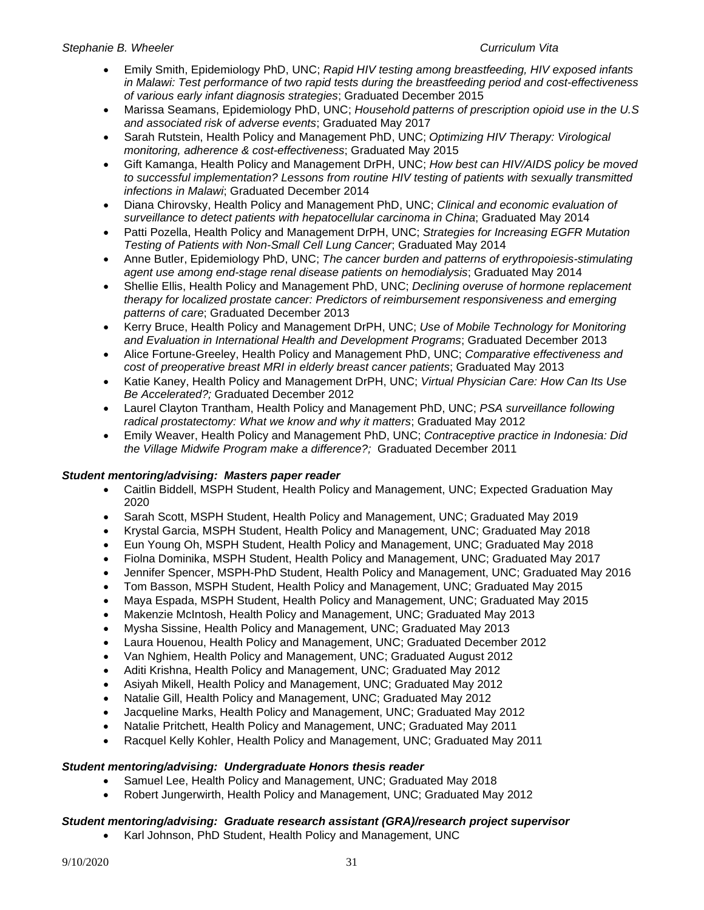- Emily Smith, Epidemiology PhD, UNC; *Rapid HIV testing among breastfeeding, HIV exposed infants in Malawi: Test performance of two rapid tests during the breastfeeding period and cost-effectiveness of various early infant diagnosis strategies*; Graduated December 2015
- Marissa Seamans, Epidemiology PhD, UNC; *Household patterns of prescription opioid use in the U.S and associated risk of adverse events*; Graduated May 2017
- Sarah Rutstein, Health Policy and Management PhD, UNC; *Optimizing HIV Therapy: Virological monitoring, adherence & cost-effectiveness*; Graduated May 2015
- Gift Kamanga, Health Policy and Management DrPH, UNC; *How best can HIV/AIDS policy be moved to successful implementation? Lessons from routine HIV testing of patients with sexually transmitted infections in Malawi*; Graduated December 2014
- Diana Chirovsky, Health Policy and Management PhD, UNC; *Clinical and economic evaluation of surveillance to detect patients with hepatocellular carcinoma in China*; Graduated May 2014
- Patti Pozella, Health Policy and Management DrPH, UNC; *Strategies for Increasing EGFR Mutation Testing of Patients with Non-Small Cell Lung Cancer*; Graduated May 2014
- Anne Butler, Epidemiology PhD, UNC; *The cancer burden and patterns of erythropoiesis-stimulating agent use among end-stage renal disease patients on hemodialysis*; Graduated May 2014
- Shellie Ellis, Health Policy and Management PhD, UNC; *Declining overuse of hormone replacement therapy for localized prostate cancer: Predictors of reimbursement responsiveness and emerging patterns of care*; Graduated December 2013
- Kerry Bruce, Health Policy and Management DrPH, UNC; *Use of Mobile Technology for Monitoring and Evaluation in International Health and Development Programs*; Graduated December 2013
- Alice Fortune-Greeley, Health Policy and Management PhD, UNC; *Comparative effectiveness and cost of preoperative breast MRI in elderly breast cancer patients*; Graduated May 2013
- Katie Kaney, Health Policy and Management DrPH, UNC; *Virtual Physician Care: How Can Its Use Be Accelerated?;* Graduated December 2012
- Laurel Clayton Trantham, Health Policy and Management PhD, UNC; *PSA surveillance following radical prostatectomy: What we know and why it matters*; Graduated May 2012
- Emily Weaver, Health Policy and Management PhD, UNC; *Contraceptive practice in Indonesia: Did the Village Midwife Program make a difference?;* Graduated December 2011

# *Student mentoring/advising:**Masters paper reader*

- Caitlin Biddell, MSPH Student, Health Policy and Management, UNC; Expected Graduation May 2020
- Sarah Scott, MSPH Student, Health Policy and Management, UNC; Graduated May 2019
- Krystal Garcia, MSPH Student, Health Policy and Management, UNC; Graduated May 2018
- Eun Young Oh, MSPH Student, Health Policy and Management, UNC; Graduated May 2018
- Fiolna Dominika, MSPH Student, Health Policy and Management, UNC; Graduated May 2017
- Jennifer Spencer, MSPH-PhD Student, Health Policy and Management, UNC; Graduated May 2016
- Tom Basson, MSPH Student, Health Policy and Management, UNC; Graduated May 2015
- Maya Espada, MSPH Student, Health Policy and Management, UNC; Graduated May 2015
- Makenzie McIntosh, Health Policy and Management, UNC; Graduated May 2013
- Mysha Sissine, Health Policy and Management, UNC; Graduated May 2013
- Laura Houenou, Health Policy and Management, UNC; Graduated December 2012
- Van Nghiem, Health Policy and Management, UNC; Graduated August 2012
- Aditi Krishna, Health Policy and Management, UNC; Graduated May 2012
- Asiyah Mikell, Health Policy and Management, UNC; Graduated May 2012
- Natalie Gill, Health Policy and Management, UNC; Graduated May 2012
- Jacqueline Marks, Health Policy and Management, UNC; Graduated May 2012
- Natalie Pritchett, Health Policy and Management, UNC; Graduated May 2011
- Racquel Kelly Kohler, Health Policy and Management, UNC; Graduated May 2011

# *Student mentoring/advising:**Undergraduate Honors thesis reader*

- Samuel Lee, Health Policy and Management, UNC; Graduated May 2018
- Robert Jungerwirth, Health Policy and Management, UNC; Graduated May 2012

# *Student mentoring/advising:**Graduate research assistant (GRA)/research project supervisor*

• Karl Johnson, PhD Student, Health Policy and Management, UNC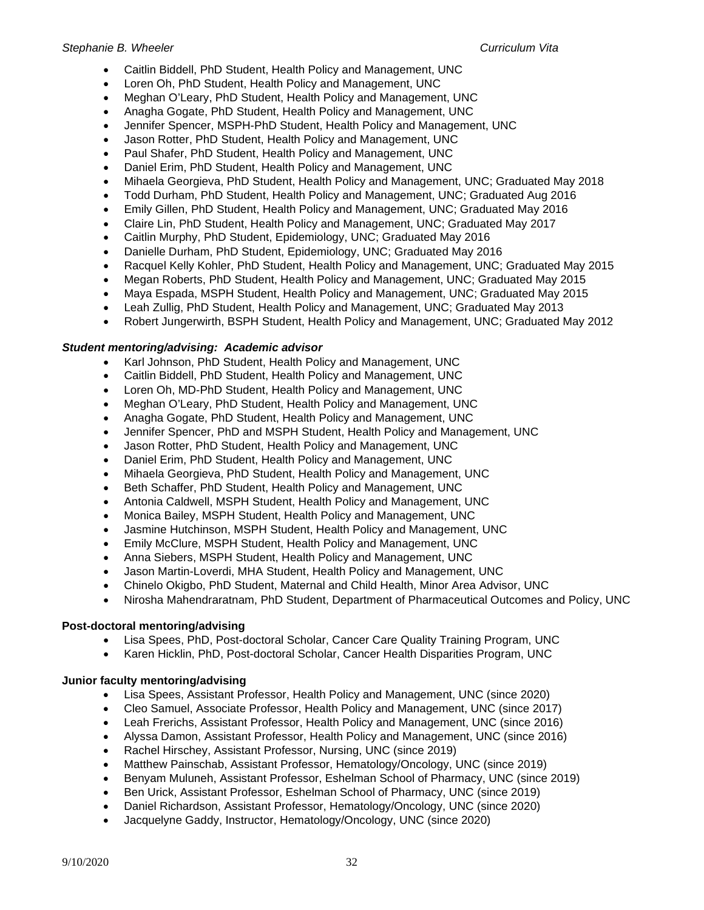- Caitlin Biddell, PhD Student, Health Policy and Management, UNC
- Loren Oh, PhD Student, Health Policy and Management, UNC
- Meghan O'Leary, PhD Student, Health Policy and Management, UNC
- Anagha Gogate, PhD Student, Health Policy and Management, UNC
- Jennifer Spencer, MSPH-PhD Student, Health Policy and Management, UNC
- Jason Rotter, PhD Student, Health Policy and Management, UNC
- Paul Shafer, PhD Student, Health Policy and Management, UNC
- Daniel Erim, PhD Student, Health Policy and Management, UNC
- Mihaela Georgieva, PhD Student, Health Policy and Management, UNC; Graduated May 2018
- Todd Durham, PhD Student, Health Policy and Management, UNC; Graduated Aug 2016
- Emily Gillen, PhD Student, Health Policy and Management, UNC; Graduated May 2016
- Claire Lin, PhD Student, Health Policy and Management, UNC; Graduated May 2017
- Caitlin Murphy, PhD Student, Epidemiology, UNC; Graduated May 2016
- Danielle Durham, PhD Student, Epidemiology, UNC; Graduated May 2016
- Racquel Kelly Kohler, PhD Student, Health Policy and Management, UNC; Graduated May 2015
- Megan Roberts, PhD Student, Health Policy and Management, UNC; Graduated May 2015
- Maya Espada, MSPH Student, Health Policy and Management, UNC; Graduated May 2015
- Leah Zullig, PhD Student, Health Policy and Management, UNC; Graduated May 2013
- Robert Jungerwirth, BSPH Student, Health Policy and Management, UNC; Graduated May 2012

### *Student mentoring/advising:**Academic advisor*

- Karl Johnson, PhD Student, Health Policy and Management, UNC
- Caitlin Biddell, PhD Student, Health Policy and Management, UNC
- Loren Oh, MD-PhD Student, Health Policy and Management, UNC
- Meghan O'Leary, PhD Student, Health Policy and Management, UNC
- Anagha Gogate, PhD Student, Health Policy and Management, UNC
- Jennifer Spencer, PhD and MSPH Student, Health Policy and Management, UNC
- Jason Rotter, PhD Student, Health Policy and Management, UNC
- Daniel Erim, PhD Student, Health Policy and Management, UNC
- Mihaela Georgieva, PhD Student, Health Policy and Management, UNC
- Beth Schaffer, PhD Student, Health Policy and Management, UNC
- Antonia Caldwell, MSPH Student, Health Policy and Management, UNC
- Monica Bailey, MSPH Student, Health Policy and Management, UNC
- Jasmine Hutchinson, MSPH Student, Health Policy and Management, UNC
- Emily McClure, MSPH Student, Health Policy and Management, UNC
- Anna Siebers, MSPH Student, Health Policy and Management, UNC
- Jason Martin-Loverdi, MHA Student, Health Policy and Management, UNC
- Chinelo Okigbo, PhD Student, Maternal and Child Health, Minor Area Advisor, UNC
- Nirosha Mahendraratnam, PhD Student, Department of Pharmaceutical Outcomes and Policy, UNC

### **Post-doctoral mentoring/advising**

- Lisa Spees, PhD, Post-doctoral Scholar, Cancer Care Quality Training Program, UNC
- Karen Hicklin, PhD, Post-doctoral Scholar, Cancer Health Disparities Program, UNC

### **Junior faculty mentoring/advising**

- Lisa Spees, Assistant Professor, Health Policy and Management, UNC (since 2020)
- Cleo Samuel, Associate Professor, Health Policy and Management, UNC (since 2017)
- Leah Frerichs, Assistant Professor, Health Policy and Management, UNC (since 2016)
- Alyssa Damon, Assistant Professor, Health Policy and Management, UNC (since 2016)
- Rachel Hirschey, Assistant Professor, Nursing, UNC (since 2019)
- Matthew Painschab, Assistant Professor, Hematology/Oncology, UNC (since 2019)
- Benyam Muluneh, Assistant Professor, Eshelman School of Pharmacy, UNC (since 2019)
- Ben Urick, Assistant Professor, Eshelman School of Pharmacy, UNC (since 2019)
- Daniel Richardson, Assistant Professor, Hematology/Oncology, UNC (since 2020)
- Jacquelyne Gaddy, Instructor, Hematology/Oncology, UNC (since 2020)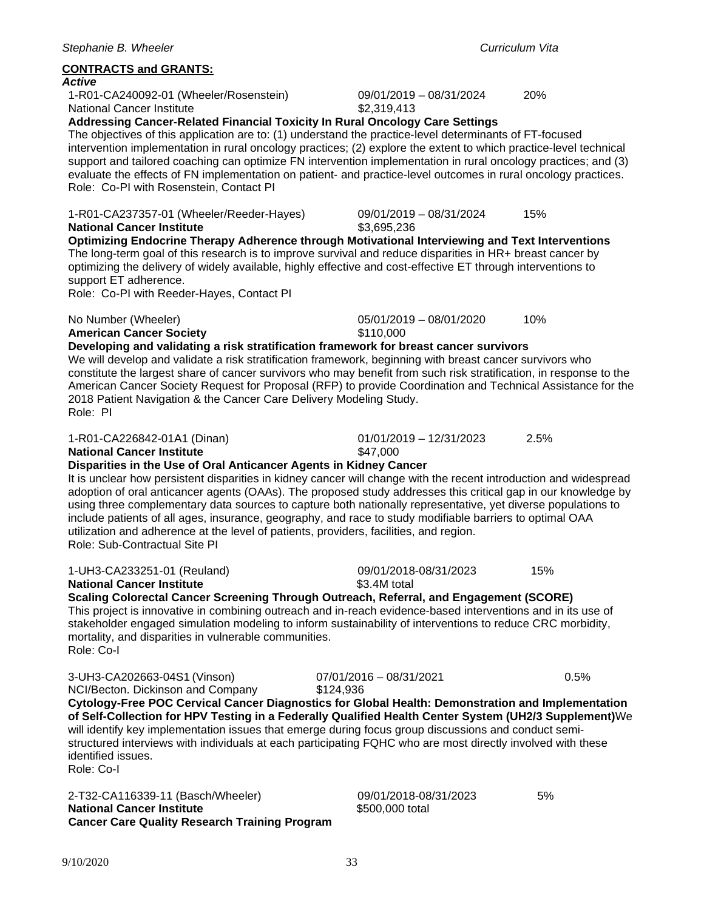### **CONTRACTS and GRANTS:**

### *Active*

1-R01-CA240092-01 (Wheeler/Rosenstein) 09/01/2019 – 08/31/2024 20% **National Cancer Institute** 

**Addressing Cancer-Related Financial Toxicity In Rural Oncology Care Settings** The objectives of this application are to: (1) understand the practice-level determinants of FT-focused intervention implementation in rural oncology practices; (2) explore the extent to which practice-level technical support and tailored coaching can optimize FN intervention implementation in rural oncology practices; and (3) evaluate the effects of FN implementation on patient- and practice-level outcomes in rural oncology practices. Role: Co-PI with Rosenstein, Contact PI

1-R01-CA237357-01 (Wheeler/Reeder-Hayes) 09/01/2019 – 08/31/2024 15%

**National Cancer Institute** \$3,695,236 **Optimizing Endocrine Therapy Adherence through Motivational Interviewing and Text Interventions** The long-term goal of this research is to improve survival and reduce disparities in HR+ breast cancer by optimizing the delivery of widely available, highly effective and cost-effective ET through interventions to support ET adherence.

Role: Co-PI with Reeder-Hayes, Contact PI

No Number (Wheeler) 05/01/2019 – 08/01/2020 10%

**American Cancer Society 110,000** 

**Developing and validating a risk stratification framework for breast cancer survivors** 

### We will develop and validate a risk stratification framework, beginning with breast cancer survivors who constitute the largest share of cancer survivors who may benefit from such risk stratification, in response to the American Cancer Society Request for Proposal (RFP) to provide Coordination and Technical Assistance for the 2018 Patient Navigation & the Cancer Care Delivery Modeling Study. Role: PI

1-R01-CA226842-01A1 (Dinan) 01/01/2019 – 12/31/2023 2.5%

### **National Cancer Institute** \$47,000

### **Disparities in the Use of Oral Anticancer Agents in Kidney Cancer**

It is unclear how persistent disparities in kidney cancer will change with the recent introduction and widespread adoption of oral anticancer agents (OAAs). The proposed study addresses this critical gap in our knowledge by using three complementary data sources to capture both nationally representative, yet diverse populations to include patients of all ages, insurance, geography, and race to study modifiable barriers to optimal OAA utilization and adherence at the level of patients, providers, facilities, and region. Role: Sub-Contractual Site PI

1-UH3-CA233251-01 (Reuland) 09/01/2018-08/31/2023 15% **National Cancer Institute 1.120.000 1.130.4M total Scaling Colorectal Cancer Screening Through Outreach, Referral, and Engagement (SCORE)** This project is innovative in combining outreach and in-reach evidence-based interventions and in its use of

stakeholder engaged simulation modeling to inform sustainability of interventions to reduce CRC morbidity, mortality, and disparities in vulnerable communities. Role: Co-I

3-UH3-CA202663-04S1 (Vinson) 07/01/2016 – 08/31/2021 0.5%<br>NCI/Becton. Dickinson and Company \$124,936

NCI/Becton. Dickinson and Company

**Cytology-Free POC Cervical Cancer Diagnostics for Global Health: Demonstration and Implementation of Self-Collection for HPV Testing in a Federally Qualified Health Center System (UH2/3 Supplement)**We will identify key implementation issues that emerge during focus group discussions and conduct semistructured interviews with individuals at each participating FQHC who are most directly involved with these identified issues.

Role: Co-I

2-T32-CA116339-11 (Basch/Wheeler) 09/01/2018-08/31/2023 5%<br>**National Cancer Institute** \$500,000 total **National Cancer Institute Cancer Care Quality Research Training Program**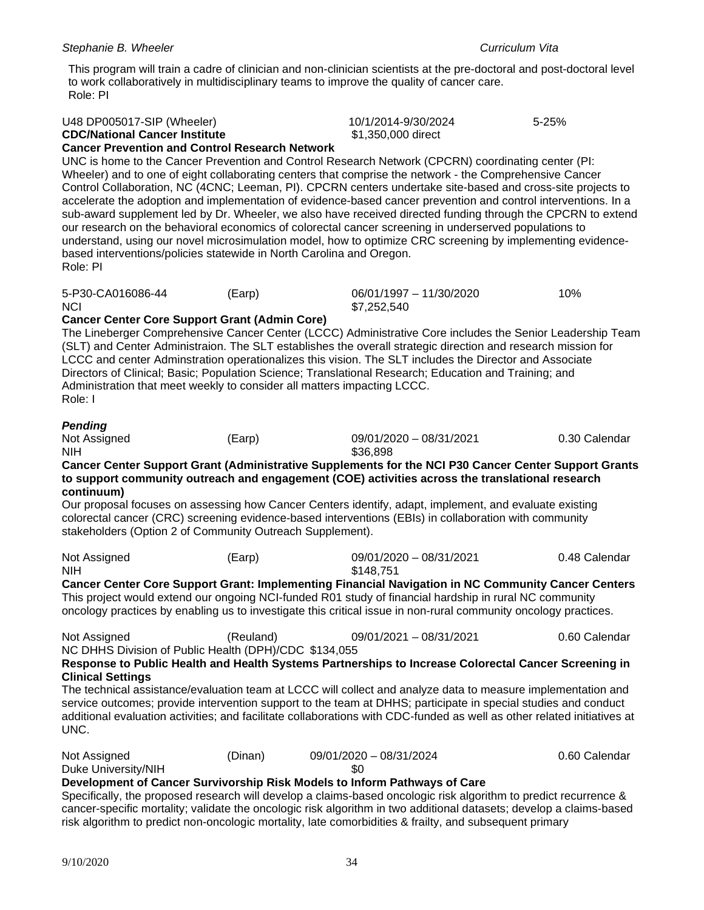This program will train a cadre of clinician and non-clinician scientists at the pre-doctoral and post-doctoral level to work collaboratively in multidisciplinary teams to improve the quality of cancer care. Role: PI

| U48 DP005017-SIP (Wheeler)<br><b>CDC/National Cancer Institute</b><br><b>Cancer Prevention and Control Research Network</b>                                                                                                                                                                                                                                                                                                                                                                                                                                                                                                                                                                                                                                                                                                                                              |           | 10/1/2014-9/30/2024<br>\$1,350,000 direct |  | 5-25%         |  |  |
|--------------------------------------------------------------------------------------------------------------------------------------------------------------------------------------------------------------------------------------------------------------------------------------------------------------------------------------------------------------------------------------------------------------------------------------------------------------------------------------------------------------------------------------------------------------------------------------------------------------------------------------------------------------------------------------------------------------------------------------------------------------------------------------------------------------------------------------------------------------------------|-----------|-------------------------------------------|--|---------------|--|--|
| UNC is home to the Cancer Prevention and Control Research Network (CPCRN) coordinating center (PI:<br>Wheeler) and to one of eight collaborating centers that comprise the network - the Comprehensive Cancer<br>Control Collaboration, NC (4CNC; Leeman, PI). CPCRN centers undertake site-based and cross-site projects to<br>accelerate the adoption and implementation of evidence-based cancer prevention and control interventions. In a<br>sub-award supplement led by Dr. Wheeler, we also have received directed funding through the CPCRN to extend<br>our research on the behavioral economics of colorectal cancer screening in underserved populations to<br>understand, using our novel microsimulation model, how to optimize CRC screening by implementing evidence-<br>based interventions/policies statewide in North Carolina and Oregon.<br>Role: PI |           |                                           |  |               |  |  |
| 5-P30-CA016086-44<br><b>NCI</b><br><b>Cancer Center Core Support Grant (Admin Core)</b><br>The Lineberger Comprehensive Cancer Center (LCCC) Administrative Core includes the Senior Leadership Team<br>(SLT) and Center Administraion. The SLT establishes the overall strategic direction and research mission for                                                                                                                                                                                                                                                                                                                                                                                                                                                                                                                                                     | (Earp)    | 06/01/1997 - 11/30/2020<br>\$7,252,540    |  | 10%           |  |  |
| LCCC and center Adminstration operationalizes this vision. The SLT includes the Director and Associate<br>Directors of Clinical; Basic; Population Science; Translational Research; Education and Training; and<br>Administration that meet weekly to consider all matters impacting LCCC.<br>Role: I                                                                                                                                                                                                                                                                                                                                                                                                                                                                                                                                                                    |           |                                           |  |               |  |  |
| <b>Pending</b><br>Not Assigned<br><b>NIH</b><br>Cancer Center Support Grant (Administrative Supplements for the NCI P30 Cancer Center Support Grants                                                                                                                                                                                                                                                                                                                                                                                                                                                                                                                                                                                                                                                                                                                     | (Earp)    | 09/01/2020 - 08/31/2021<br>\$36,898       |  | 0.30 Calendar |  |  |
| to support community outreach and engagement (COE) activities across the translational research                                                                                                                                                                                                                                                                                                                                                                                                                                                                                                                                                                                                                                                                                                                                                                          |           |                                           |  |               |  |  |
| continuum)<br>Our proposal focuses on assessing how Cancer Centers identify, adapt, implement, and evaluate existing<br>colorectal cancer (CRC) screening evidence-based interventions (EBIs) in collaboration with community<br>stakeholders (Option 2 of Community Outreach Supplement).                                                                                                                                                                                                                                                                                                                                                                                                                                                                                                                                                                               |           |                                           |  |               |  |  |
| Not Assigned<br><b>NIH</b>                                                                                                                                                                                                                                                                                                                                                                                                                                                                                                                                                                                                                                                                                                                                                                                                                                               | (Earp)    | 09/01/2020 - 08/31/2021<br>\$148,751      |  | 0.48 Calendar |  |  |
| Cancer Center Core Support Grant: Implementing Financial Navigation in NC Community Cancer Centers<br>This project would extend our ongoing NCI-funded R01 study of financial hardship in rural NC community<br>oncology practices by enabling us to investigate this critical issue in non-rural community oncology practices.                                                                                                                                                                                                                                                                                                                                                                                                                                                                                                                                          |           |                                           |  |               |  |  |
| Not Assigned<br>NC DHHS Division of Public Health (DPH)/CDC \$134,055                                                                                                                                                                                                                                                                                                                                                                                                                                                                                                                                                                                                                                                                                                                                                                                                    | (Reuland) | 09/01/2021 - 08/31/2021                   |  | 0.60 Calendar |  |  |
| Response to Public Health and Health Systems Partnerships to Increase Colorectal Cancer Screening in<br><b>Clinical Settings</b>                                                                                                                                                                                                                                                                                                                                                                                                                                                                                                                                                                                                                                                                                                                                         |           |                                           |  |               |  |  |
| The technical assistance/evaluation team at LCCC will collect and analyze data to measure implementation and<br>service outcomes; provide intervention support to the team at DHHS; participate in special studies and conduct<br>additional evaluation activities; and facilitate collaborations with CDC-funded as well as other related initiatives at<br>UNC.                                                                                                                                                                                                                                                                                                                                                                                                                                                                                                        |           |                                           |  |               |  |  |
| Not Assigned<br>Duke University/NIH                                                                                                                                                                                                                                                                                                                                                                                                                                                                                                                                                                                                                                                                                                                                                                                                                                      | (Dinan)   | 09/01/2020 - 08/31/2024<br>\$0            |  | 0.60 Calendar |  |  |
| Development of Cancer Survivorship Risk Models to Inform Pathways of Care<br>Specifically, the proposed research will develop a claims-based oncologic risk algorithm to predict recurrence &<br>cancer-specific mortality; validate the oncologic risk algorithm in two additional datasets; develop a claims-based<br>risk algorithm to predict non-oncologic mortality, late comorbidities & frailty, and subsequent primary                                                                                                                                                                                                                                                                                                                                                                                                                                          |           |                                           |  |               |  |  |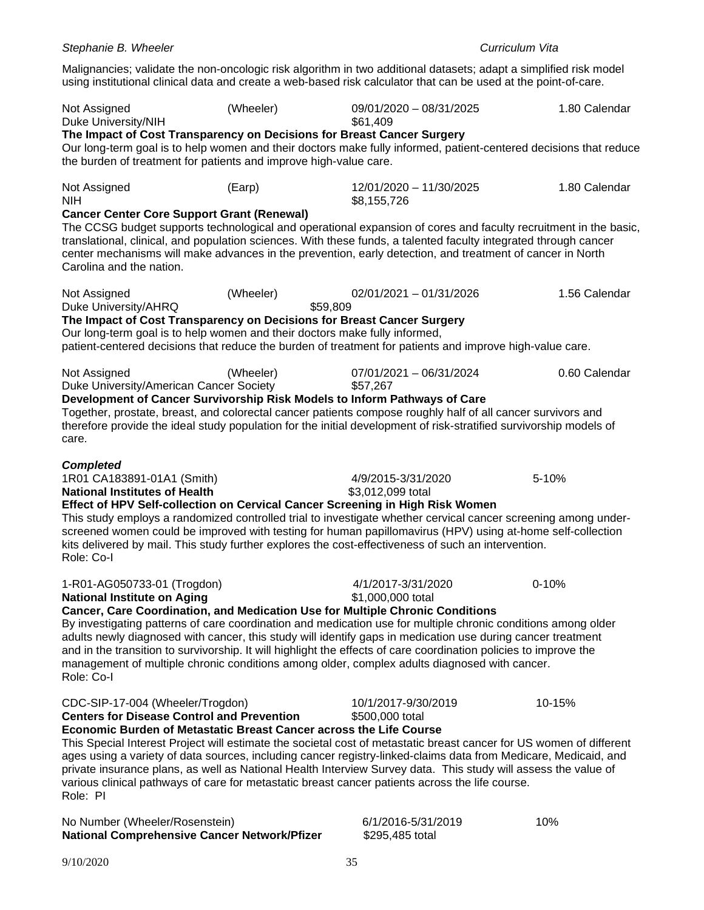Duke University/NIH  $$61,409$ **The Impact of Cost Transparency on Decisions for Breast Cancer Surgery** Our long-term goal is to help women and their doctors make fully informed, patient-centered decisions that reduce the burden of treatment for patients and improve high-value care. Not Assigned (Earp) 12/01/2020 – 11/30/2025 1.80 Calendar NIH \$8,155,726 **Cancer Center Core Support Grant (Renewal)** The CCSG budget supports technological and operational expansion of cores and faculty recruitment in the basic, translational, clinical, and population sciences. With these funds, a talented faculty integrated through cancer center mechanisms will make advances in the prevention, early detection, and treatment of cancer in North Carolina and the nation. Not Assigned (Wheeler) 02/01/2021 – 01/31/2026 1.56 Calendar Duke University/AHRQ \$59,809 **The Impact of Cost Transparency on Decisions for Breast Cancer Surgery** Our long-term goal is to help women and their doctors make fully informed, patient-centered decisions that reduce the burden of treatment for patients and improve high-value care. Not Assigned (Wheeler) 07/01/2021 – 06/31/2024 0.60 Calendar Duke University/American Cancer Society \$57,267 **Development of Cancer Survivorship Risk Models to Inform Pathways of Care** Together, prostate, breast, and colorectal cancer patients compose roughly half of all cancer survivors and therefore provide the ideal study population for the initial development of risk-stratified survivorship models of care. *Completed* 1R01 CA183891-01A1 (Smith) 4/9/2015-3/31/2020 5-10% **National Institutes of Health**  $$3.012.099$  total **Effect of HPV Self-collection on Cervical Cancer Screening in High Risk Women** This study employs a randomized controlled trial to investigate whether cervical cancer screening among underscreened women could be improved with testing for human papillomavirus (HPV) using at-home self-collection kits delivered by mail. This study further explores the cost-effectiveness of such an intervention. Role: Co-I 1-R01-AG050733-01 (Trogdon) 4/1/2017-3/31/2020 0-10% **National Institute on Aging 6 and 51,000,000 total metallicity of Aging Cancer, Care Coordination, and Medication Use for Multiple Chronic Conditions** By investigating patterns of care coordination and medication use for multiple chronic conditions among older adults newly diagnosed with cancer, this study will identify gaps in medication use during cancer treatment and in the transition to survivorship. It will highlight the effects of care coordination policies to improve the management of multiple chronic conditions among older, complex adults diagnosed with cancer. Role: Co-I CDC-SIP-17-004 (Wheeler/Trogdon) 10/1/2017-9/30/2019 10-15% **Centers for Disease Control and Prevention**  $$500,000$  **total Economic Burden of Metastatic Breast Cancer across the Life Course** This Special Interest Project will estimate the societal cost of metastatic breast cancer for US women of different ages using a variety of data sources, including cancer registry-linked-claims data from Medicare, Medicaid, and private insurance plans, as well as National Health Interview Survey data. This study will assess the value of various clinical pathways of care for metastatic breast cancer patients across the life course. Role: PI No Number (Wheeler/Rosenstein) 6/1/2016-5/31/2019 10%

9/10/2020 35

**National Comprehensive Cancer Network/Pfizer \$295,485 total** 

*Stephanie B. Wheeler Curriculum Vita*

Malignancies; validate the non-oncologic risk algorithm in two additional datasets; adapt a simplified risk model using institutional clinical data and create a web-based risk calculator that can be used at the point-of-care.

Not Assigned (Wheeler) 09/01/2020 – 08/31/2025 1.80 Calendar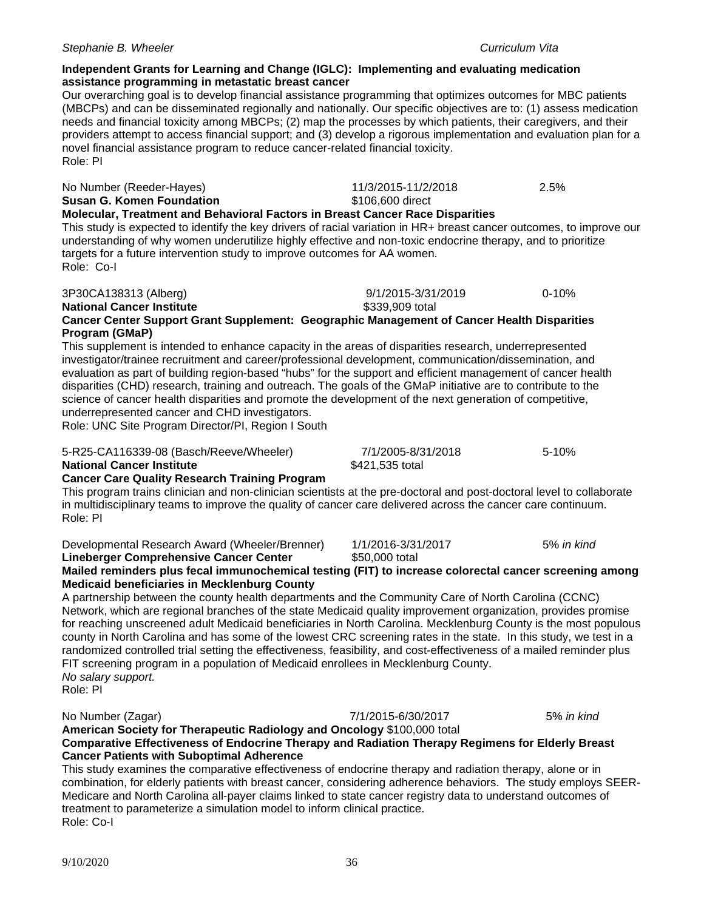Role: Co-I

### *Stephanie B. Wheeler Curriculum Vita*

# **Independent Grants for Learning and Change (IGLC): Implementing and evaluating medication assistance programming in metastatic breast cancer**

Our overarching goal is to develop financial assistance programming that optimizes outcomes for MBC patients (MBCPs) and can be disseminated regionally and nationally. Our specific objectives are to: (1) assess medication needs and financial toxicity among MBCPs; (2) map the processes by which patients, their caregivers, and their providers attempt to access financial support; and (3) develop a rigorous implementation and evaluation plan for a novel financial assistance program to reduce cancer-related financial toxicity. Role: PI

| No Number (Reeder-Hayes)<br><b>Susan G. Komen Foundation</b><br>Molecular, Treatment and Behavioral Factors in Breast Cancer Race Disparities<br>This study is expected to identify the key drivers of racial variation in HR+ breast cancer outcomes, to improve our<br>understanding of why women underutilize highly effective and non-toxic endocrine therapy, and to prioritize<br>targets for a future intervention study to improve outcomes for AA women.<br>Role: Co-I                                                                                                                                                                                                       | 11/3/2015-11/2/2018<br>\$106,600 direct | 2.5%       |
|---------------------------------------------------------------------------------------------------------------------------------------------------------------------------------------------------------------------------------------------------------------------------------------------------------------------------------------------------------------------------------------------------------------------------------------------------------------------------------------------------------------------------------------------------------------------------------------------------------------------------------------------------------------------------------------|-----------------------------------------|------------|
| 3P30CA138313 (Alberg)<br><b>National Cancer Institute</b><br>Cancer Center Support Grant Supplement: Geographic Management of Cancer Health Disparities                                                                                                                                                                                                                                                                                                                                                                                                                                                                                                                               | 9/1/2015-3/31/2019<br>\$339,909 total   | $0 - 10%$  |
| Program (GMaP)<br>This supplement is intended to enhance capacity in the areas of disparities research, underrepresented<br>investigator/trainee recruitment and career/professional development, communication/dissemination, and<br>evaluation as part of building region-based "hubs" for the support and efficient management of cancer health<br>disparities (CHD) research, training and outreach. The goals of the GMaP initiative are to contribute to the<br>science of cancer health disparities and promote the development of the next generation of competitive,<br>underrepresented cancer and CHD investigators.<br>Role: UNC Site Program Director/PI, Region I South |                                         |            |
| 5-R25-CA116339-08 (Basch/Reeve/Wheeler)<br><b>National Cancer Institute</b>                                                                                                                                                                                                                                                                                                                                                                                                                                                                                                                                                                                                           | 7/1/2005-8/31/2018<br>\$421,535 total   | 5-10%      |
| <b>Cancer Care Quality Research Training Program</b><br>This program trains clinician and non-clinician scientists at the pre-doctoral and post-doctoral level to collaborate<br>in multidisciplinary teams to improve the quality of cancer care delivered across the cancer care continuum.<br>Role: PI                                                                                                                                                                                                                                                                                                                                                                             |                                         |            |
| Developmental Research Award (Wheeler/Brenner)<br>Lineberger Comprehensive Cancer Center<br>Mailed reminders plus fecal immunochemical testing (FIT) to increase colorectal cancer screening among<br><b>Medicaid beneficiaries in Mecklenburg County</b><br>A partnership between the county health departments and the Community Care of North Carolina (CCNC)                                                                                                                                                                                                                                                                                                                      | 1/1/2016-3/31/2017<br>\$50,000 total    | 5% in kind |
|                                                                                                                                                                                                                                                                                                                                                                                                                                                                                                                                                                                                                                                                                       |                                         |            |

Network, which are regional branches of the state Medicaid quality improvement organization, provides promise for reaching unscreened adult Medicaid beneficiaries in North Carolina. Mecklenburg County is the most populous county in North Carolina and has some of the lowest CRC screening rates in the state. In this study, we test in a randomized controlled trial setting the effectiveness, feasibility, and cost-effectiveness of a mailed reminder plus FIT screening program in a population of Medicaid enrollees in Mecklenburg County. *No salary support.*

Role: PI

No Number (Zagar) 7/1/2015-6/30/2017 5% *in kind* **American Society for Therapeutic Radiology and Oncology** \$100,000 total

**Cancer Patients with Suboptimal Adherence** This study examines the comparative effectiveness of endocrine therapy and radiation therapy, alone or in combination, for elderly patients with breast cancer, considering adherence behaviors. The study employs SEER-Medicare and North Carolina all-payer claims linked to state cancer registry data to understand outcomes of

**Comparative Effectiveness of Endocrine Therapy and Radiation Therapy Regimens for Elderly Breast** 

treatment to parameterize a simulation model to inform clinical practice.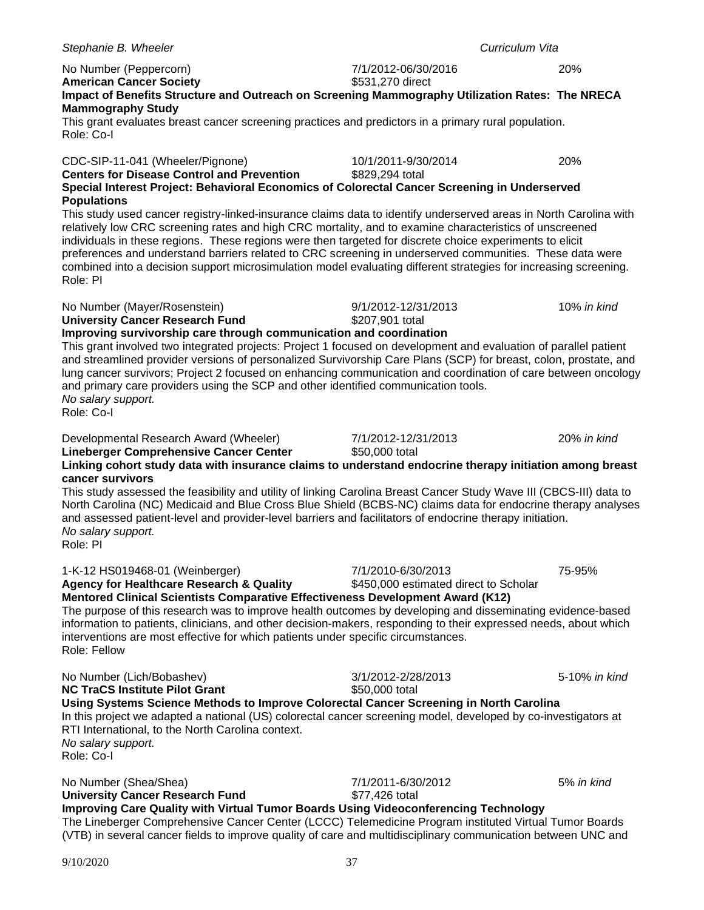| No Number (Peppercorn)<br><b>American Cancer Society</b>                                                                                                                                                                                                                                                                                                                                                                                                                                                                                                                             | 7/1/2012-06/30/2016<br>\$531,270 direct                     | 20%           |
|--------------------------------------------------------------------------------------------------------------------------------------------------------------------------------------------------------------------------------------------------------------------------------------------------------------------------------------------------------------------------------------------------------------------------------------------------------------------------------------------------------------------------------------------------------------------------------------|-------------------------------------------------------------|---------------|
| Impact of Benefits Structure and Outreach on Screening Mammography Utilization Rates: The NRECA                                                                                                                                                                                                                                                                                                                                                                                                                                                                                      |                                                             |               |
| <b>Mammography Study</b><br>This grant evaluates breast cancer screening practices and predictors in a primary rural population.<br>Role: Co-I                                                                                                                                                                                                                                                                                                                                                                                                                                       |                                                             |               |
| CDC-SIP-11-041 (Wheeler/Pignone)<br><b>Centers for Disease Control and Prevention</b>                                                                                                                                                                                                                                                                                                                                                                                                                                                                                                | 10/1/2011-9/30/2014<br>\$829,294 total                      | 20%           |
| Special Interest Project: Behavioral Economics of Colorectal Cancer Screening in Underserved<br><b>Populations</b>                                                                                                                                                                                                                                                                                                                                                                                                                                                                   |                                                             |               |
| This study used cancer registry-linked-insurance claims data to identify underserved areas in North Carolina with<br>relatively low CRC screening rates and high CRC mortality, and to examine characteristics of unscreened<br>individuals in these regions. These regions were then targeted for discrete choice experiments to elicit<br>preferences and understand barriers related to CRC screening in underserved communities. These data were<br>combined into a decision support microsimulation model evaluating different strategies for increasing screening.<br>Role: PI |                                                             |               |
| No Number (Mayer/Rosenstein)                                                                                                                                                                                                                                                                                                                                                                                                                                                                                                                                                         | 9/1/2012-12/31/2013                                         | 10% in kind   |
| <b>University Cancer Research Fund</b><br>Improving survivorship care through communication and coordination                                                                                                                                                                                                                                                                                                                                                                                                                                                                         | \$207,901 total                                             |               |
| This grant involved two integrated projects: Project 1 focused on development and evaluation of parallel patient<br>and streamlined provider versions of personalized Survivorship Care Plans (SCP) for breast, colon, prostate, and<br>lung cancer survivors; Project 2 focused on enhancing communication and coordination of care between oncology<br>and primary care providers using the SCP and other identified communication tools.<br>No salary support.<br>Role: Co-I                                                                                                      |                                                             |               |
| Developmental Research Award (Wheeler)<br>Lineberger Comprehensive Cancer Center<br>Linking cohort study data with insurance claims to understand endocrine therapy initiation among breast                                                                                                                                                                                                                                                                                                                                                                                          | 7/1/2012-12/31/2013<br>\$50,000 total                       | 20% in kind   |
| cancer survivors<br>This study assessed the feasibility and utility of linking Carolina Breast Cancer Study Wave III (CBCS-III) data to<br>North Carolina (NC) Medicaid and Blue Cross Blue Shield (BCBS-NC) claims data for endocrine therapy analyses<br>and assessed patient-level and provider-level barriers and facilitators of endocrine therapy initiation.<br>No salary support.<br>Role: PI                                                                                                                                                                                |                                                             |               |
| 1-K-12 HS019468-01 (Weinberger)<br><b>Agency for Healthcare Research &amp; Quality</b>                                                                                                                                                                                                                                                                                                                                                                                                                                                                                               | 7/1/2010-6/30/2013<br>\$450,000 estimated direct to Scholar | 75-95%        |
| Mentored Clinical Scientists Comparative Effectiveness Development Award (K12)<br>The purpose of this research was to improve health outcomes by developing and disseminating evidence-based<br>information to patients, clinicians, and other decision-makers, responding to their expressed needs, about which<br>interventions are most effective for which patients under specific circumstances.<br>Role: Fellow                                                                                                                                                                |                                                             |               |
| No Number (Lich/Bobashev)<br><b>NC TraCS Institute Pilot Grant</b>                                                                                                                                                                                                                                                                                                                                                                                                                                                                                                                   | 3/1/2012-2/28/2013<br>\$50,000 total                        | 5-10% in kind |
| Using Systems Science Methods to Improve Colorectal Cancer Screening in North Carolina<br>In this project we adapted a national (US) colorectal cancer screening model, developed by co-investigators at<br>RTI International, to the North Carolina context.<br>No salary support.<br>Role: Co-I                                                                                                                                                                                                                                                                                    |                                                             |               |
| No Number (Shea/Shea)<br><b>University Cancer Research Fund</b>                                                                                                                                                                                                                                                                                                                                                                                                                                                                                                                      | 7/1/2011-6/30/2012<br>\$77,426 total                        | 5% in kind    |
| Improving Care Quality with Virtual Tumor Boards Using Videoconferencing Technology                                                                                                                                                                                                                                                                                                                                                                                                                                                                                                  |                                                             |               |
| The Lineberger Comprehensive Cancer Center (LCCC) Telemedicine Program instituted Virtual Tumor Boards<br>(VTB) in several cancer fields to improve quality of care and multidisciplinary communication between UNC and                                                                                                                                                                                                                                                                                                                                                              |                                                             |               |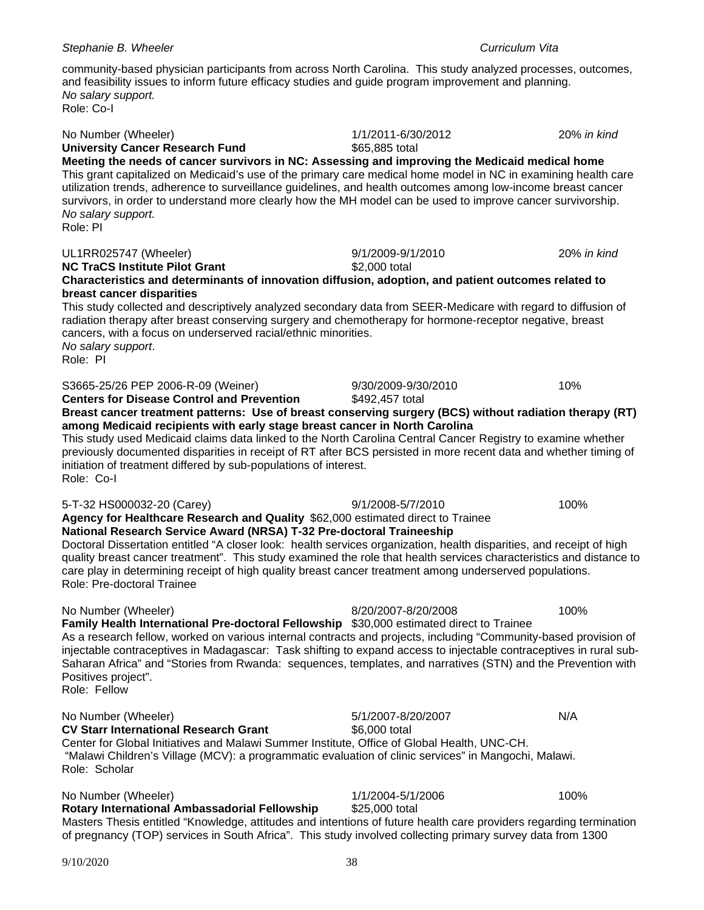# Role: Co-I

*No salary support.*

| <b>University Cancer Research Fund</b> | \$65,885 total                                                                                                 |  |
|----------------------------------------|----------------------------------------------------------------------------------------------------------------|--|
|                                        | Meeting the needs of cancer survivors in NC: Assessing and improving the Medicaid medical home                 |  |
|                                        | This grant capitalized on Medicaid's use of the primary care medical home model in NC in examining health care |  |
|                                        | utilization trends, adherence to surveillance guidelines, and health outcomes among low-income breast cancer   |  |
|                                        | survivors, in order to understand more clearly how the MH model can be used to improve cancer survivorship.    |  |
| No salary support.                     |                                                                                                                |  |
| Role: PI                               |                                                                                                                |  |

No Number (Wheeler) 1/1/2011-6/30/2012 20% *in kind*

and feasibility issues to inform future efficacy studies and guide program improvement and planning.

### UL1RR025747 (Wheeler) 9/1/2009-9/1/2010 20% *in kind*

# **NC TraCS Institute Pilot Grant** \$2,000 total **Characteristics and determinants of innovation diffusion, adoption, and patient outcomes related to breast cancer disparities**

This study collected and descriptively analyzed secondary data from SEER-Medicare with regard to diffusion of radiation therapy after breast conserving surgery and chemotherapy for hormone-receptor negative, breast cancers, with a focus on underserved racial/ethnic minorities. *No salary support*. Role: PI

### S3665-25/26 PEP 2006-R-09 (Weiner) 9/30/2009-9/30/2010 10%

**Centers for Disease Control and Prevention** \$492,457 total

**Breast cancer treatment patterns: Use of breast conserving surgery (BCS) without radiation therapy (RT) among Medicaid recipients with early stage breast cancer in North Carolina** This study used Medicaid claims data linked to the North Carolina Central Cancer Registry to examine whether previously documented disparities in receipt of RT after BCS persisted in more recent data and whether timing of

initiation of treatment differed by sub-populations of interest. Role: Co-I

### 5-T-32 HS000032-20 (Carey) 9/1/2008-5/7/2010 100%

**Agency for Healthcare Research and Quality** \$62,000 estimated direct to Trainee **National Research Service Award (NRSA) T-32 Pre-doctoral Traineeship** 

Doctoral Dissertation entitled "A closer look: health services organization, health disparities, and receipt of high quality breast cancer treatment". This study examined the role that health services characteristics and distance to care play in determining receipt of high quality breast cancer treatment among underserved populations. Role: Pre-doctoral Trainee

### No Number (Wheeler) 8/20/2007-8/20/2008 100%

**Family Health International Pre-doctoral Fellowship** \$30,000 estimated direct to Trainee As a research fellow, worked on various internal contracts and projects, including "Community-based provision of injectable contraceptives in Madagascar: Task shifting to expand access to injectable contraceptives in rural sub-Saharan Africa" and "Stories from Rwanda: sequences, templates, and narratives (STN) and the Prevention with Positives project". Role: Fellow

### No Number (Wheeler)<br> **CV Starr International Research Grant** 5/1/2007-8/20/2007<br>
S6.000 total **CV Starr International Research Grant** Center for Global Initiatives and Malawi Summer Institute, Office of Global Health, UNC-CH. "Malawi Children's Village (MCV): a programmatic evaluation of clinic services" in Mangochi, Malawi.

No Number (Wheeler)<br> **Rotary International Ambassadorial Fellowship**  $$25,000$  total<br> **Rotary International Ambassadorial Fellowship** \$25,000 total **Rotary International Ambassadorial Fellowship** Masters Thesis entitled "Knowledge, attitudes and intentions of future health care providers regarding termination of pregnancy (TOP) services in South Africa". This study involved collecting primary survey data from 1300

Role: Scholar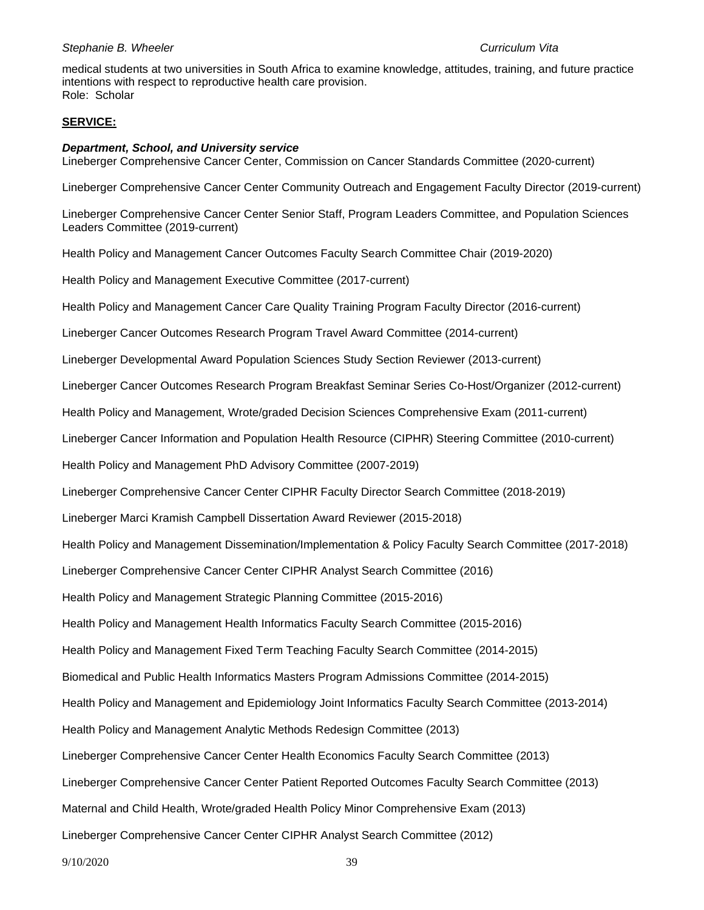medical students at two universities in South Africa to examine knowledge, attitudes, training, and future practice intentions with respect to reproductive health care provision. Role: Scholar

### **SERVICE:**

### *Department, School, and University service*

Lineberger Comprehensive Cancer Center, Commission on Cancer Standards Committee (2020-current)

Lineberger Comprehensive Cancer Center Community Outreach and Engagement Faculty Director (2019-current)

Lineberger Comprehensive Cancer Center Senior Staff, Program Leaders Committee, and Population Sciences Leaders Committee (2019-current)

Health Policy and Management Cancer Outcomes Faculty Search Committee Chair (2019-2020)

Health Policy and Management Executive Committee (2017-current)

Health Policy and Management Cancer Care Quality Training Program Faculty Director (2016-current)

Lineberger Cancer Outcomes Research Program Travel Award Committee (2014-current)

Lineberger Developmental Award Population Sciences Study Section Reviewer (2013-current)

Lineberger Cancer Outcomes Research Program Breakfast Seminar Series Co-Host/Organizer (2012-current)

Health Policy and Management, Wrote/graded Decision Sciences Comprehensive Exam (2011-current)

Lineberger Cancer Information and Population Health Resource (CIPHR) Steering Committee (2010-current)

Health Policy and Management PhD Advisory Committee (2007-2019)

Lineberger Comprehensive Cancer Center CIPHR Faculty Director Search Committee (2018-2019)

Lineberger Marci Kramish Campbell Dissertation Award Reviewer (2015-2018)

Health Policy and Management Dissemination/Implementation & Policy Faculty Search Committee (2017-2018)

Lineberger Comprehensive Cancer Center CIPHR Analyst Search Committee (2016)

Health Policy and Management Strategic Planning Committee (2015-2016)

Health Policy and Management Health Informatics Faculty Search Committee (2015-2016)

Health Policy and Management Fixed Term Teaching Faculty Search Committee (2014-2015)

Biomedical and Public Health Informatics Masters Program Admissions Committee (2014-2015)

Health Policy and Management and Epidemiology Joint Informatics Faculty Search Committee (2013-2014)

Health Policy and Management Analytic Methods Redesign Committee (2013)

Lineberger Comprehensive Cancer Center Health Economics Faculty Search Committee (2013)

Lineberger Comprehensive Cancer Center Patient Reported Outcomes Faculty Search Committee (2013)

Maternal and Child Health, Wrote/graded Health Policy Minor Comprehensive Exam (2013)

Lineberger Comprehensive Cancer Center CIPHR Analyst Search Committee (2012)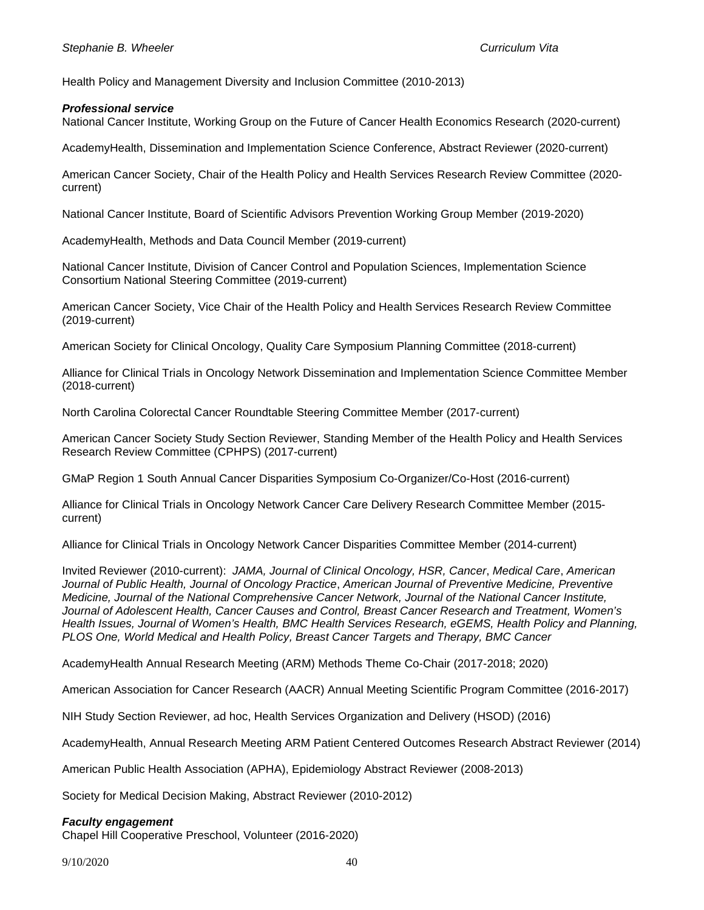Health Policy and Management Diversity and Inclusion Committee (2010-2013)

### *Professional service*

National Cancer Institute, Working Group on the Future of Cancer Health Economics Research (2020-current)

AcademyHealth, Dissemination and Implementation Science Conference, Abstract Reviewer (2020-current)

American Cancer Society, Chair of the Health Policy and Health Services Research Review Committee (2020 current)

National Cancer Institute, Board of Scientific Advisors Prevention Working Group Member (2019-2020)

AcademyHealth, Methods and Data Council Member (2019-current)

National Cancer Institute, Division of Cancer Control and Population Sciences, Implementation Science Consortium National Steering Committee (2019-current)

American Cancer Society, Vice Chair of the Health Policy and Health Services Research Review Committee (2019-current)

American Society for Clinical Oncology, Quality Care Symposium Planning Committee (2018-current)

Alliance for Clinical Trials in Oncology Network Dissemination and Implementation Science Committee Member (2018-current)

North Carolina Colorectal Cancer Roundtable Steering Committee Member (2017-current)

American Cancer Society Study Section Reviewer, Standing Member of the Health Policy and Health Services Research Review Committee (CPHPS) (2017-current)

GMaP Region 1 South Annual Cancer Disparities Symposium Co-Organizer/Co-Host (2016-current)

Alliance for Clinical Trials in Oncology Network Cancer Care Delivery Research Committee Member (2015 current)

Alliance for Clinical Trials in Oncology Network Cancer Disparities Committee Member (2014-current)

Invited Reviewer (2010-current): *JAMA, Journal of Clinical Oncology, HSR, Cancer*, *Medical Care*, *American Journal of Public Health, Journal of Oncology Practice*, *American Journal of Preventive Medicine, Preventive Medicine, Journal of the National Comprehensive Cancer Network, Journal of the National Cancer Institute, Journal of Adolescent Health, Cancer Causes and Control, Breast Cancer Research and Treatment, Women's Health Issues, Journal of Women's Health, BMC Health Services Research, eGEMS, Health Policy and Planning, PLOS One, World Medical and Health Policy, Breast Cancer Targets and Therapy, BMC Cancer*

AcademyHealth Annual Research Meeting (ARM) Methods Theme Co-Chair (2017-2018; 2020)

American Association for Cancer Research (AACR) Annual Meeting Scientific Program Committee (2016-2017)

NIH Study Section Reviewer, ad hoc, Health Services Organization and Delivery (HSOD) (2016)

AcademyHealth, Annual Research Meeting ARM Patient Centered Outcomes Research Abstract Reviewer (2014)

American Public Health Association (APHA), Epidemiology Abstract Reviewer (2008-2013)

Society for Medical Decision Making, Abstract Reviewer (2010-2012)

### *Faculty engagement*

Chapel Hill Cooperative Preschool, Volunteer (2016-2020)

9/10/2020 40